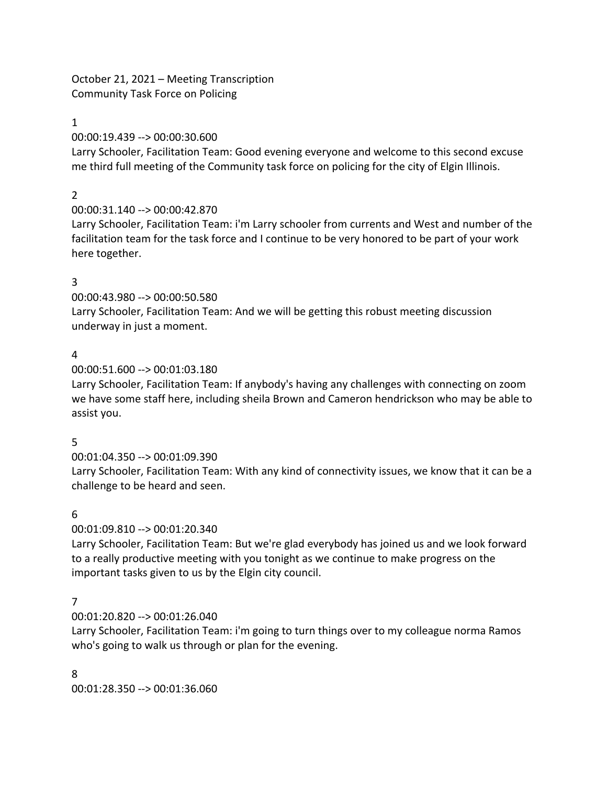October 21, 2021 – Meeting Transcription Community Task Force on Policing

1

00:00:19.439 --> 00:00:30.600

Larry Schooler, Facilitation Team: Good evening everyone and welcome to this second excuse me third full meeting of the Community task force on policing for the city of Elgin Illinois.

2

00:00:31.140 --> 00:00:42.870

Larry Schooler, Facilitation Team: i'm Larry schooler from currents and West and number of the facilitation team for the task force and I continue to be very honored to be part of your work here together.

# 3

00:00:43.980 --> 00:00:50.580

Larry Schooler, Facilitation Team: And we will be getting this robust meeting discussion underway in just a moment.

# 4

00:00:51.600 --> 00:01:03.180

Larry Schooler, Facilitation Team: If anybody's having any challenges with connecting on zoom we have some staff here, including sheila Brown and Cameron hendrickson who may be able to assist you.

# 5

00:01:04.350 --> 00:01:09.390

Larry Schooler, Facilitation Team: With any kind of connectivity issues, we know that it can be a challenge to be heard and seen.

# 6

00:01:09.810 --> 00:01:20.340

Larry Schooler, Facilitation Team: But we're glad everybody has joined us and we look forward to a really productive meeting with you tonight as we continue to make progress on the important tasks given to us by the Elgin city council.

# 7

00:01:20.820 --> 00:01:26.040

Larry Schooler, Facilitation Team: i'm going to turn things over to my colleague norma Ramos who's going to walk us through or plan for the evening.

8 00:01:28.350 --> 00:01:36.060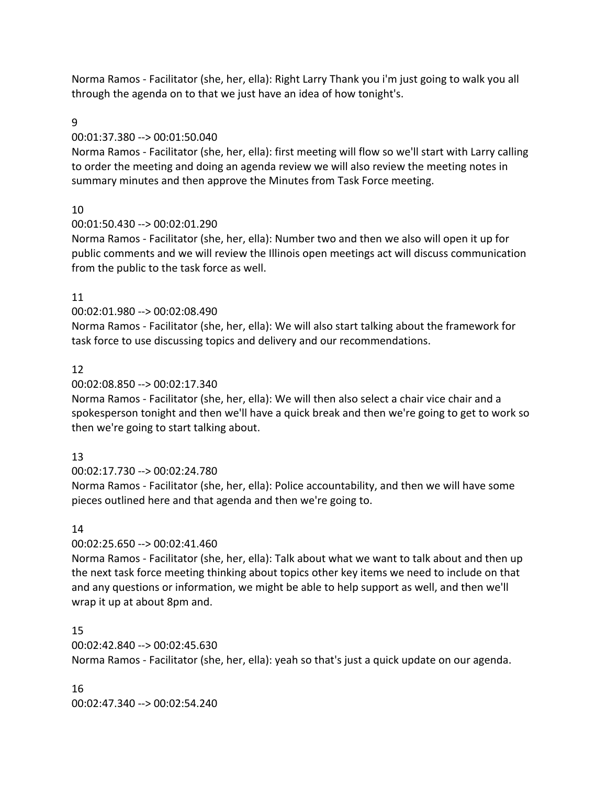Norma Ramos - Facilitator (she, her, ella): Right Larry Thank you i'm just going to walk you all through the agenda on to that we just have an idea of how tonight's.

#### 9

#### 00:01:37.380 --> 00:01:50.040

Norma Ramos - Facilitator (she, her, ella): first meeting will flow so we'll start with Larry calling to order the meeting and doing an agenda review we will also review the meeting notes in summary minutes and then approve the Minutes from Task Force meeting.

# 10

00:01:50.430 --> 00:02:01.290

Norma Ramos - Facilitator (she, her, ella): Number two and then we also will open it up for public comments and we will review the Illinois open meetings act will discuss communication from the public to the task force as well.

## 11

00:02:01.980 --> 00:02:08.490

Norma Ramos - Facilitator (she, her, ella): We will also start talking about the framework for task force to use discussing topics and delivery and our recommendations.

## 12

#### 00:02:08.850 --> 00:02:17.340

Norma Ramos - Facilitator (she, her, ella): We will then also select a chair vice chair and a spokesperson tonight and then we'll have a quick break and then we're going to get to work so then we're going to start talking about.

# 13

00:02:17.730 --> 00:02:24.780

Norma Ramos - Facilitator (she, her, ella): Police accountability, and then we will have some pieces outlined here and that agenda and then we're going to.

# 14

#### 00:02:25.650 --> 00:02:41.460

Norma Ramos - Facilitator (she, her, ella): Talk about what we want to talk about and then up the next task force meeting thinking about topics other key items we need to include on that and any questions or information, we might be able to help support as well, and then we'll wrap it up at about 8pm and.

#### 15

#### 00:02:42.840 --> 00:02:45.630

Norma Ramos - Facilitator (she, her, ella): yeah so that's just a quick update on our agenda.

#### 16

00:02:47.340 --> 00:02:54.240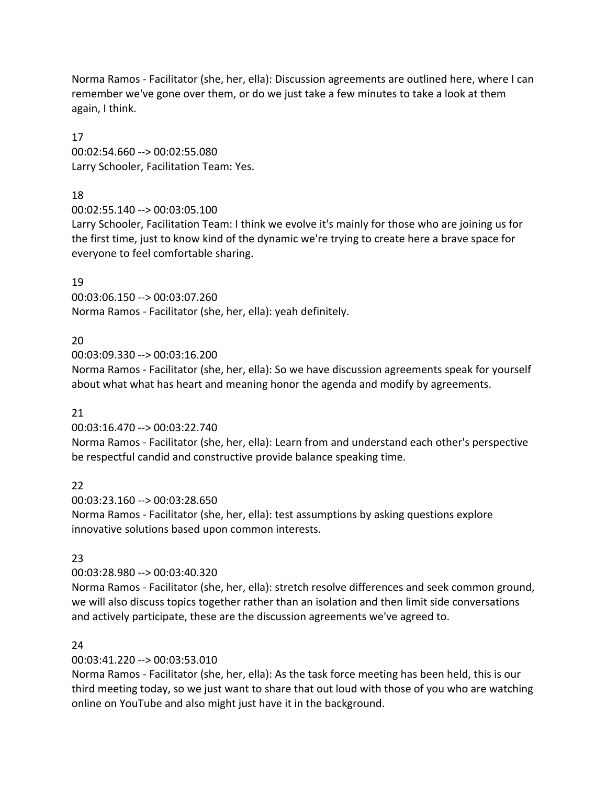Norma Ramos - Facilitator (she, her, ella): Discussion agreements are outlined here, where I can remember we've gone over them, or do we just take a few minutes to take a look at them again, I think.

17 00:02:54.660 --> 00:02:55.080 Larry Schooler, Facilitation Team: Yes.

# 18

00:02:55.140 --> 00:03:05.100

Larry Schooler, Facilitation Team: I think we evolve it's mainly for those who are joining us for the first time, just to know kind of the dynamic we're trying to create here a brave space for everyone to feel comfortable sharing.

# 19

00:03:06.150 --> 00:03:07.260 Norma Ramos - Facilitator (she, her, ella): yeah definitely.

# 20

00:03:09.330 --> 00:03:16.200

Norma Ramos - Facilitator (she, her, ella): So we have discussion agreements speak for yourself about what what has heart and meaning honor the agenda and modify by agreements.

# 21

00:03:16.470 --> 00:03:22.740

Norma Ramos - Facilitator (she, her, ella): Learn from and understand each other's perspective be respectful candid and constructive provide balance speaking time.

# 22

00:03:23.160 --> 00:03:28.650

Norma Ramos - Facilitator (she, her, ella): test assumptions by asking questions explore innovative solutions based upon common interests.

# 23

00:03:28.980 --> 00:03:40.320

Norma Ramos - Facilitator (she, her, ella): stretch resolve differences and seek common ground, we will also discuss topics together rather than an isolation and then limit side conversations and actively participate, these are the discussion agreements we've agreed to.

# 24

00:03:41.220 --> 00:03:53.010

Norma Ramos - Facilitator (she, her, ella): As the task force meeting has been held, this is our third meeting today, so we just want to share that out loud with those of you who are watching online on YouTube and also might just have it in the background.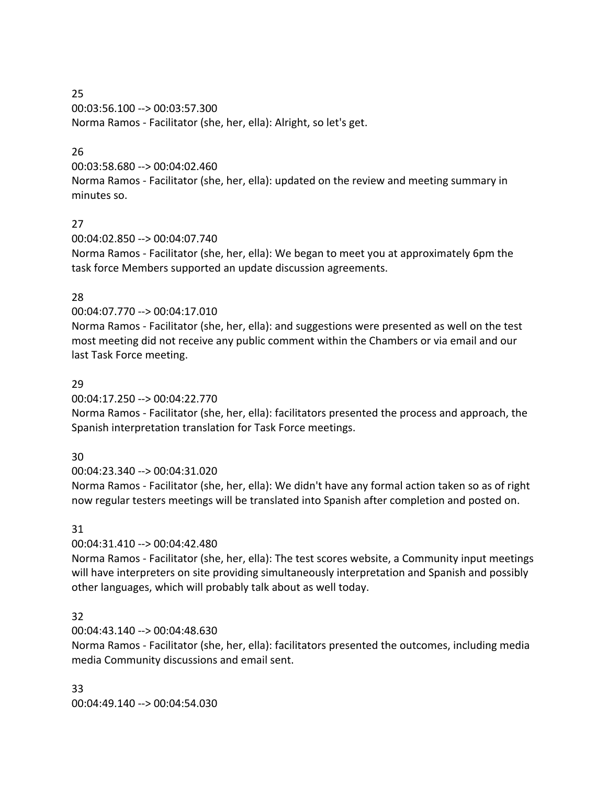# 25 00:03:56.100 --> 00:03:57.300 Norma Ramos - Facilitator (she, her, ella): Alright, so let's get.

# 26

00:03:58.680 --> 00:04:02.460

Norma Ramos - Facilitator (she, her, ella): updated on the review and meeting summary in minutes so.

# 27

00:04:02.850 --> 00:04:07.740

Norma Ramos - Facilitator (she, her, ella): We began to meet you at approximately 6pm the task force Members supported an update discussion agreements.

# 28

00:04:07.770 --> 00:04:17.010

Norma Ramos - Facilitator (she, her, ella): and suggestions were presented as well on the test most meeting did not receive any public comment within the Chambers or via email and our last Task Force meeting.

# 29

00:04:17.250 --> 00:04:22.770

Norma Ramos - Facilitator (she, her, ella): facilitators presented the process and approach, the Spanish interpretation translation for Task Force meetings.

# 30

00:04:23.340 --> 00:04:31.020

Norma Ramos - Facilitator (she, her, ella): We didn't have any formal action taken so as of right now regular testers meetings will be translated into Spanish after completion and posted on.

# 31

00:04:31.410 --> 00:04:42.480

Norma Ramos - Facilitator (she, her, ella): The test scores website, a Community input meetings will have interpreters on site providing simultaneously interpretation and Spanish and possibly other languages, which will probably talk about as well today.

# 32

# 00:04:43.140 --> 00:04:48.630

Norma Ramos - Facilitator (she, her, ella): facilitators presented the outcomes, including media media Community discussions and email sent.

33

00:04:49.140 --> 00:04:54.030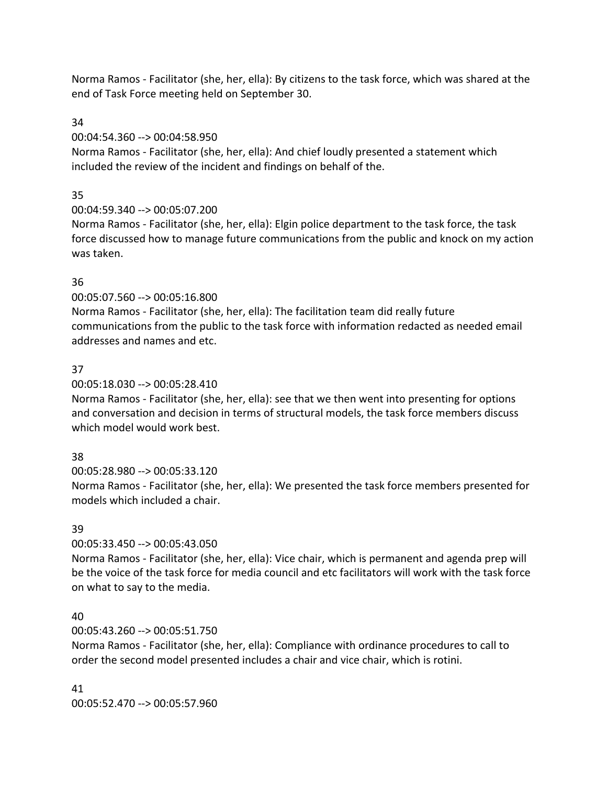Norma Ramos - Facilitator (she, her, ella): By citizens to the task force, which was shared at the end of Task Force meeting held on September 30.

34

00:04:54.360 --> 00:04:58.950

Norma Ramos - Facilitator (she, her, ella): And chief loudly presented a statement which included the review of the incident and findings on behalf of the.

# 35

00:04:59.340 --> 00:05:07.200

Norma Ramos - Facilitator (she, her, ella): Elgin police department to the task force, the task force discussed how to manage future communications from the public and knock on my action was taken.

# 36

00:05:07.560 --> 00:05:16.800

Norma Ramos - Facilitator (she, her, ella): The facilitation team did really future communications from the public to the task force with information redacted as needed email addresses and names and etc.

# 37

00:05:18.030 --> 00:05:28.410

Norma Ramos - Facilitator (she, her, ella): see that we then went into presenting for options and conversation and decision in terms of structural models, the task force members discuss which model would work best.

# 38

00:05:28.980 --> 00:05:33.120

Norma Ramos - Facilitator (she, her, ella): We presented the task force members presented for models which included a chair.

# 39

00:05:33.450 --> 00:05:43.050

Norma Ramos - Facilitator (she, her, ella): Vice chair, which is permanent and agenda prep will be the voice of the task force for media council and etc facilitators will work with the task force on what to say to the media.

# 40

00:05:43.260 --> 00:05:51.750

Norma Ramos - Facilitator (she, her, ella): Compliance with ordinance procedures to call to order the second model presented includes a chair and vice chair, which is rotini.

41 00:05:52.470 --> 00:05:57.960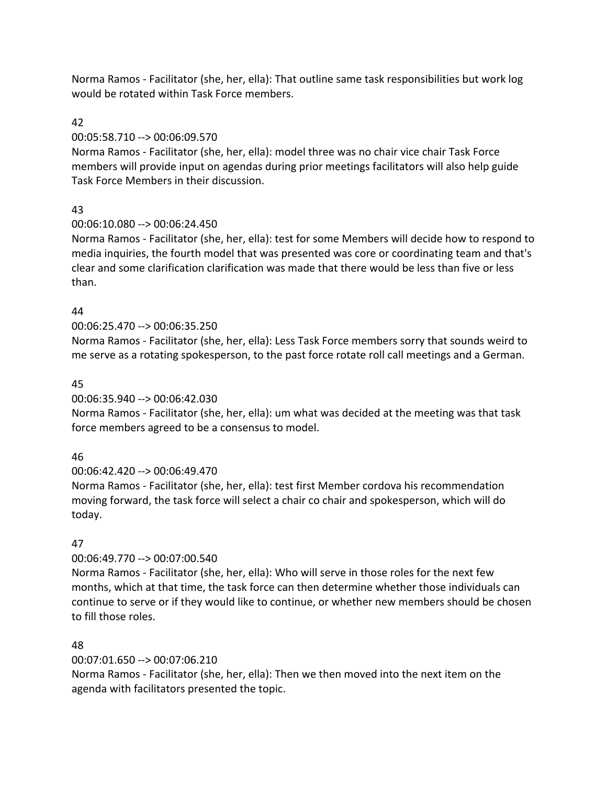Norma Ramos - Facilitator (she, her, ella): That outline same task responsibilities but work log would be rotated within Task Force members.

# 42

# 00:05:58.710 --> 00:06:09.570

Norma Ramos - Facilitator (she, her, ella): model three was no chair vice chair Task Force members will provide input on agendas during prior meetings facilitators will also help guide Task Force Members in their discussion.

# 43

# 00:06:10.080 --> 00:06:24.450

Norma Ramos - Facilitator (she, her, ella): test for some Members will decide how to respond to media inquiries, the fourth model that was presented was core or coordinating team and that's clear and some clarification clarification was made that there would be less than five or less than.

# 44

# 00:06:25.470 --> 00:06:35.250

Norma Ramos - Facilitator (she, her, ella): Less Task Force members sorry that sounds weird to me serve as a rotating spokesperson, to the past force rotate roll call meetings and a German.

# 45

# 00:06:35.940 --> 00:06:42.030

Norma Ramos - Facilitator (she, her, ella): um what was decided at the meeting was that task force members agreed to be a consensus to model.

# 46

# 00:06:42.420 --> 00:06:49.470

Norma Ramos - Facilitator (she, her, ella): test first Member cordova his recommendation moving forward, the task force will select a chair co chair and spokesperson, which will do today.

# 47

# 00:06:49.770 --> 00:07:00.540

Norma Ramos - Facilitator (she, her, ella): Who will serve in those roles for the next few months, which at that time, the task force can then determine whether those individuals can continue to serve or if they would like to continue, or whether new members should be chosen to fill those roles.

# 48

# 00:07:01.650 --> 00:07:06.210

Norma Ramos - Facilitator (she, her, ella): Then we then moved into the next item on the agenda with facilitators presented the topic.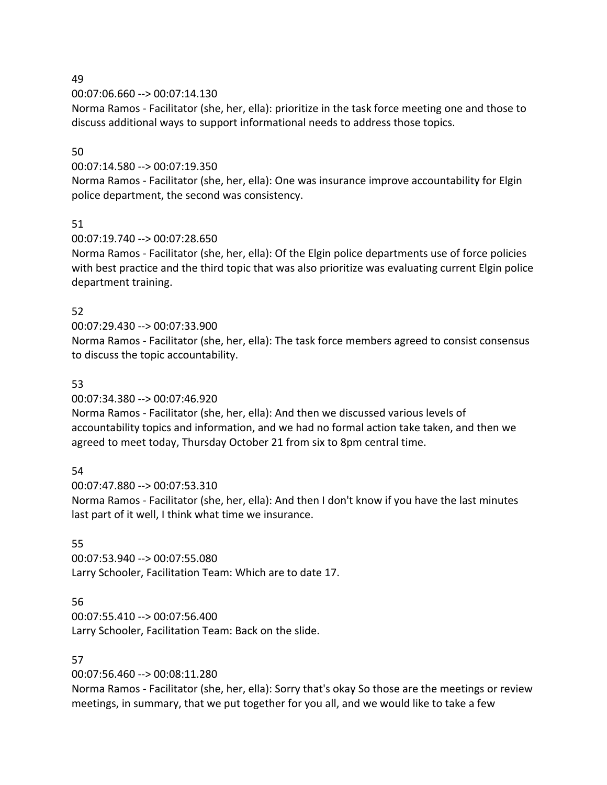## 49

00:07:06.660 --> 00:07:14.130

Norma Ramos - Facilitator (she, her, ella): prioritize in the task force meeting one and those to discuss additional ways to support informational needs to address those topics.

# 50

# 00:07:14.580 --> 00:07:19.350

Norma Ramos - Facilitator (she, her, ella): One was insurance improve accountability for Elgin police department, the second was consistency.

# 51

# 00:07:19.740 --> 00:07:28.650

Norma Ramos - Facilitator (she, her, ella): Of the Elgin police departments use of force policies with best practice and the third topic that was also prioritize was evaluating current Elgin police department training.

# 52

# 00:07:29.430 --> 00:07:33.900

Norma Ramos - Facilitator (she, her, ella): The task force members agreed to consist consensus to discuss the topic accountability.

# 53

## 00:07:34.380 --> 00:07:46.920

Norma Ramos - Facilitator (she, her, ella): And then we discussed various levels of accountability topics and information, and we had no formal action take taken, and then we agreed to meet today, Thursday October 21 from six to 8pm central time.

# 54

00:07:47.880 --> 00:07:53.310 Norma Ramos - Facilitator (she, her, ella): And then I don't know if you have the last minutes last part of it well, I think what time we insurance.

# 55

00:07:53.940 --> 00:07:55.080 Larry Schooler, Facilitation Team: Which are to date 17.

# 56

00:07:55.410 --> 00:07:56.400 Larry Schooler, Facilitation Team: Back on the slide.

# 57

# 00:07:56.460 --> 00:08:11.280

Norma Ramos - Facilitator (she, her, ella): Sorry that's okay So those are the meetings or review meetings, in summary, that we put together for you all, and we would like to take a few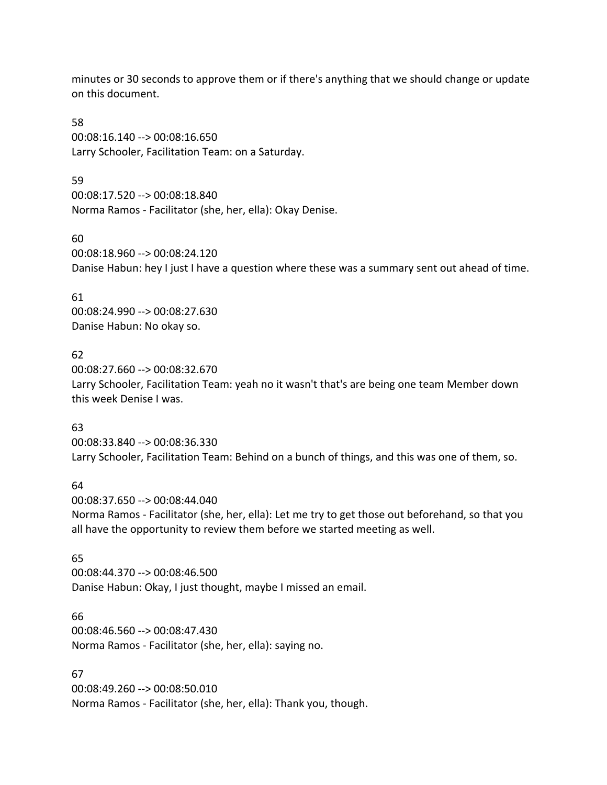minutes or 30 seconds to approve them or if there's anything that we should change or update on this document.

58 00:08:16.140 --> 00:08:16.650 Larry Schooler, Facilitation Team: on a Saturday.

59

00:08:17.520 --> 00:08:18.840 Norma Ramos - Facilitator (she, her, ella): Okay Denise.

60

00:08:18.960 --> 00:08:24.120 Danise Habun: hey I just I have a question where these was a summary sent out ahead of time.

61

00:08:24.990 --> 00:08:27.630 Danise Habun: No okay so.

# 62

00:08:27.660 --> 00:08:32.670 Larry Schooler, Facilitation Team: yeah no it wasn't that's are being one team Member down this week Denise I was.

# 63

00:08:33.840 --> 00:08:36.330 Larry Schooler, Facilitation Team: Behind on a bunch of things, and this was one of them, so.

#### 64

00:08:37.650 --> 00:08:44.040 Norma Ramos - Facilitator (she, her, ella): Let me try to get those out beforehand, so that you all have the opportunity to review them before we started meeting as well.

# 65

00:08:44.370 --> 00:08:46.500 Danise Habun: Okay, I just thought, maybe I missed an email.

#### 66

00:08:46.560 --> 00:08:47.430 Norma Ramos - Facilitator (she, her, ella): saying no.

# 67

00:08:49.260 --> 00:08:50.010 Norma Ramos - Facilitator (she, her, ella): Thank you, though.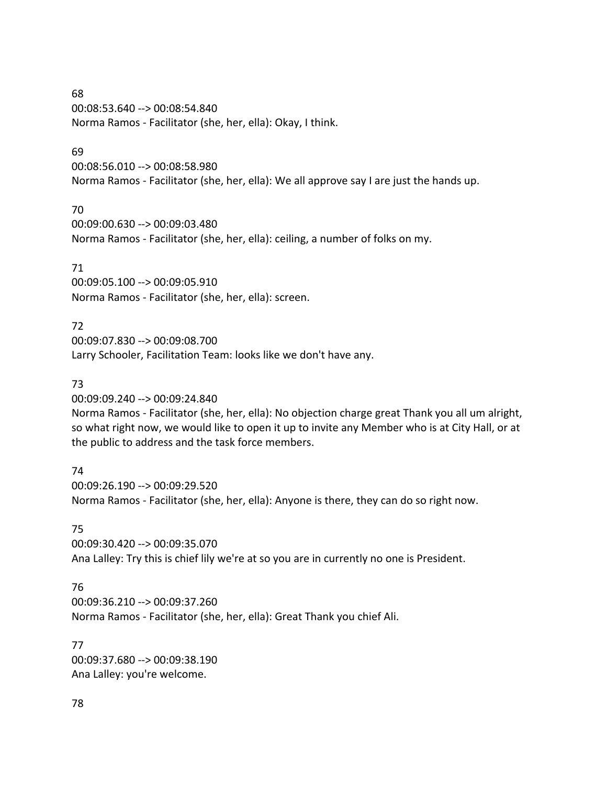68 00:08:53.640 --> 00:08:54.840 Norma Ramos - Facilitator (she, her, ella): Okay, I think.

#### 69

00:08:56.010 --> 00:08:58.980 Norma Ramos - Facilitator (she, her, ella): We all approve say I are just the hands up.

# 70

00:09:00.630 --> 00:09:03.480 Norma Ramos - Facilitator (she, her, ella): ceiling, a number of folks on my.

# 71

00:09:05.100 --> 00:09:05.910 Norma Ramos - Facilitator (she, her, ella): screen.

# 72

00:09:07.830 --> 00:09:08.700 Larry Schooler, Facilitation Team: looks like we don't have any.

# 73

00:09:09.240 --> 00:09:24.840

Norma Ramos - Facilitator (she, her, ella): No objection charge great Thank you all um alright, so what right now, we would like to open it up to invite any Member who is at City Hall, or at the public to address and the task force members.

# 74

00:09:26.190 --> 00:09:29.520 Norma Ramos - Facilitator (she, her, ella): Anyone is there, they can do so right now.

# 75

00:09:30.420 --> 00:09:35.070 Ana Lalley: Try this is chief lily we're at so you are in currently no one is President.

# 76

00:09:36.210 --> 00:09:37.260 Norma Ramos - Facilitator (she, her, ella): Great Thank you chief Ali.

#### 77

00:09:37.680 --> 00:09:38.190 Ana Lalley: you're welcome.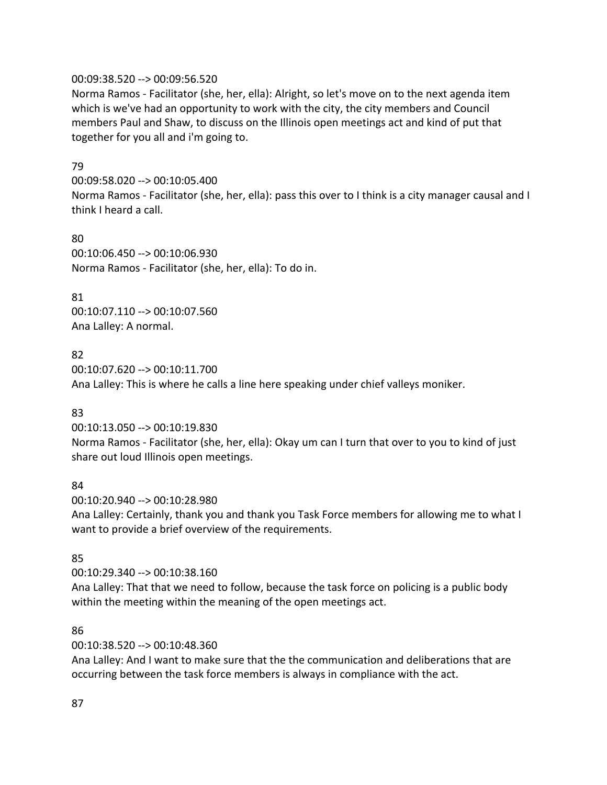#### 00:09:38.520 --> 00:09:56.520

Norma Ramos - Facilitator (she, her, ella): Alright, so let's move on to the next agenda item which is we've had an opportunity to work with the city, the city members and Council members Paul and Shaw, to discuss on the Illinois open meetings act and kind of put that together for you all and i'm going to.

#### 79

00:09:58.020 --> 00:10:05.400 Norma Ramos - Facilitator (she, her, ella): pass this over to I think is a city manager causal and I think I heard a call.

80 00:10:06.450 --> 00:10:06.930 Norma Ramos - Facilitator (she, her, ella): To do in.

#### 81

00:10:07.110 --> 00:10:07.560 Ana Lalley: A normal.

#### 82

00:10:07.620 --> 00:10:11.700 Ana Lalley: This is where he calls a line here speaking under chief valleys moniker.

#### 83

00:10:13.050 --> 00:10:19.830

Norma Ramos - Facilitator (she, her, ella): Okay um can I turn that over to you to kind of just share out loud Illinois open meetings.

#### 84

00:10:20.940 --> 00:10:28.980

Ana Lalley: Certainly, thank you and thank you Task Force members for allowing me to what I want to provide a brief overview of the requirements.

#### 85

00:10:29.340 --> 00:10:38.160

Ana Lalley: That that we need to follow, because the task force on policing is a public body within the meeting within the meaning of the open meetings act.

#### 86

00:10:38.520 --> 00:10:48.360

Ana Lalley: And I want to make sure that the the communication and deliberations that are occurring between the task force members is always in compliance with the act.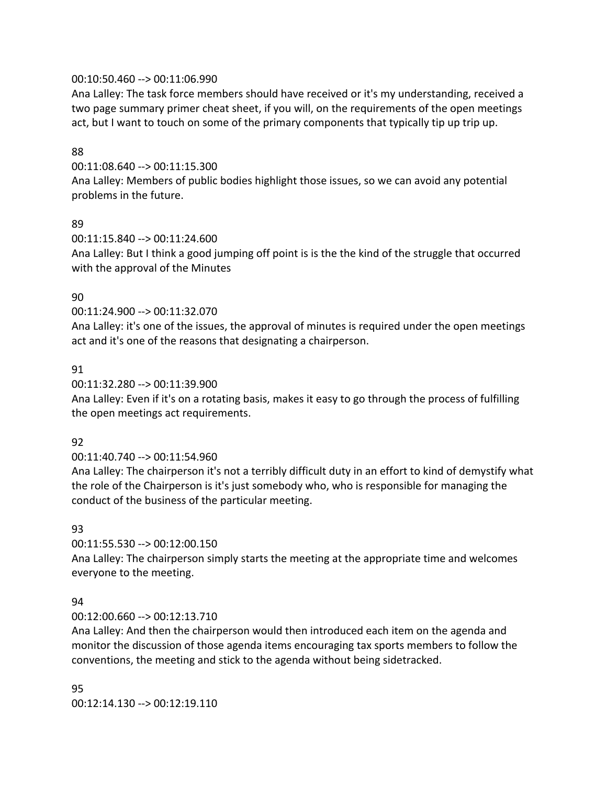## 00:10:50.460 --> 00:11:06.990

Ana Lalley: The task force members should have received or it's my understanding, received a two page summary primer cheat sheet, if you will, on the requirements of the open meetings act, but I want to touch on some of the primary components that typically tip up trip up.

## 88

00:11:08.640 --> 00:11:15.300

Ana Lalley: Members of public bodies highlight those issues, so we can avoid any potential problems in the future.

## 89

00:11:15.840 --> 00:11:24.600 Ana Lalley: But I think a good jumping off point is is the the kind of the struggle that occurred with the approval of the Minutes

# 90

00:11:24.900 --> 00:11:32.070

Ana Lalley: it's one of the issues, the approval of minutes is required under the open meetings act and it's one of the reasons that designating a chairperson.

## 91

## 00:11:32.280 --> 00:11:39.900

Ana Lalley: Even if it's on a rotating basis, makes it easy to go through the process of fulfilling the open meetings act requirements.

#### 92

# 00:11:40.740 --> 00:11:54.960

Ana Lalley: The chairperson it's not a terribly difficult duty in an effort to kind of demystify what the role of the Chairperson is it's just somebody who, who is responsible for managing the conduct of the business of the particular meeting.

#### 93

00:11:55.530 --> 00:12:00.150

Ana Lalley: The chairperson simply starts the meeting at the appropriate time and welcomes everyone to the meeting.

#### 94

# 00:12:00.660 --> 00:12:13.710

Ana Lalley: And then the chairperson would then introduced each item on the agenda and monitor the discussion of those agenda items encouraging tax sports members to follow the conventions, the meeting and stick to the agenda without being sidetracked.

#### 95

00:12:14.130 --> 00:12:19.110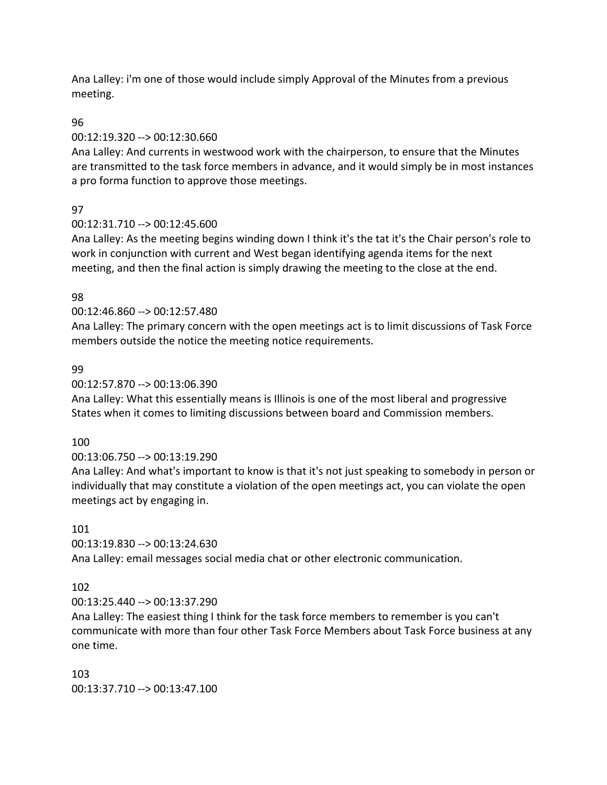Ana Lalley: i'm one of those would include simply Approval of the Minutes from a previous meeting.

# 96

# 00:12:19.320 --> 00:12:30.660

Ana Lalley: And currents in westwood work with the chairperson, to ensure that the Minutes are transmitted to the task force members in advance, and it would simply be in most instances a pro forma function to approve those meetings.

# 97

# 00:12:31.710 --> 00:12:45.600

Ana Lalley: As the meeting begins winding down I think it's the tat it's the Chair person's role to work in conjunction with current and West began identifying agenda items for the next meeting, and then the final action is simply drawing the meeting to the close at the end.

# 98

# 00:12:46.860 --> 00:12:57.480

Ana Lalley: The primary concern with the open meetings act is to limit discussions of Task Force members outside the notice the meeting notice requirements.

# 99

# 00:12:57.870 --> 00:13:06.390

Ana Lalley: What this essentially means is Illinois is one of the most liberal and progressive States when it comes to limiting discussions between board and Commission members.

# 100

# 00:13:06.750 --> 00:13:19.290

Ana Lalley: And what's important to know is that it's not just speaking to somebody in person or individually that may constitute a violation of the open meetings act, you can violate the open meetings act by engaging in.

# 101

00:13:19.830 --> 00:13:24.630

Ana Lalley: email messages social media chat or other electronic communication.

# 102

00:13:25.440 --> 00:13:37.290

Ana Lalley: The easiest thing I think for the task force members to remember is you can't communicate with more than four other Task Force Members about Task Force business at any one time.

# 103

00:13:37.710 --> 00:13:47.100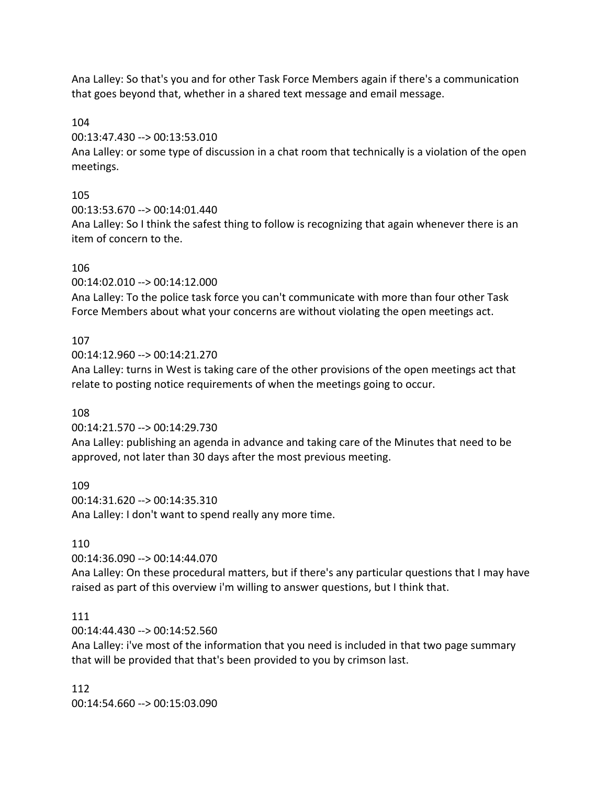Ana Lalley: So that's you and for other Task Force Members again if there's a communication that goes beyond that, whether in a shared text message and email message.

104

00:13:47.430 --> 00:13:53.010

Ana Lalley: or some type of discussion in a chat room that technically is a violation of the open meetings.

# 105

00:13:53.670 --> 00:14:01.440

Ana Lalley: So I think the safest thing to follow is recognizing that again whenever there is an item of concern to the.

# 106

00:14:02.010 --> 00:14:12.000

Ana Lalley: To the police task force you can't communicate with more than four other Task Force Members about what your concerns are without violating the open meetings act.

# 107

00:14:12.960 --> 00:14:21.270

Ana Lalley: turns in West is taking care of the other provisions of the open meetings act that relate to posting notice requirements of when the meetings going to occur.

# 108

00:14:21.570 --> 00:14:29.730

Ana Lalley: publishing an agenda in advance and taking care of the Minutes that need to be approved, not later than 30 days after the most previous meeting.

109 00:14:31.620 --> 00:14:35.310 Ana Lalley: I don't want to spend really any more time.

# 110

00:14:36.090 --> 00:14:44.070

Ana Lalley: On these procedural matters, but if there's any particular questions that I may have raised as part of this overview i'm willing to answer questions, but I think that.

# 111

00:14:44.430 --> 00:14:52.560

Ana Lalley: i've most of the information that you need is included in that two page summary that will be provided that that's been provided to you by crimson last.

112 00:14:54.660 --> 00:15:03.090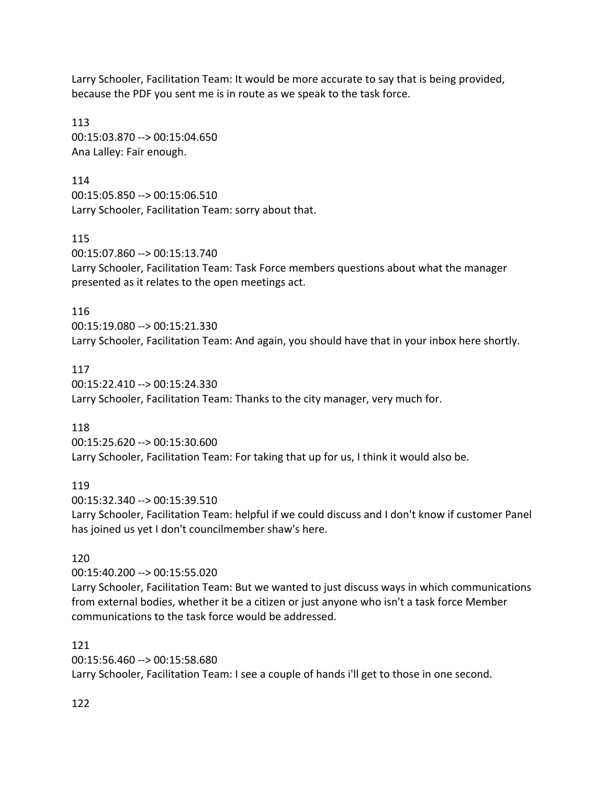Larry Schooler, Facilitation Team: It would be more accurate to say that is being provided, because the PDF you sent me is in route as we speak to the task force.

113 00:15:03.870 --> 00:15:04.650 Ana Lalley: Fair enough.

114

00:15:05.850 --> 00:15:06.510 Larry Schooler, Facilitation Team: sorry about that.

115

00:15:07.860 --> 00:15:13.740 Larry Schooler, Facilitation Team: Task Force members questions about what the manager presented as it relates to the open meetings act.

116

00:15:19.080 --> 00:15:21.330 Larry Schooler, Facilitation Team: And again, you should have that in your inbox here shortly.

117

00:15:22.410 --> 00:15:24.330 Larry Schooler, Facilitation Team: Thanks to the city manager, very much for.

118

00:15:25.620 --> 00:15:30.600 Larry Schooler, Facilitation Team: For taking that up for us, I think it would also be.

119

00:15:32.340 --> 00:15:39.510

Larry Schooler, Facilitation Team: helpful if we could discuss and I don't know if customer Panel has joined us yet I don't councilmember shaw's here.

120

00:15:40.200 --> 00:15:55.020

Larry Schooler, Facilitation Team: But we wanted to just discuss ways in which communications from external bodies, whether it be a citizen or just anyone who isn't a task force Member communications to the task force would be addressed.

121

00:15:56.460 --> 00:15:58.680

Larry Schooler, Facilitation Team: I see a couple of hands i'll get to those in one second.

122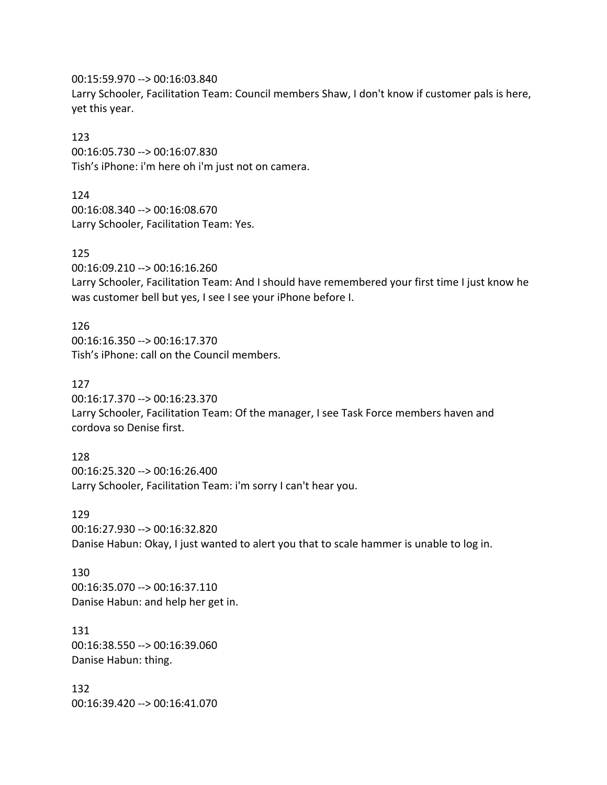00:15:59.970 --> 00:16:03.840

Larry Schooler, Facilitation Team: Council members Shaw, I don't know if customer pals is here, yet this year.

## 123

00:16:05.730 --> 00:16:07.830 Tish's iPhone: i'm here oh i'm just not on camera.

## 124

00:16:08.340 --> 00:16:08.670 Larry Schooler, Facilitation Team: Yes.

# 125

00:16:09.210 --> 00:16:16.260

Larry Schooler, Facilitation Team: And I should have remembered your first time I just know he was customer bell but yes, I see I see your iPhone before I.

126 00:16:16.350 --> 00:16:17.370 Tish's iPhone: call on the Council members.

# 127

00:16:17.370 --> 00:16:23.370

Larry Schooler, Facilitation Team: Of the manager, I see Task Force members haven and cordova so Denise first.

128 00:16:25.320 --> 00:16:26.400 Larry Schooler, Facilitation Team: i'm sorry I can't hear you.

#### 129

00:16:27.930 --> 00:16:32.820 Danise Habun: Okay, I just wanted to alert you that to scale hammer is unable to log in.

## 130 00:16:35.070 --> 00:16:37.110 Danise Habun: and help her get in.

131 00:16:38.550 --> 00:16:39.060 Danise Habun: thing.

132 00:16:39.420 --> 00:16:41.070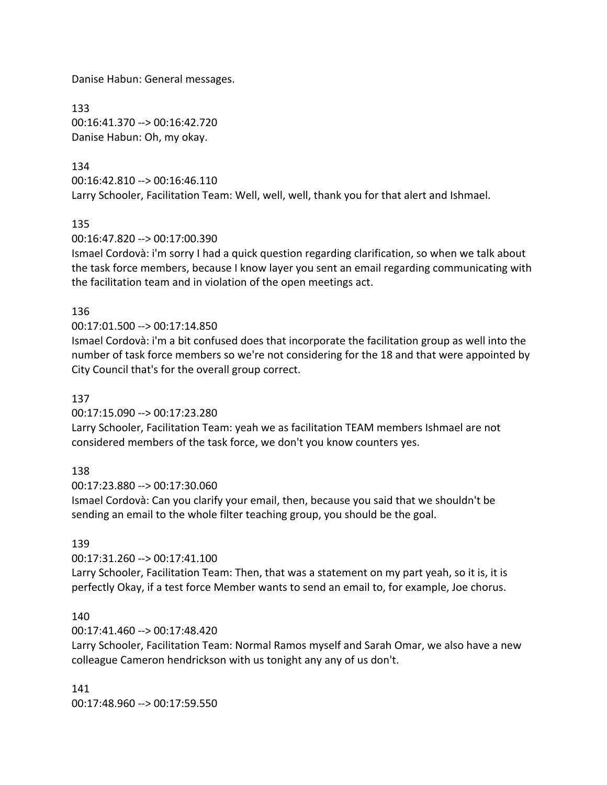Danise Habun: General messages.

133 00:16:41.370 --> 00:16:42.720 Danise Habun: Oh, my okay.

# 134

00:16:42.810 --> 00:16:46.110 Larry Schooler, Facilitation Team: Well, well, well, thank you for that alert and Ishmael.

135

00:16:47.820 --> 00:17:00.390

Ismael Cordovà: i'm sorry I had a quick question regarding clarification, so when we talk about the task force members, because I know layer you sent an email regarding communicating with the facilitation team and in violation of the open meetings act.

#### 136

## 00:17:01.500 --> 00:17:14.850

Ismael Cordovà: i'm a bit confused does that incorporate the facilitation group as well into the number of task force members so we're not considering for the 18 and that were appointed by City Council that's for the overall group correct.

#### 137

00:17:15.090 --> 00:17:23.280

Larry Schooler, Facilitation Team: yeah we as facilitation TEAM members Ishmael are not considered members of the task force, we don't you know counters yes.

138

00:17:23.880 --> 00:17:30.060

Ismael Cordovà: Can you clarify your email, then, because you said that we shouldn't be sending an email to the whole filter teaching group, you should be the goal.

#### 139

00:17:31.260 --> 00:17:41.100

Larry Schooler, Facilitation Team: Then, that was a statement on my part yeah, so it is, it is perfectly Okay, if a test force Member wants to send an email to, for example, Joe chorus.

#### 140

00:17:41.460 --> 00:17:48.420

Larry Schooler, Facilitation Team: Normal Ramos myself and Sarah Omar, we also have a new colleague Cameron hendrickson with us tonight any any of us don't.

#### 141

00:17:48.960 --> 00:17:59.550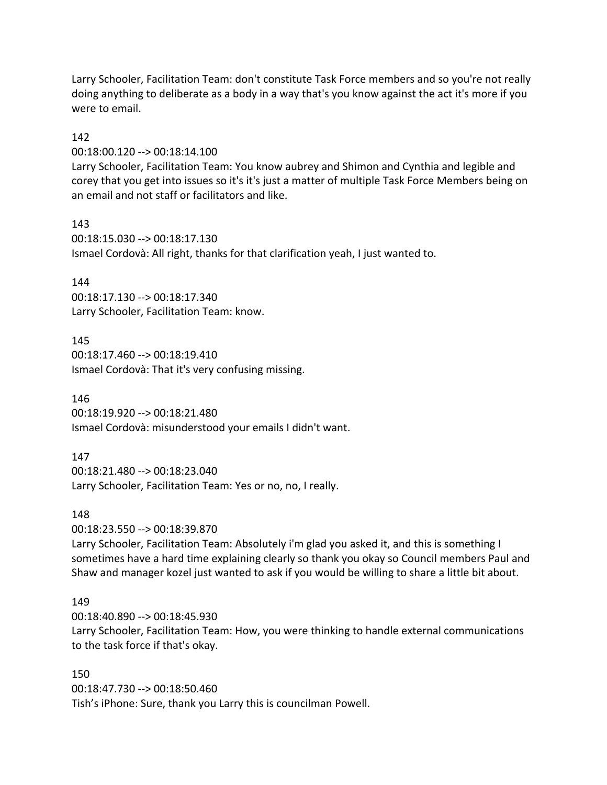Larry Schooler, Facilitation Team: don't constitute Task Force members and so you're not really doing anything to deliberate as a body in a way that's you know against the act it's more if you were to email.

#### 142

00:18:00.120 --> 00:18:14.100

Larry Schooler, Facilitation Team: You know aubrey and Shimon and Cynthia and legible and corey that you get into issues so it's it's just a matter of multiple Task Force Members being on an email and not staff or facilitators and like.

143

00:18:15.030 --> 00:18:17.130 Ismael Cordovà: All right, thanks for that clarification yeah, I just wanted to.

#### 144

00:18:17.130 --> 00:18:17.340 Larry Schooler, Facilitation Team: know.

145

00:18:17.460 --> 00:18:19.410 Ismael Cordovà: That it's very confusing missing.

146

00:18:19.920 --> 00:18:21.480 Ismael Cordovà: misunderstood your emails I didn't want.

#### 147

00:18:21.480 --> 00:18:23.040 Larry Schooler, Facilitation Team: Yes or no, no, I really.

#### 148

00:18:23.550 --> 00:18:39.870

Larry Schooler, Facilitation Team: Absolutely i'm glad you asked it, and this is something I sometimes have a hard time explaining clearly so thank you okay so Council members Paul and Shaw and manager kozel just wanted to ask if you would be willing to share a little bit about.

#### 149

00:18:40.890 --> 00:18:45.930 Larry Schooler, Facilitation Team: How, you were thinking to handle external communications to the task force if that's okay.

#### 150

00:18:47.730 --> 00:18:50.460 Tish's iPhone: Sure, thank you Larry this is councilman Powell.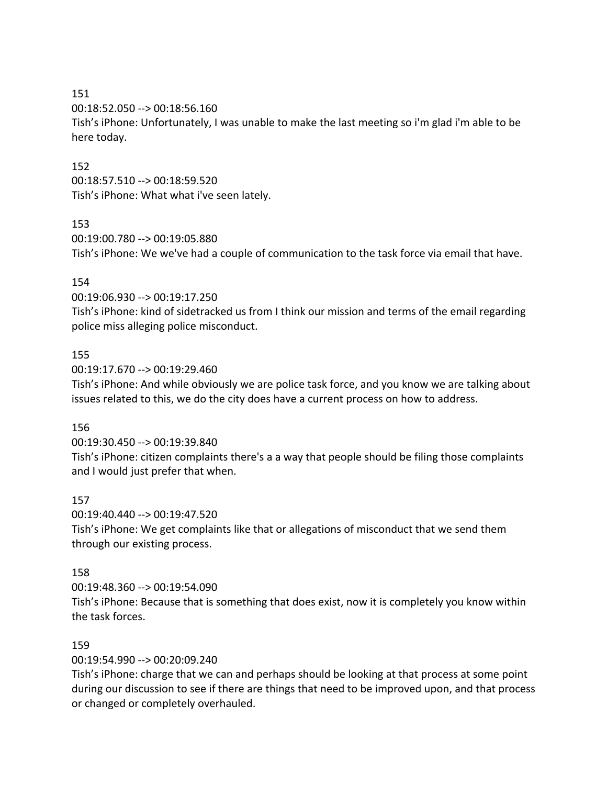151

00:18:52.050 --> 00:18:56.160

Tish's iPhone: Unfortunately, I was unable to make the last meeting so i'm glad i'm able to be here today.

# 152

00:18:57.510 --> 00:18:59.520 Tish's iPhone: What what i've seen lately.

## 153

00:19:00.780 --> 00:19:05.880 Tish's iPhone: We we've had a couple of communication to the task force via email that have.

## 154

00:19:06.930 --> 00:19:17.250

Tish's iPhone: kind of sidetracked us from I think our mission and terms of the email regarding police miss alleging police misconduct.

## 155

00:19:17.670 --> 00:19:29.460

Tish's iPhone: And while obviously we are police task force, and you know we are talking about issues related to this, we do the city does have a current process on how to address.

#### 156

00:19:30.450 --> 00:19:39.840

Tish's iPhone: citizen complaints there's a a way that people should be filing those complaints and I would just prefer that when.

#### 157

00:19:40.440 --> 00:19:47.520 Tish's iPhone: We get complaints like that or allegations of misconduct that we send them through our existing process.

#### 158

00:19:48.360 --> 00:19:54.090

Tish's iPhone: Because that is something that does exist, now it is completely you know within the task forces.

#### 159

00:19:54.990 --> 00:20:09.240

Tish's iPhone: charge that we can and perhaps should be looking at that process at some point during our discussion to see if there are things that need to be improved upon, and that process or changed or completely overhauled.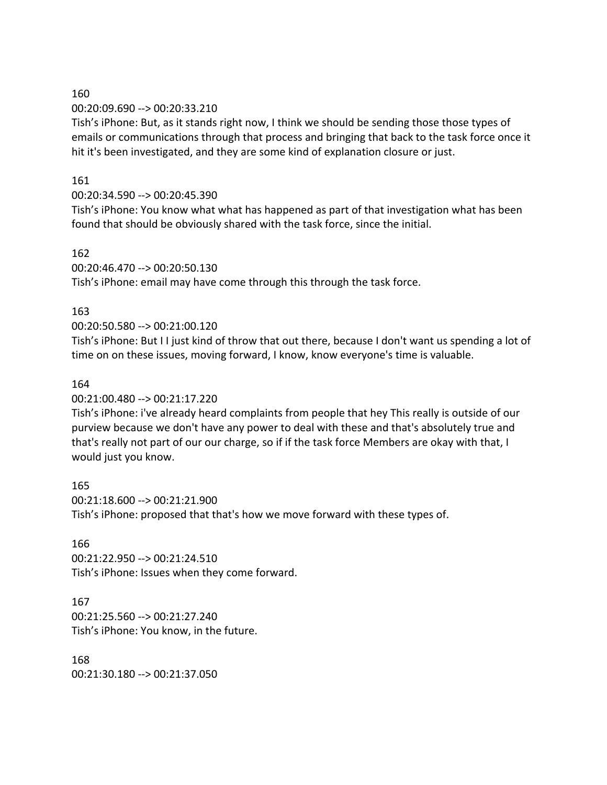#### 160

00:20:09.690 --> 00:20:33.210

Tish's iPhone: But, as it stands right now, I think we should be sending those those types of emails or communications through that process and bringing that back to the task force once it hit it's been investigated, and they are some kind of explanation closure or just.

## 161

## 00:20:34.590 --> 00:20:45.390

Tish's iPhone: You know what what has happened as part of that investigation what has been found that should be obviously shared with the task force, since the initial.

#### 162

00:20:46.470 --> 00:20:50.130

Tish's iPhone: email may have come through this through the task force.

## 163

## 00:20:50.580 --> 00:21:00.120

Tish's iPhone: But I I just kind of throw that out there, because I don't want us spending a lot of time on on these issues, moving forward, I know, know everyone's time is valuable.

#### 164

00:21:00.480 --> 00:21:17.220

Tish's iPhone: i've already heard complaints from people that hey This really is outside of our purview because we don't have any power to deal with these and that's absolutely true and that's really not part of our our charge, so if if the task force Members are okay with that, I would just you know.

165 00:21:18.600 --> 00:21:21.900 Tish's iPhone: proposed that that's how we move forward with these types of.

#### 166

00:21:22.950 --> 00:21:24.510 Tish's iPhone: Issues when they come forward.

# 167

00:21:25.560 --> 00:21:27.240 Tish's iPhone: You know, in the future.

168 00:21:30.180 --> 00:21:37.050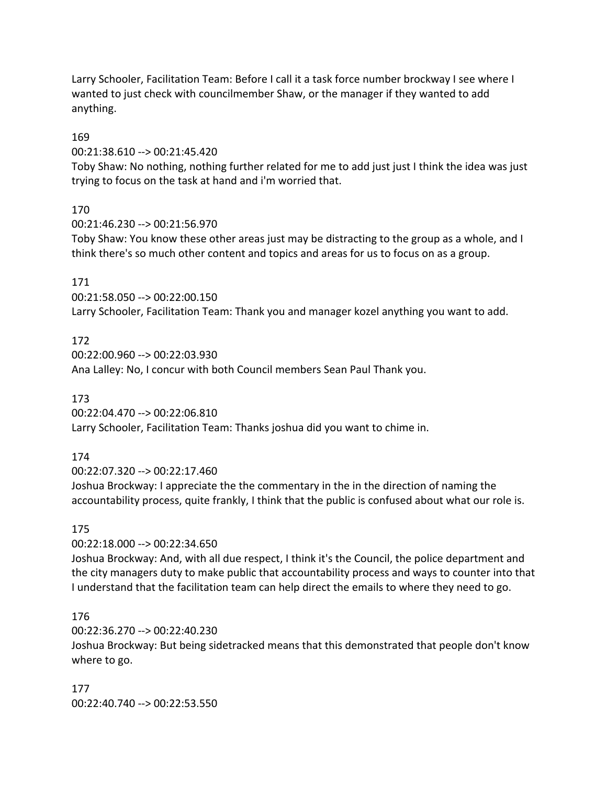Larry Schooler, Facilitation Team: Before I call it a task force number brockway I see where I wanted to just check with councilmember Shaw, or the manager if they wanted to add anything.

169

00:21:38.610 --> 00:21:45.420

Toby Shaw: No nothing, nothing further related for me to add just just I think the idea was just trying to focus on the task at hand and i'm worried that.

170

00:21:46.230 --> 00:21:56.970

Toby Shaw: You know these other areas just may be distracting to the group as a whole, and I think there's so much other content and topics and areas for us to focus on as a group.

## 171

00:21:58.050 --> 00:22:00.150 Larry Schooler, Facilitation Team: Thank you and manager kozel anything you want to add.

# 172

00:22:00.960 --> 00:22:03.930 Ana Lalley: No, I concur with both Council members Sean Paul Thank you.

173

00:22:04.470 --> 00:22:06.810 Larry Schooler, Facilitation Team: Thanks joshua did you want to chime in.

174

00:22:07.320 --> 00:22:17.460

Joshua Brockway: I appreciate the the commentary in the in the direction of naming the accountability process, quite frankly, I think that the public is confused about what our role is.

# 175

00:22:18.000 --> 00:22:34.650

Joshua Brockway: And, with all due respect, I think it's the Council, the police department and the city managers duty to make public that accountability process and ways to counter into that I understand that the facilitation team can help direct the emails to where they need to go.

# 176

00:22:36.270 --> 00:22:40.230

Joshua Brockway: But being sidetracked means that this demonstrated that people don't know where to go.

177 00:22:40.740 --> 00:22:53.550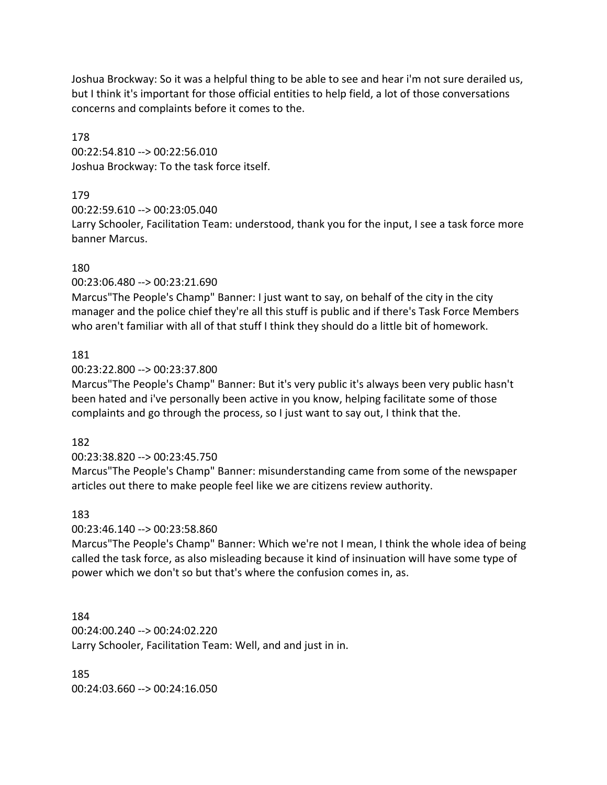Joshua Brockway: So it was a helpful thing to be able to see and hear i'm not sure derailed us, but I think it's important for those official entities to help field, a lot of those conversations concerns and complaints before it comes to the.

178 00:22:54.810 --> 00:22:56.010 Joshua Brockway: To the task force itself.

# 179

00:22:59.610 --> 00:23:05.040

Larry Schooler, Facilitation Team: understood, thank you for the input, I see a task force more banner Marcus.

# 180

00:23:06.480 --> 00:23:21.690

Marcus"The People's Champ" Banner: I just want to say, on behalf of the city in the city manager and the police chief they're all this stuff is public and if there's Task Force Members who aren't familiar with all of that stuff I think they should do a little bit of homework.

# 181

00:23:22.800 --> 00:23:37.800

Marcus"The People's Champ" Banner: But it's very public it's always been very public hasn't been hated and i've personally been active in you know, helping facilitate some of those complaints and go through the process, so I just want to say out, I think that the.

# 182

# 00:23:38.820 --> 00:23:45.750

Marcus"The People's Champ" Banner: misunderstanding came from some of the newspaper articles out there to make people feel like we are citizens review authority.

# 183

00:23:46.140 --> 00:23:58.860

Marcus"The People's Champ" Banner: Which we're not I mean, I think the whole idea of being called the task force, as also misleading because it kind of insinuation will have some type of power which we don't so but that's where the confusion comes in, as.

184 00:24:00.240 --> 00:24:02.220 Larry Schooler, Facilitation Team: Well, and and just in in.

185 00:24:03.660 --> 00:24:16.050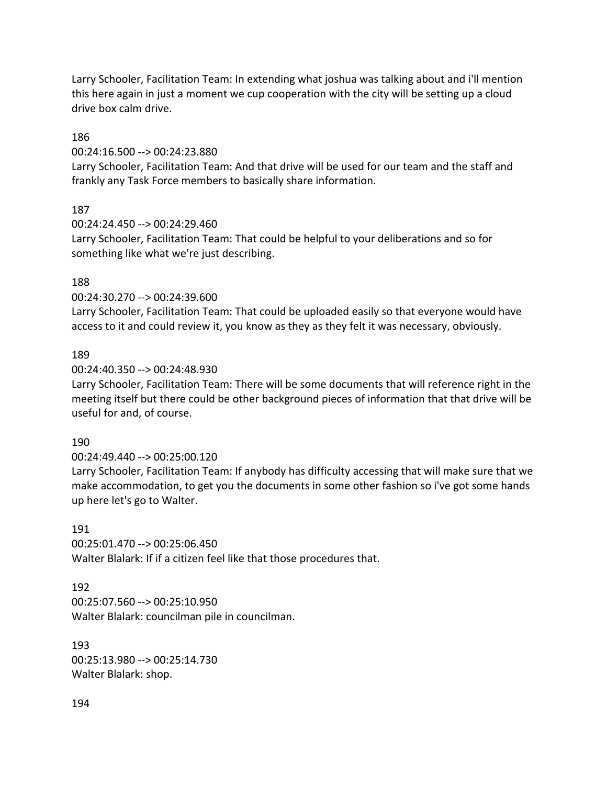Larry Schooler, Facilitation Team: In extending what joshua was talking about and i'll mention this here again in just a moment we cup cooperation with the city will be setting up a cloud drive box calm drive.

#### 186

00:24:16.500 --> 00:24:23.880

Larry Schooler, Facilitation Team: And that drive will be used for our team and the staff and frankly any Task Force members to basically share information.

# 187

00:24:24.450 --> 00:24:29.460

Larry Schooler, Facilitation Team: That could be helpful to your deliberations and so for something like what we're just describing.

# 188

00:24:30.270 --> 00:24:39.600

Larry Schooler, Facilitation Team: That could be uploaded easily so that everyone would have access to it and could review it, you know as they as they felt it was necessary, obviously.

# 189

00:24:40.350 --> 00:24:48.930

Larry Schooler, Facilitation Team: There will be some documents that will reference right in the meeting itself but there could be other background pieces of information that that drive will be useful for and, of course.

# 190

# 00:24:49.440 --> 00:25:00.120

Larry Schooler, Facilitation Team: If anybody has difficulty accessing that will make sure that we make accommodation, to get you the documents in some other fashion so i've got some hands up here let's go to Walter.

# 191

00:25:01.470 --> 00:25:06.450 Walter Blalark: If if a citizen feel like that those procedures that.

#### 192

00:25:07.560 --> 00:25:10.950 Walter Blalark: councilman pile in councilman.

#### 193

00:25:13.980 --> 00:25:14.730 Walter Blalark: shop.

#### 194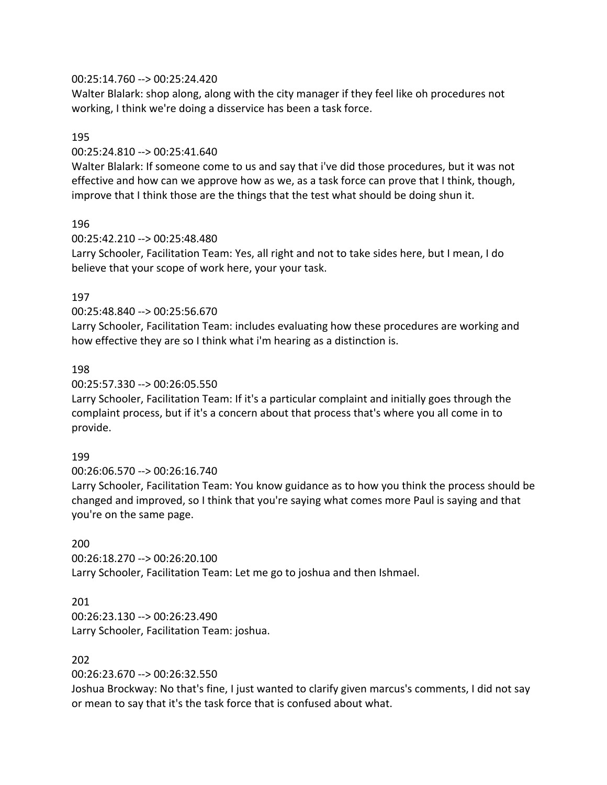## 00:25:14.760 --> 00:25:24.420

Walter Blalark: shop along, along with the city manager if they feel like oh procedures not working, I think we're doing a disservice has been a task force.

#### 195

## 00:25:24.810 --> 00:25:41.640

Walter Blalark: If someone come to us and say that i've did those procedures, but it was not effective and how can we approve how as we, as a task force can prove that I think, though, improve that I think those are the things that the test what should be doing shun it.

# 196

## 00:25:42.210 --> 00:25:48.480

Larry Schooler, Facilitation Team: Yes, all right and not to take sides here, but I mean, I do believe that your scope of work here, your your task.

# 197

## 00:25:48.840 --> 00:25:56.670

Larry Schooler, Facilitation Team: includes evaluating how these procedures are working and how effective they are so I think what i'm hearing as a distinction is.

## 198

## 00:25:57.330 --> 00:26:05.550

Larry Schooler, Facilitation Team: If it's a particular complaint and initially goes through the complaint process, but if it's a concern about that process that's where you all come in to provide.

# 199

00:26:06.570 --> 00:26:16.740

Larry Schooler, Facilitation Team: You know guidance as to how you think the process should be changed and improved, so I think that you're saying what comes more Paul is saying and that you're on the same page.

# 200

00:26:18.270 --> 00:26:20.100 Larry Schooler, Facilitation Team: Let me go to joshua and then Ishmael.

#### 201

00:26:23.130 --> 00:26:23.490 Larry Schooler, Facilitation Team: joshua.

## 202

#### 00:26:23.670 --> 00:26:32.550

Joshua Brockway: No that's fine, I just wanted to clarify given marcus's comments, I did not say or mean to say that it's the task force that is confused about what.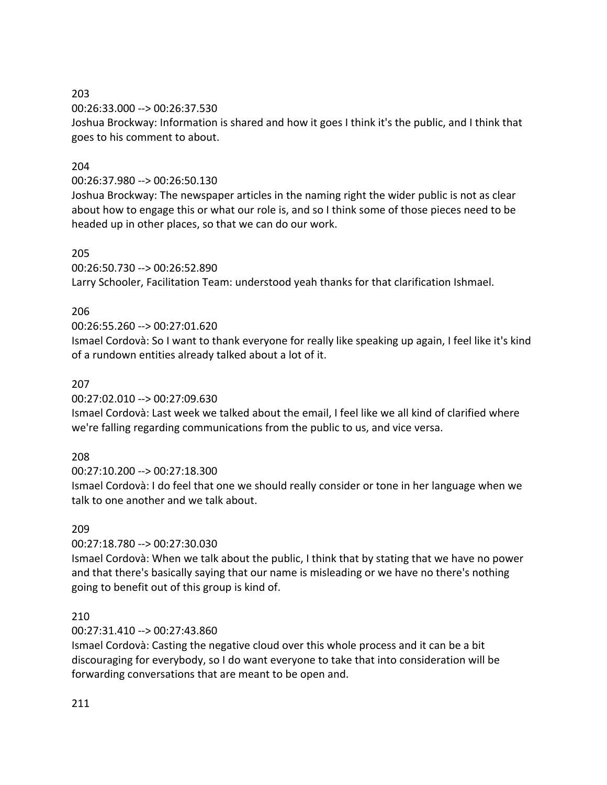#### 203

00:26:33.000 --> 00:26:37.530

Joshua Brockway: Information is shared and how it goes I think it's the public, and I think that goes to his comment to about.

# 204

# 00:26:37.980 --> 00:26:50.130

Joshua Brockway: The newspaper articles in the naming right the wider public is not as clear about how to engage this or what our role is, and so I think some of those pieces need to be headed up in other places, so that we can do our work.

# 205

00:26:50.730 --> 00:26:52.890

Larry Schooler, Facilitation Team: understood yeah thanks for that clarification Ishmael.

# 206

# 00:26:55.260 --> 00:27:01.620

Ismael Cordovà: So I want to thank everyone for really like speaking up again, I feel like it's kind of a rundown entities already talked about a lot of it.

# 207

00:27:02.010 --> 00:27:09.630

Ismael Cordovà: Last week we talked about the email, I feel like we all kind of clarified where we're falling regarding communications from the public to us, and vice versa.

# 208

00:27:10.200 --> 00:27:18.300

Ismael Cordovà: I do feel that one we should really consider or tone in her language when we talk to one another and we talk about.

# 209

00:27:18.780 --> 00:27:30.030

Ismael Cordovà: When we talk about the public, I think that by stating that we have no power and that there's basically saying that our name is misleading or we have no there's nothing going to benefit out of this group is kind of.

# 210

# 00:27:31.410 --> 00:27:43.860

Ismael Cordovà: Casting the negative cloud over this whole process and it can be a bit discouraging for everybody, so I do want everyone to take that into consideration will be forwarding conversations that are meant to be open and.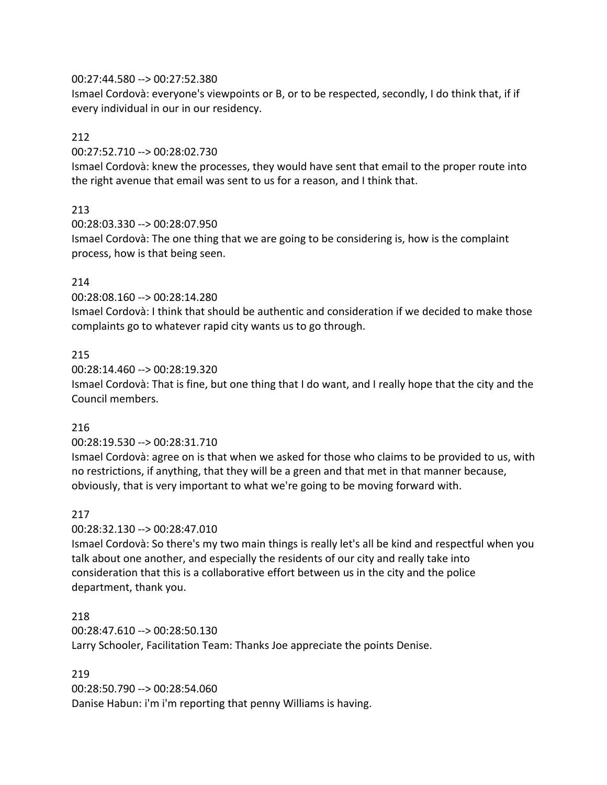#### 00:27:44.580 --> 00:27:52.380

Ismael Cordovà: everyone's viewpoints or B, or to be respected, secondly, I do think that, if if every individual in our in our residency.

## 212

00:27:52.710 --> 00:28:02.730

Ismael Cordovà: knew the processes, they would have sent that email to the proper route into the right avenue that email was sent to us for a reason, and I think that.

# 213

00:28:03.330 --> 00:28:07.950 Ismael Cordovà: The one thing that we are going to be considering is, how is the complaint process, how is that being seen.

# 214

00:28:08.160 --> 00:28:14.280

Ismael Cordovà: I think that should be authentic and consideration if we decided to make those complaints go to whatever rapid city wants us to go through.

# 215

00:28:14.460 --> 00:28:19.320

Ismael Cordovà: That is fine, but one thing that I do want, and I really hope that the city and the Council members.

# 216

00:28:19.530 --> 00:28:31.710

Ismael Cordovà: agree on is that when we asked for those who claims to be provided to us, with no restrictions, if anything, that they will be a green and that met in that manner because, obviously, that is very important to what we're going to be moving forward with.

# 217

00:28:32.130 --> 00:28:47.010

Ismael Cordovà: So there's my two main things is really let's all be kind and respectful when you talk about one another, and especially the residents of our city and really take into consideration that this is a collaborative effort between us in the city and the police department, thank you.

# 218

00:28:47.610 --> 00:28:50.130 Larry Schooler, Facilitation Team: Thanks Joe appreciate the points Denise.

# 219

00:28:50.790 --> 00:28:54.060 Danise Habun: i'm i'm reporting that penny Williams is having.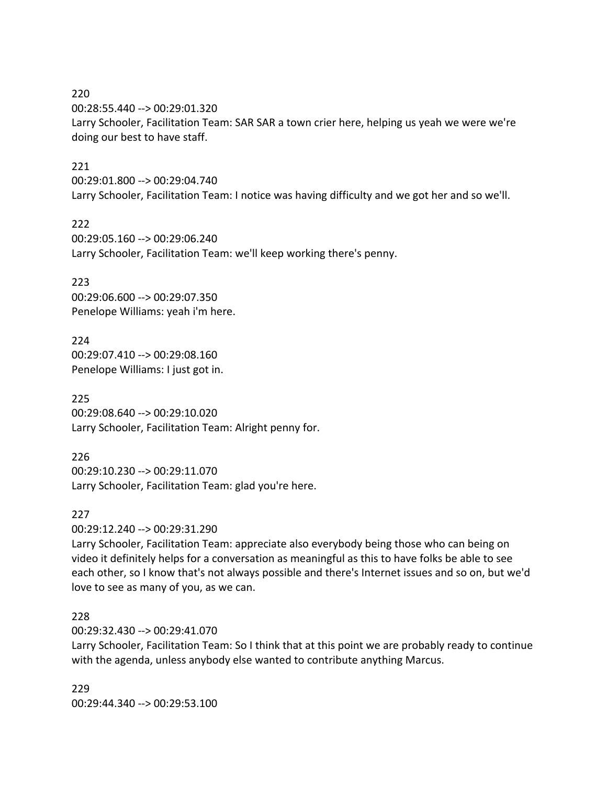220 00:28:55.440 --> 00:29:01.320 Larry Schooler, Facilitation Team: SAR SAR a town crier here, helping us yeah we were we're doing our best to have staff.

## 221

00:29:01.800 --> 00:29:04.740 Larry Schooler, Facilitation Team: I notice was having difficulty and we got her and so we'll.

222

00:29:05.160 --> 00:29:06.240 Larry Schooler, Facilitation Team: we'll keep working there's penny.

223

00:29:06.600 --> 00:29:07.350 Penelope Williams: yeah i'm here.

224 00:29:07.410 --> 00:29:08.160 Penelope Williams: I just got in.

225 00:29:08.640 --> 00:29:10.020 Larry Schooler, Facilitation Team: Alright penny for.

226 00:29:10.230 --> 00:29:11.070 Larry Schooler, Facilitation Team: glad you're here.

227

00:29:12.240 --> 00:29:31.290

Larry Schooler, Facilitation Team: appreciate also everybody being those who can being on video it definitely helps for a conversation as meaningful as this to have folks be able to see each other, so I know that's not always possible and there's Internet issues and so on, but we'd love to see as many of you, as we can.

## 228

00:29:32.430 --> 00:29:41.070

Larry Schooler, Facilitation Team: So I think that at this point we are probably ready to continue with the agenda, unless anybody else wanted to contribute anything Marcus.

229 00:29:44.340 --> 00:29:53.100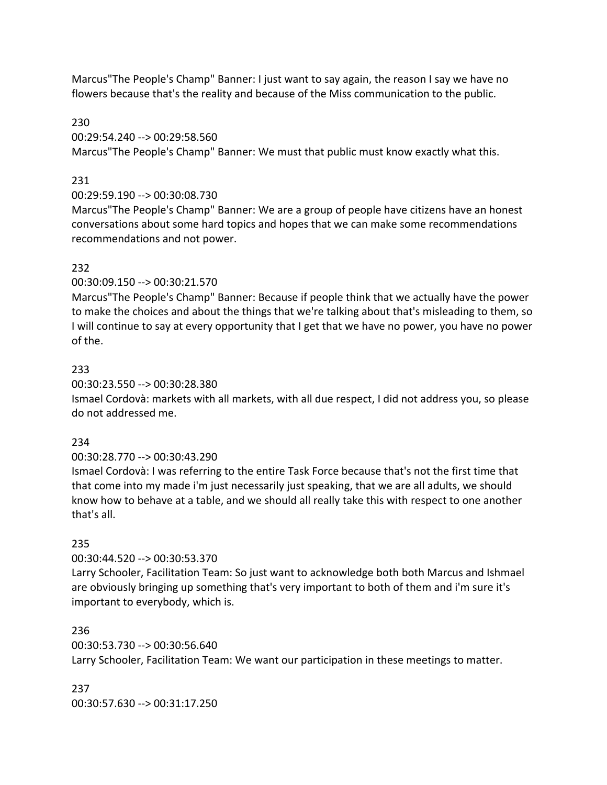Marcus"The People's Champ" Banner: I just want to say again, the reason I say we have no flowers because that's the reality and because of the Miss communication to the public.

#### 230

00:29:54.240 --> 00:29:58.560

Marcus"The People's Champ" Banner: We must that public must know exactly what this.

#### 231

#### 00:29:59.190 --> 00:30:08.730

Marcus"The People's Champ" Banner: We are a group of people have citizens have an honest conversations about some hard topics and hopes that we can make some recommendations recommendations and not power.

## 232

#### 00:30:09.150 --> 00:30:21.570

Marcus"The People's Champ" Banner: Because if people think that we actually have the power to make the choices and about the things that we're talking about that's misleading to them, so I will continue to say at every opportunity that I get that we have no power, you have no power of the.

## 233

#### 00:30:23.550 --> 00:30:28.380

Ismael Cordovà: markets with all markets, with all due respect, I did not address you, so please do not addressed me.

#### 234

#### 00:30:28.770 --> 00:30:43.290

Ismael Cordovà: I was referring to the entire Task Force because that's not the first time that that come into my made i'm just necessarily just speaking, that we are all adults, we should know how to behave at a table, and we should all really take this with respect to one another that's all.

#### 235

# 00:30:44.520 --> 00:30:53.370

Larry Schooler, Facilitation Team: So just want to acknowledge both both Marcus and Ishmael are obviously bringing up something that's very important to both of them and i'm sure it's important to everybody, which is.

#### 236

# 00:30:53.730 --> 00:30:56.640 Larry Schooler, Facilitation Team: We want our participation in these meetings to matter.

#### 237

00:30:57.630 --> 00:31:17.250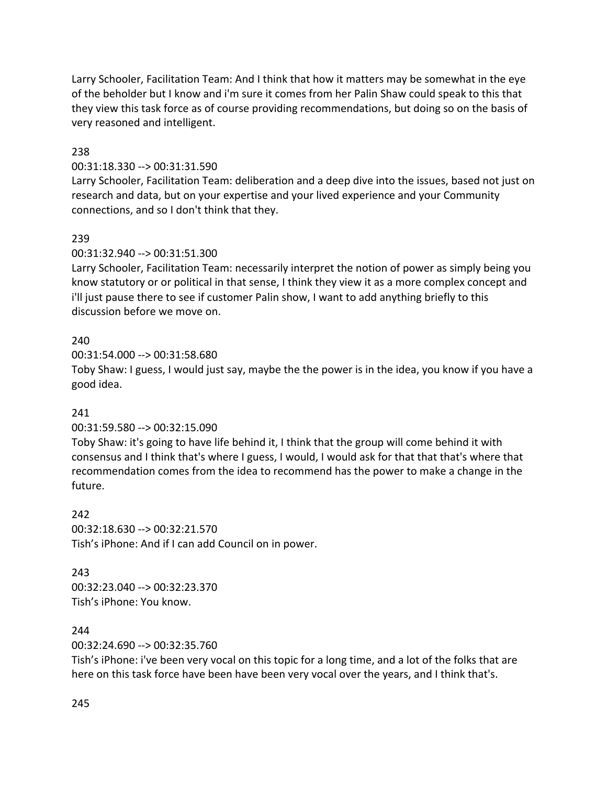Larry Schooler, Facilitation Team: And I think that how it matters may be somewhat in the eye of the beholder but I know and i'm sure it comes from her Palin Shaw could speak to this that they view this task force as of course providing recommendations, but doing so on the basis of very reasoned and intelligent.

## 238

#### 00:31:18.330 --> 00:31:31.590

Larry Schooler, Facilitation Team: deliberation and a deep dive into the issues, based not just on research and data, but on your expertise and your lived experience and your Community connections, and so I don't think that they.

#### 239

#### 00:31:32.940 --> 00:31:51.300

Larry Schooler, Facilitation Team: necessarily interpret the notion of power as simply being you know statutory or or political in that sense, I think they view it as a more complex concept and i'll just pause there to see if customer Palin show, I want to add anything briefly to this discussion before we move on.

#### 240

00:31:54.000 --> 00:31:58.680

Toby Shaw: I guess, I would just say, maybe the the power is in the idea, you know if you have a good idea.

#### 241

#### 00:31:59.580 --> 00:32:15.090

Toby Shaw: it's going to have life behind it, I think that the group will come behind it with consensus and I think that's where I guess, I would, I would ask for that that that's where that recommendation comes from the idea to recommend has the power to make a change in the future.

#### 242

00:32:18.630 --> 00:32:21.570 Tish's iPhone: And if I can add Council on in power.

#### 243

00:32:23.040 --> 00:32:23.370 Tish's iPhone: You know.

#### 244

00:32:24.690 --> 00:32:35.760

Tish's iPhone: i've been very vocal on this topic for a long time, and a lot of the folks that are here on this task force have been have been very vocal over the years, and I think that's.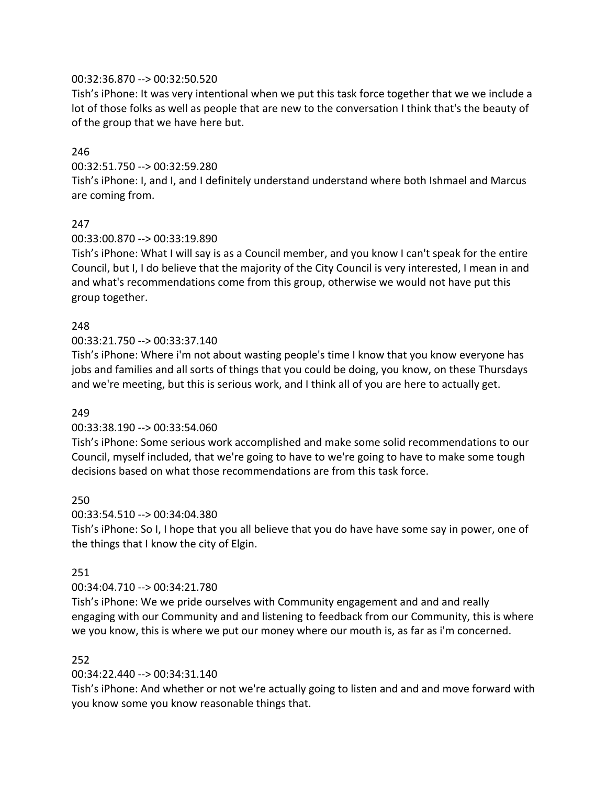## 00:32:36.870 --> 00:32:50.520

Tish's iPhone: It was very intentional when we put this task force together that we we include a lot of those folks as well as people that are new to the conversation I think that's the beauty of of the group that we have here but.

## 246

#### 00:32:51.750 --> 00:32:59.280

Tish's iPhone: I, and I, and I definitely understand understand where both Ishmael and Marcus are coming from.

## 247

#### 00:33:00.870 --> 00:33:19.890

Tish's iPhone: What I will say is as a Council member, and you know I can't speak for the entire Council, but I, I do believe that the majority of the City Council is very interested, I mean in and and what's recommendations come from this group, otherwise we would not have put this group together.

## 248

#### 00:33:21.750 --> 00:33:37.140

Tish's iPhone: Where i'm not about wasting people's time I know that you know everyone has jobs and families and all sorts of things that you could be doing, you know, on these Thursdays and we're meeting, but this is serious work, and I think all of you are here to actually get.

#### 249

#### 00:33:38.190 --> 00:33:54.060

Tish's iPhone: Some serious work accomplished and make some solid recommendations to our Council, myself included, that we're going to have to we're going to have to make some tough decisions based on what those recommendations are from this task force.

#### 250

#### 00:33:54.510 --> 00:34:04.380

Tish's iPhone: So I, I hope that you all believe that you do have have some say in power, one of the things that I know the city of Elgin.

#### 251

#### 00:34:04.710 --> 00:34:21.780

Tish's iPhone: We we pride ourselves with Community engagement and and and really engaging with our Community and and listening to feedback from our Community, this is where we you know, this is where we put our money where our mouth is, as far as i'm concerned.

#### 252

#### 00:34:22.440 --> 00:34:31.140

Tish's iPhone: And whether or not we're actually going to listen and and and move forward with you know some you know reasonable things that.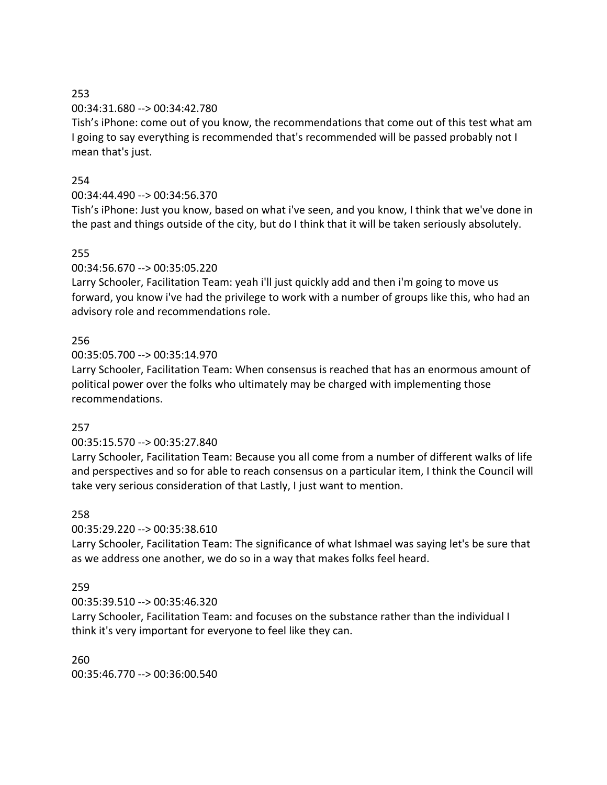## 253

## 00:34:31.680 --> 00:34:42.780

Tish's iPhone: come out of you know, the recommendations that come out of this test what am I going to say everything is recommended that's recommended will be passed probably not I mean that's just.

# 254

# 00:34:44.490 --> 00:34:56.370

Tish's iPhone: Just you know, based on what i've seen, and you know, I think that we've done in the past and things outside of the city, but do I think that it will be taken seriously absolutely.

# 255

00:34:56.670 --> 00:35:05.220

Larry Schooler, Facilitation Team: yeah i'll just quickly add and then i'm going to move us forward, you know i've had the privilege to work with a number of groups like this, who had an advisory role and recommendations role.

# 256

00:35:05.700 --> 00:35:14.970

Larry Schooler, Facilitation Team: When consensus is reached that has an enormous amount of political power over the folks who ultimately may be charged with implementing those recommendations.

# 257

# 00:35:15.570 --> 00:35:27.840

Larry Schooler, Facilitation Team: Because you all come from a number of different walks of life and perspectives and so for able to reach consensus on a particular item, I think the Council will take very serious consideration of that Lastly, I just want to mention.

# 258

00:35:29.220 --> 00:35:38.610

Larry Schooler, Facilitation Team: The significance of what Ishmael was saying let's be sure that as we address one another, we do so in a way that makes folks feel heard.

# 259

00:35:39.510 --> 00:35:46.320

Larry Schooler, Facilitation Team: and focuses on the substance rather than the individual I think it's very important for everyone to feel like they can.

260 00:35:46.770 --> 00:36:00.540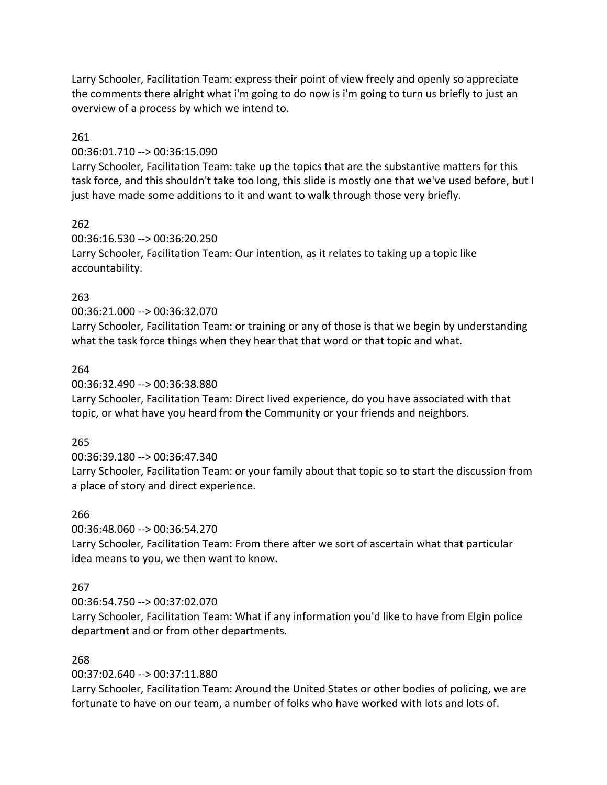Larry Schooler, Facilitation Team: express their point of view freely and openly so appreciate the comments there alright what i'm going to do now is i'm going to turn us briefly to just an overview of a process by which we intend to.

## 261

#### 00:36:01.710 --> 00:36:15.090

Larry Schooler, Facilitation Team: take up the topics that are the substantive matters for this task force, and this shouldn't take too long, this slide is mostly one that we've used before, but I just have made some additions to it and want to walk through those very briefly.

## 262

00:36:16.530 --> 00:36:20.250 Larry Schooler, Facilitation Team: Our intention, as it relates to taking up a topic like accountability.

## 263

00:36:21.000 --> 00:36:32.070

Larry Schooler, Facilitation Team: or training or any of those is that we begin by understanding what the task force things when they hear that that word or that topic and what.

#### 264

00:36:32.490 --> 00:36:38.880

Larry Schooler, Facilitation Team: Direct lived experience, do you have associated with that topic, or what have you heard from the Community or your friends and neighbors.

#### 265

#### 00:36:39.180 --> 00:36:47.340

Larry Schooler, Facilitation Team: or your family about that topic so to start the discussion from a place of story and direct experience.

#### 266

00:36:48.060 --> 00:36:54.270

Larry Schooler, Facilitation Team: From there after we sort of ascertain what that particular idea means to you, we then want to know.

# 267

00:36:54.750 --> 00:37:02.070

Larry Schooler, Facilitation Team: What if any information you'd like to have from Elgin police department and or from other departments.

# 268

00:37:02.640 --> 00:37:11.880

Larry Schooler, Facilitation Team: Around the United States or other bodies of policing, we are fortunate to have on our team, a number of folks who have worked with lots and lots of.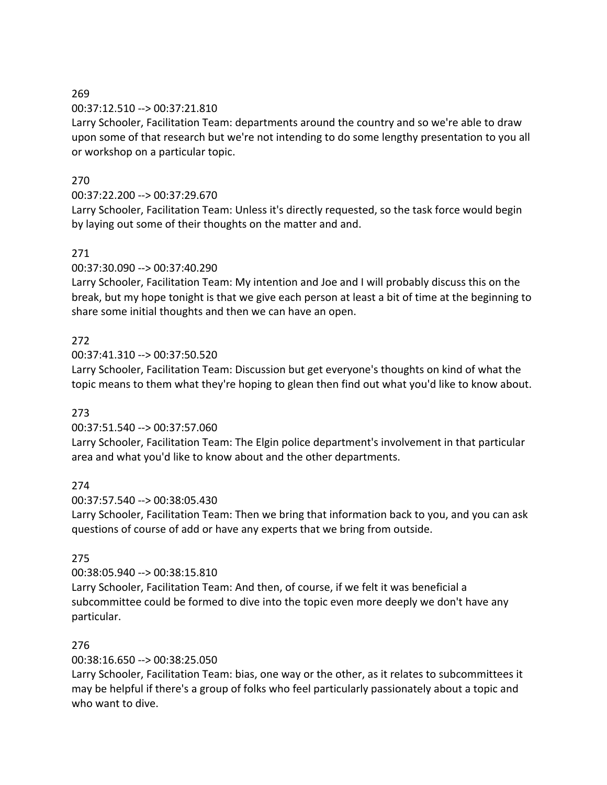## 269

## 00:37:12.510 --> 00:37:21.810

Larry Schooler, Facilitation Team: departments around the country and so we're able to draw upon some of that research but we're not intending to do some lengthy presentation to you all or workshop on a particular topic.

# 270

# 00:37:22.200 --> 00:37:29.670

Larry Schooler, Facilitation Team: Unless it's directly requested, so the task force would begin by laying out some of their thoughts on the matter and and.

# 271

00:37:30.090 --> 00:37:40.290

Larry Schooler, Facilitation Team: My intention and Joe and I will probably discuss this on the break, but my hope tonight is that we give each person at least a bit of time at the beginning to share some initial thoughts and then we can have an open.

# 272

00:37:41.310 --> 00:37:50.520

Larry Schooler, Facilitation Team: Discussion but get everyone's thoughts on kind of what the topic means to them what they're hoping to glean then find out what you'd like to know about.

# 273

00:37:51.540 --> 00:37:57.060

Larry Schooler, Facilitation Team: The Elgin police department's involvement in that particular area and what you'd like to know about and the other departments.

# 274

00:37:57.540 --> 00:38:05.430

Larry Schooler, Facilitation Team: Then we bring that information back to you, and you can ask questions of course of add or have any experts that we bring from outside.

# 275

00:38:05.940 --> 00:38:15.810

Larry Schooler, Facilitation Team: And then, of course, if we felt it was beneficial a subcommittee could be formed to dive into the topic even more deeply we don't have any particular.

# 276

00:38:16.650 --> 00:38:25.050

Larry Schooler, Facilitation Team: bias, one way or the other, as it relates to subcommittees it may be helpful if there's a group of folks who feel particularly passionately about a topic and who want to dive.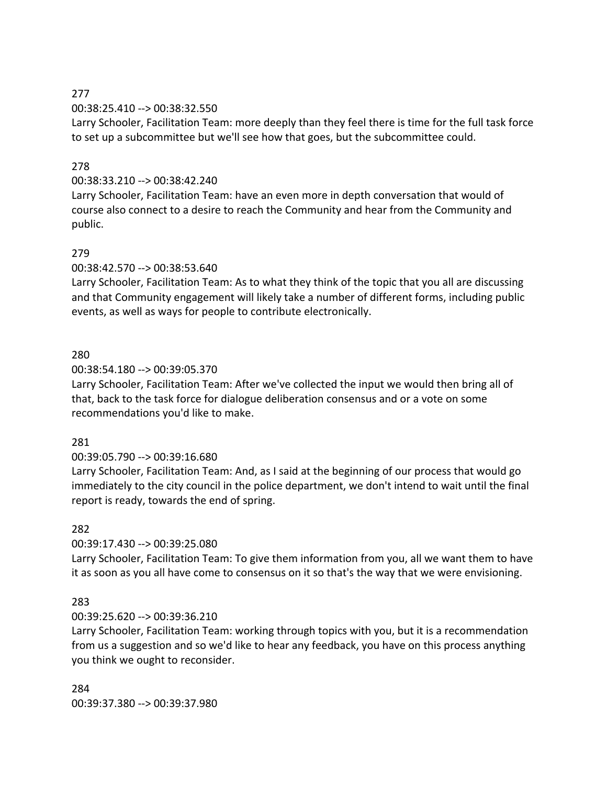# 277

00:38:25.410 --> 00:38:32.550

Larry Schooler, Facilitation Team: more deeply than they feel there is time for the full task force to set up a subcommittee but we'll see how that goes, but the subcommittee could.

# 278

# 00:38:33.210 --> 00:38:42.240

Larry Schooler, Facilitation Team: have an even more in depth conversation that would of course also connect to a desire to reach the Community and hear from the Community and public.

## 279

00:38:42.570 --> 00:38:53.640

Larry Schooler, Facilitation Team: As to what they think of the topic that you all are discussing and that Community engagement will likely take a number of different forms, including public events, as well as ways for people to contribute electronically.

## 280

#### 00:38:54.180 --> 00:39:05.370

Larry Schooler, Facilitation Team: After we've collected the input we would then bring all of that, back to the task force for dialogue deliberation consensus and or a vote on some recommendations you'd like to make.

#### 281

# 00:39:05.790 --> 00:39:16.680

Larry Schooler, Facilitation Team: And, as I said at the beginning of our process that would go immediately to the city council in the police department, we don't intend to wait until the final report is ready, towards the end of spring.

# 282

# 00:39:17.430 --> 00:39:25.080

Larry Schooler, Facilitation Team: To give them information from you, all we want them to have it as soon as you all have come to consensus on it so that's the way that we were envisioning.

# 283

# 00:39:25.620 --> 00:39:36.210

Larry Schooler, Facilitation Team: working through topics with you, but it is a recommendation from us a suggestion and so we'd like to hear any feedback, you have on this process anything you think we ought to reconsider.

284 00:39:37.380 --> 00:39:37.980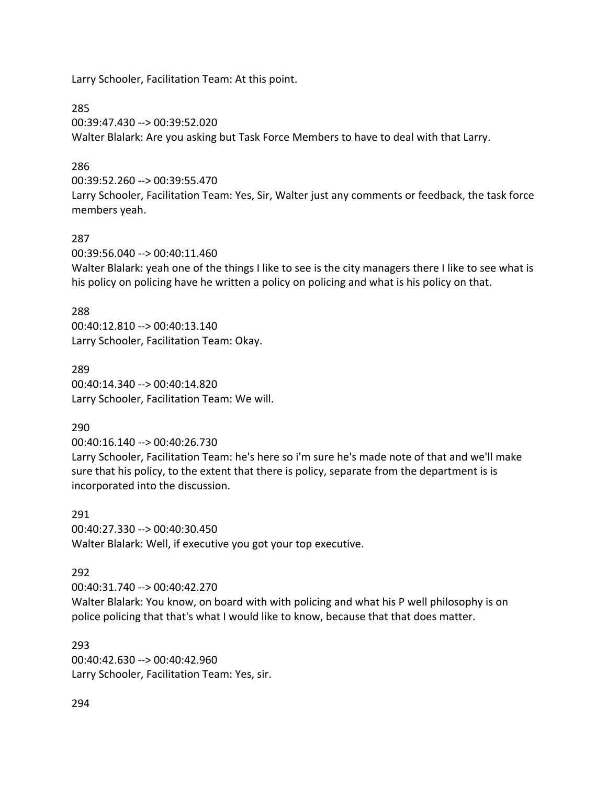Larry Schooler, Facilitation Team: At this point.

285

00:39:47.430 --> 00:39:52.020 Walter Blalark: Are you asking but Task Force Members to have to deal with that Larry.

## 286

00:39:52.260 --> 00:39:55.470

Larry Schooler, Facilitation Team: Yes, Sir, Walter just any comments or feedback, the task force members yeah.

## 287

00:39:56.040 --> 00:40:11.460

Walter Blalark: yeah one of the things I like to see is the city managers there I like to see what is his policy on policing have he written a policy on policing and what is his policy on that.

#### 288

00:40:12.810 --> 00:40:13.140 Larry Schooler, Facilitation Team: Okay.

289 00:40:14.340 --> 00:40:14.820 Larry Schooler, Facilitation Team: We will.

# 290

00:40:16.140 --> 00:40:26.730

Larry Schooler, Facilitation Team: he's here so i'm sure he's made note of that and we'll make sure that his policy, to the extent that there is policy, separate from the department is is incorporated into the discussion.

291 00:40:27.330 --> 00:40:30.450 Walter Blalark: Well, if executive you got your top executive.

# 292

00:40:31.740 --> 00:40:42.270

Walter Blalark: You know, on board with with policing and what his P well philosophy is on police policing that that's what I would like to know, because that that does matter.

## 293

00:40:42.630 --> 00:40:42.960 Larry Schooler, Facilitation Team: Yes, sir.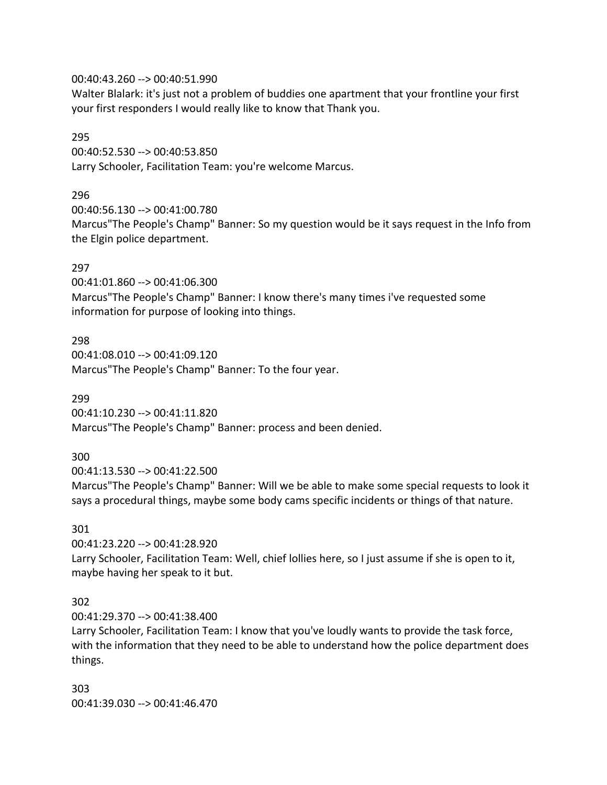#### 00:40:43.260 --> 00:40:51.990

Walter Blalark: it's just not a problem of buddies one apartment that your frontline your first your first responders I would really like to know that Thank you.

#### 295

00:40:52.530 --> 00:40:53.850 Larry Schooler, Facilitation Team: you're welcome Marcus.

## 296

00:40:56.130 --> 00:41:00.780 Marcus"The People's Champ" Banner: So my question would be it says request in the Info from the Elgin police department.

## 297

00:41:01.860 --> 00:41:06.300 Marcus"The People's Champ" Banner: I know there's many times i've requested some information for purpose of looking into things.

## 298

00:41:08.010 --> 00:41:09.120 Marcus"The People's Champ" Banner: To the four year.

299

00:41:10.230 --> 00:41:11.820 Marcus"The People's Champ" Banner: process and been denied.

# 300

00:41:13.530 --> 00:41:22.500

Marcus"The People's Champ" Banner: Will we be able to make some special requests to look it says a procedural things, maybe some body cams specific incidents or things of that nature.

#### 301

00:41:23.220 --> 00:41:28.920 Larry Schooler, Facilitation Team: Well, chief lollies here, so I just assume if she is open to it, maybe having her speak to it but.

## 302

00:41:29.370 --> 00:41:38.400

Larry Schooler, Facilitation Team: I know that you've loudly wants to provide the task force, with the information that they need to be able to understand how the police department does things.

303 00:41:39.030 --> 00:41:46.470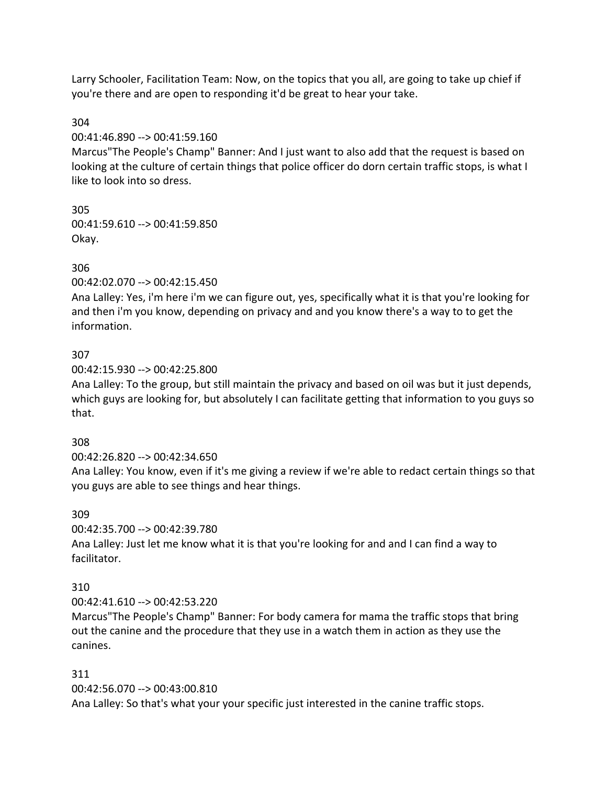Larry Schooler, Facilitation Team: Now, on the topics that you all, are going to take up chief if you're there and are open to responding it'd be great to hear your take.

## 304

00:41:46.890 --> 00:41:59.160

Marcus"The People's Champ" Banner: And I just want to also add that the request is based on looking at the culture of certain things that police officer do dorn certain traffic stops, is what I like to look into so dress.

305 00:41:59.610 --> 00:41:59.850 Okay.

# 306

00:42:02.070 --> 00:42:15.450

Ana Lalley: Yes, i'm here i'm we can figure out, yes, specifically what it is that you're looking for and then i'm you know, depending on privacy and and you know there's a way to to get the information.

# 307

00:42:15.930 --> 00:42:25.800

Ana Lalley: To the group, but still maintain the privacy and based on oil was but it just depends, which guys are looking for, but absolutely I can facilitate getting that information to you guys so that.

# 308

00:42:26.820 --> 00:42:34.650

Ana Lalley: You know, even if it's me giving a review if we're able to redact certain things so that you guys are able to see things and hear things.

# 309

00:42:35.700 --> 00:42:39.780

Ana Lalley: Just let me know what it is that you're looking for and and I can find a way to facilitator.

# 310

00:42:41.610 --> 00:42:53.220

Marcus"The People's Champ" Banner: For body camera for mama the traffic stops that bring out the canine and the procedure that they use in a watch them in action as they use the canines.

# 311

00:42:56.070 --> 00:43:00.810

Ana Lalley: So that's what your your specific just interested in the canine traffic stops.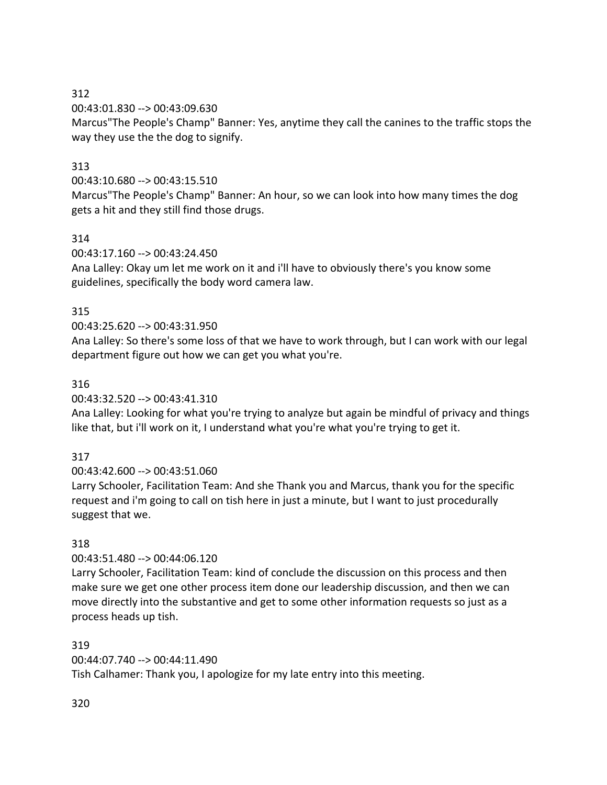00:43:01.830 --> 00:43:09.630

Marcus"The People's Champ" Banner: Yes, anytime they call the canines to the traffic stops the way they use the the dog to signify.

# 313

00:43:10.680 --> 00:43:15.510

Marcus"The People's Champ" Banner: An hour, so we can look into how many times the dog gets a hit and they still find those drugs.

# 314

00:43:17.160 --> 00:43:24.450

Ana Lalley: Okay um let me work on it and i'll have to obviously there's you know some guidelines, specifically the body word camera law.

# 315

# 00:43:25.620 --> 00:43:31.950

Ana Lalley: So there's some loss of that we have to work through, but I can work with our legal department figure out how we can get you what you're.

# 316

00:43:32.520 --> 00:43:41.310

Ana Lalley: Looking for what you're trying to analyze but again be mindful of privacy and things like that, but i'll work on it, I understand what you're what you're trying to get it.

# 317

00:43:42.600 --> 00:43:51.060

Larry Schooler, Facilitation Team: And she Thank you and Marcus, thank you for the specific request and i'm going to call on tish here in just a minute, but I want to just procedurally suggest that we.

# 318

00:43:51.480 --> 00:44:06.120

Larry Schooler, Facilitation Team: kind of conclude the discussion on this process and then make sure we get one other process item done our leadership discussion, and then we can move directly into the substantive and get to some other information requests so just as a process heads up tish.

## 319

00:44:07.740 --> 00:44:11.490

Tish Calhamer: Thank you, I apologize for my late entry into this meeting.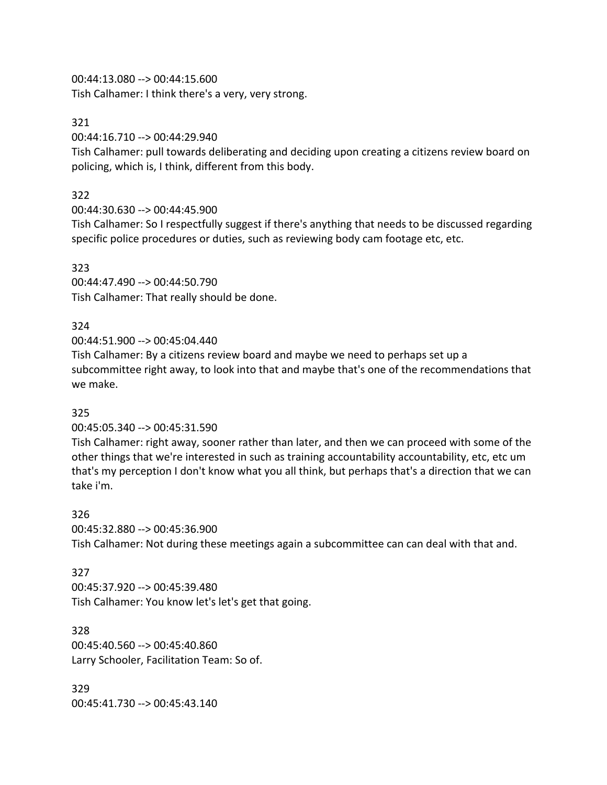00:44:13.080 --> 00:44:15.600

Tish Calhamer: I think there's a very, very strong.

### 321

00:44:16.710 --> 00:44:29.940

Tish Calhamer: pull towards deliberating and deciding upon creating a citizens review board on policing, which is, I think, different from this body.

## 322

00:44:30.630 --> 00:44:45.900

Tish Calhamer: So I respectfully suggest if there's anything that needs to be discussed regarding specific police procedures or duties, such as reviewing body cam footage etc, etc.

### 323 00:44:47.490 --> 00:44:50.790 Tish Calhamer: That really should be done.

# 324

00:44:51.900 --> 00:45:04.440

Tish Calhamer: By a citizens review board and maybe we need to perhaps set up a subcommittee right away, to look into that and maybe that's one of the recommendations that we make.

## 325

00:45:05.340 --> 00:45:31.590

Tish Calhamer: right away, sooner rather than later, and then we can proceed with some of the other things that we're interested in such as training accountability accountability, etc, etc um that's my perception I don't know what you all think, but perhaps that's a direction that we can take i'm.

#### 326

00:45:32.880 --> 00:45:36.900

Tish Calhamer: Not during these meetings again a subcommittee can can deal with that and.

## 327

00:45:37.920 --> 00:45:39.480 Tish Calhamer: You know let's let's get that going.

328 00:45:40.560 --> 00:45:40.860 Larry Schooler, Facilitation Team: So of.

329 00:45:41.730 --> 00:45:43.140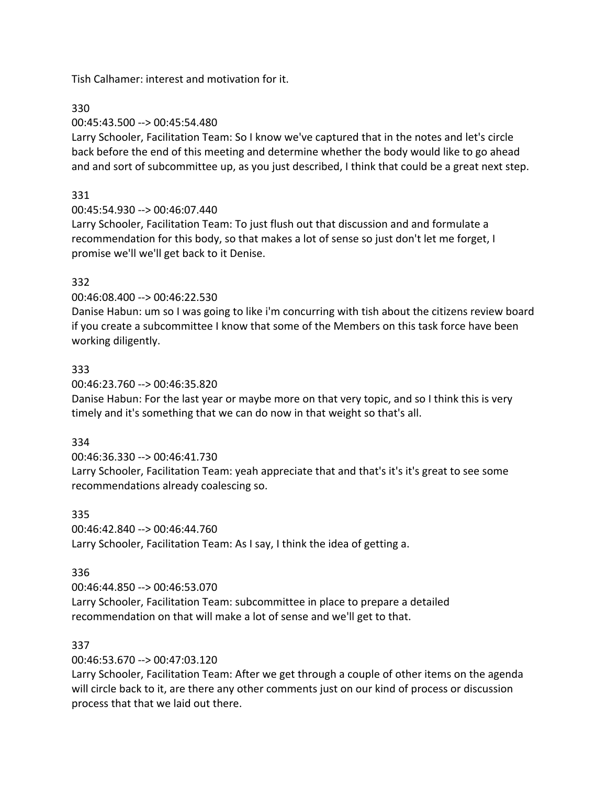Tish Calhamer: interest and motivation for it.

330

00:45:43.500 --> 00:45:54.480

Larry Schooler, Facilitation Team: So I know we've captured that in the notes and let's circle back before the end of this meeting and determine whether the body would like to go ahead and and sort of subcommittee up, as you just described, I think that could be a great next step.

# 331

00:45:54.930 --> 00:46:07.440

Larry Schooler, Facilitation Team: To just flush out that discussion and and formulate a recommendation for this body, so that makes a lot of sense so just don't let me forget, I promise we'll we'll get back to it Denise.

# 332

00:46:08.400 --> 00:46:22.530

Danise Habun: um so I was going to like i'm concurring with tish about the citizens review board if you create a subcommittee I know that some of the Members on this task force have been working diligently.

# 333

00:46:23.760 --> 00:46:35.820

Danise Habun: For the last year or maybe more on that very topic, and so I think this is very timely and it's something that we can do now in that weight so that's all.

# 334

00:46:36.330 --> 00:46:41.730 Larry Schooler, Facilitation Team: yeah appreciate that and that's it's it's great to see some recommendations already coalescing so.

## 335

00:46:42.840 --> 00:46:44.760 Larry Schooler, Facilitation Team: As I say, I think the idea of getting a.

# 336

00:46:44.850 --> 00:46:53.070

Larry Schooler, Facilitation Team: subcommittee in place to prepare a detailed recommendation on that will make a lot of sense and we'll get to that.

# 337

00:46:53.670 --> 00:47:03.120

Larry Schooler, Facilitation Team: After we get through a couple of other items on the agenda will circle back to it, are there any other comments just on our kind of process or discussion process that that we laid out there.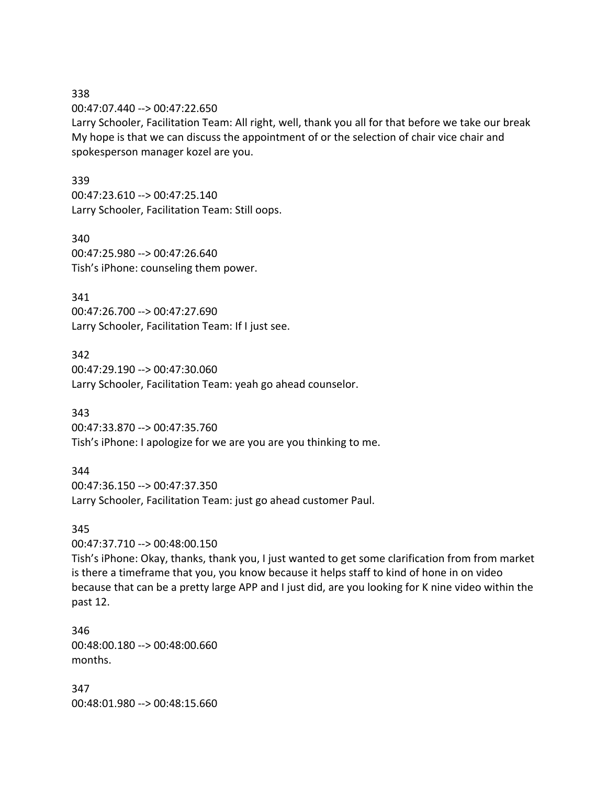00:47:07.440 --> 00:47:22.650

Larry Schooler, Facilitation Team: All right, well, thank you all for that before we take our break My hope is that we can discuss the appointment of or the selection of chair vice chair and spokesperson manager kozel are you.

#### 339

00:47:23.610 --> 00:47:25.140 Larry Schooler, Facilitation Team: Still oops.

340 00:47:25.980 --> 00:47:26.640 Tish's iPhone: counseling them power.

341

00:47:26.700 --> 00:47:27.690 Larry Schooler, Facilitation Team: If I just see.

342

00:47:29.190 --> 00:47:30.060 Larry Schooler, Facilitation Team: yeah go ahead counselor.

343

00:47:33.870 --> 00:47:35.760 Tish's iPhone: I apologize for we are you are you thinking to me.

## 344

00:47:36.150 --> 00:47:37.350 Larry Schooler, Facilitation Team: just go ahead customer Paul.

## 345

00:47:37.710 --> 00:48:00.150

Tish's iPhone: Okay, thanks, thank you, I just wanted to get some clarification from from market is there a timeframe that you, you know because it helps staff to kind of hone in on video because that can be a pretty large APP and I just did, are you looking for K nine video within the past 12.

346 00:48:00.180 --> 00:48:00.660 months.

347 00:48:01.980 --> 00:48:15.660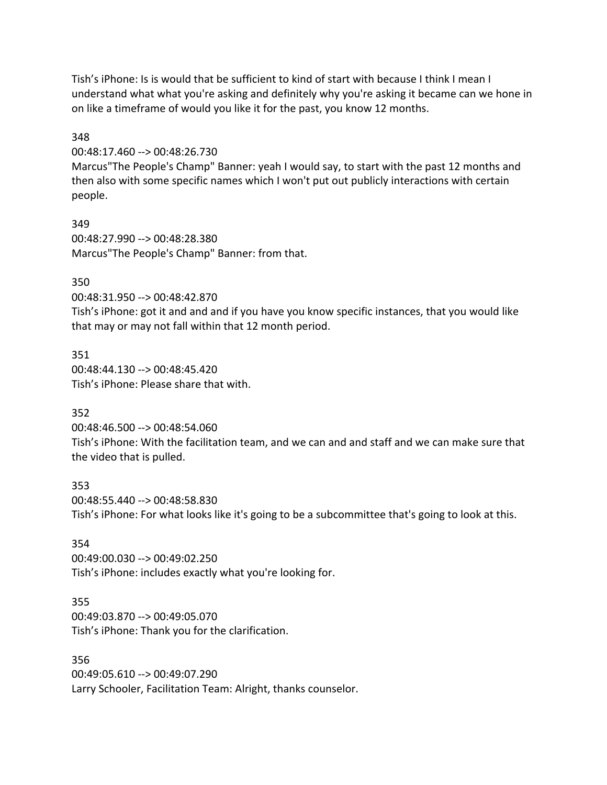Tish's iPhone: Is is would that be sufficient to kind of start with because I think I mean I understand what what you're asking and definitely why you're asking it became can we hone in on like a timeframe of would you like it for the past, you know 12 months.

#### 348

00:48:17.460 --> 00:48:26.730

Marcus"The People's Champ" Banner: yeah I would say, to start with the past 12 months and then also with some specific names which I won't put out publicly interactions with certain people.

349 00:48:27.990 --> 00:48:28.380 Marcus"The People's Champ" Banner: from that.

### 350

00:48:31.950 --> 00:48:42.870

Tish's iPhone: got it and and and if you have you know specific instances, that you would like that may or may not fall within that 12 month period.

351 00:48:44.130 --> 00:48:45.420 Tish's iPhone: Please share that with.

## 352

00:48:46.500 --> 00:48:54.060 Tish's iPhone: With the facilitation team, and we can and and staff and we can make sure that the video that is pulled.

353 00:48:55.440 --> 00:48:58.830 Tish's iPhone: For what looks like it's going to be a subcommittee that's going to look at this.

#### 354

00:49:00.030 --> 00:49:02.250 Tish's iPhone: includes exactly what you're looking for.

## 355

00:49:03.870 --> 00:49:05.070 Tish's iPhone: Thank you for the clarification.

356

00:49:05.610 --> 00:49:07.290 Larry Schooler, Facilitation Team: Alright, thanks counselor.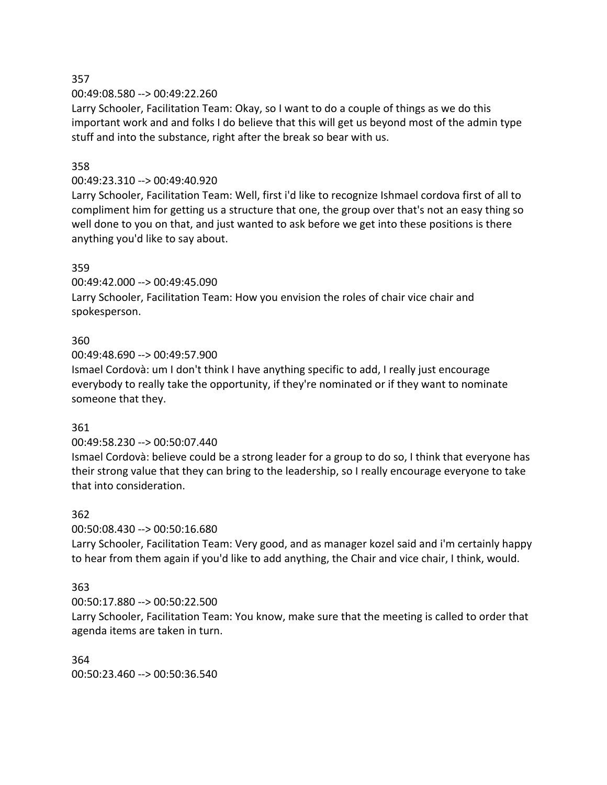00:49:08.580 --> 00:49:22.260

Larry Schooler, Facilitation Team: Okay, so I want to do a couple of things as we do this important work and and folks I do believe that this will get us beyond most of the admin type stuff and into the substance, right after the break so bear with us.

### 358

#### 00:49:23.310 --> 00:49:40.920

Larry Schooler, Facilitation Team: Well, first i'd like to recognize Ishmael cordova first of all to compliment him for getting us a structure that one, the group over that's not an easy thing so well done to you on that, and just wanted to ask before we get into these positions is there anything you'd like to say about.

#### 359

00:49:42.000 --> 00:49:45.090

Larry Schooler, Facilitation Team: How you envision the roles of chair vice chair and spokesperson.

### 360

00:49:48.690 --> 00:49:57.900

Ismael Cordovà: um I don't think I have anything specific to add, I really just encourage everybody to really take the opportunity, if they're nominated or if they want to nominate someone that they.

#### 361

#### 00:49:58.230 --> 00:50:07.440

Ismael Cordovà: believe could be a strong leader for a group to do so, I think that everyone has their strong value that they can bring to the leadership, so I really encourage everyone to take that into consideration.

#### 362

00:50:08.430 --> 00:50:16.680

Larry Schooler, Facilitation Team: Very good, and as manager kozel said and i'm certainly happy to hear from them again if you'd like to add anything, the Chair and vice chair, I think, would.

#### 363

00:50:17.880 --> 00:50:22.500

Larry Schooler, Facilitation Team: You know, make sure that the meeting is called to order that agenda items are taken in turn.

## 364

00:50:23.460 --> 00:50:36.540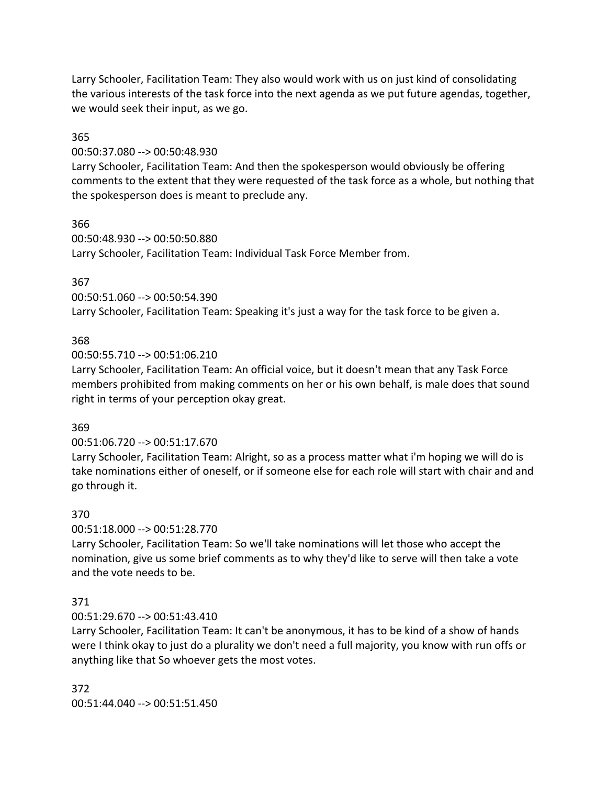Larry Schooler, Facilitation Team: They also would work with us on just kind of consolidating the various interests of the task force into the next agenda as we put future agendas, together, we would seek their input, as we go.

#### 365

00:50:37.080 --> 00:50:48.930

Larry Schooler, Facilitation Team: And then the spokesperson would obviously be offering comments to the extent that they were requested of the task force as a whole, but nothing that the spokesperson does is meant to preclude any.

366

00:50:48.930 --> 00:50:50.880

Larry Schooler, Facilitation Team: Individual Task Force Member from.

### 367

00:50:51.060 --> 00:50:54.390 Larry Schooler, Facilitation Team: Speaking it's just a way for the task force to be given a.

## 368

00:50:55.710 --> 00:51:06.210

Larry Schooler, Facilitation Team: An official voice, but it doesn't mean that any Task Force members prohibited from making comments on her or his own behalf, is male does that sound right in terms of your perception okay great.

## 369

00:51:06.720 --> 00:51:17.670

Larry Schooler, Facilitation Team: Alright, so as a process matter what i'm hoping we will do is take nominations either of oneself, or if someone else for each role will start with chair and and go through it.

## 370

00:51:18.000 --> 00:51:28.770

Larry Schooler, Facilitation Team: So we'll take nominations will let those who accept the nomination, give us some brief comments as to why they'd like to serve will then take a vote and the vote needs to be.

## 371

00:51:29.670 --> 00:51:43.410

Larry Schooler, Facilitation Team: It can't be anonymous, it has to be kind of a show of hands were I think okay to just do a plurality we don't need a full majority, you know with run offs or anything like that So whoever gets the most votes.

372 00:51:44.040 --> 00:51:51.450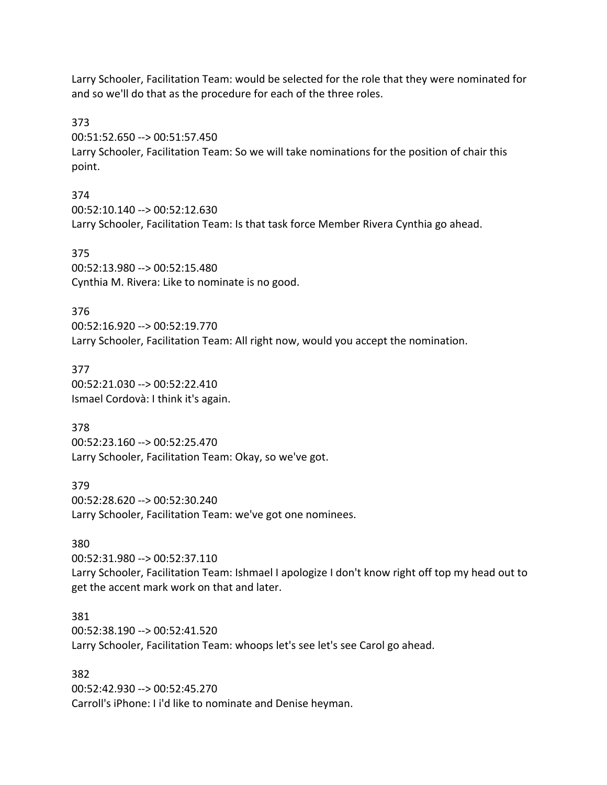Larry Schooler, Facilitation Team: would be selected for the role that they were nominated for and so we'll do that as the procedure for each of the three roles.

373

00:51:52.650 --> 00:51:57.450

Larry Schooler, Facilitation Team: So we will take nominations for the position of chair this point.

374

00:52:10.140 --> 00:52:12.630 Larry Schooler, Facilitation Team: Is that task force Member Rivera Cynthia go ahead.

375 00:52:13.980 --> 00:52:15.480 Cynthia M. Rivera: Like to nominate is no good.

376

00:52:16.920 --> 00:52:19.770 Larry Schooler, Facilitation Team: All right now, would you accept the nomination.

377 00:52:21.030 --> 00:52:22.410 Ismael Cordovà: I think it's again.

378 00:52:23.160 --> 00:52:25.470 Larry Schooler, Facilitation Team: Okay, so we've got.

379 00:52:28.620 --> 00:52:30.240 Larry Schooler, Facilitation Team: we've got one nominees.

## 380

00:52:31.980 --> 00:52:37.110 Larry Schooler, Facilitation Team: Ishmael I apologize I don't know right off top my head out to get the accent mark work on that and later.

## 381

00:52:38.190 --> 00:52:41.520 Larry Schooler, Facilitation Team: whoops let's see let's see Carol go ahead.

#### 382

00:52:42.930 --> 00:52:45.270 Carroll's iPhone: I i'd like to nominate and Denise heyman.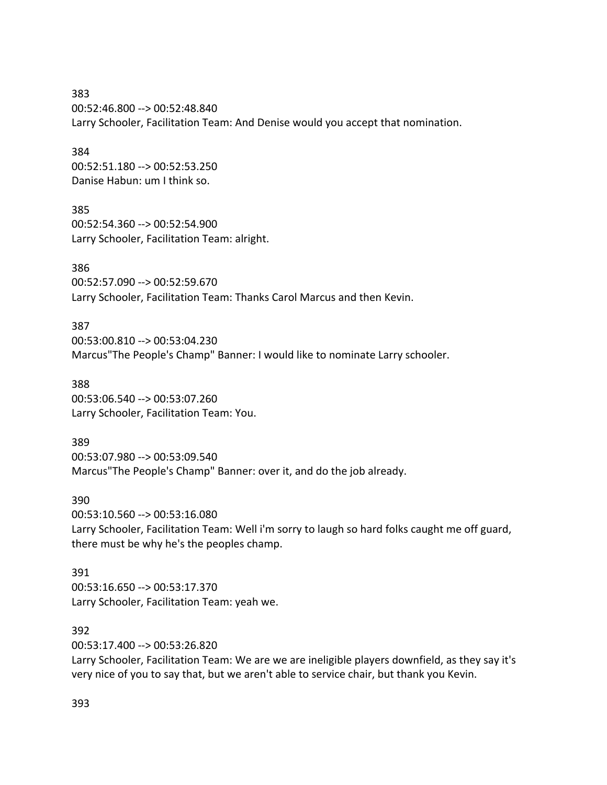383 00:52:46.800 --> 00:52:48.840 Larry Schooler, Facilitation Team: And Denise would you accept that nomination.

384 00:52:51.180 --> 00:52:53.250 Danise Habun: um I think so.

385 00:52:54.360 --> 00:52:54.900 Larry Schooler, Facilitation Team: alright.

386 00:52:57.090 --> 00:52:59.670 Larry Schooler, Facilitation Team: Thanks Carol Marcus and then Kevin.

387 00:53:00.810 --> 00:53:04.230 Marcus"The People's Champ" Banner: I would like to nominate Larry schooler.

388 00:53:06.540 --> 00:53:07.260 Larry Schooler, Facilitation Team: You.

389 00:53:07.980 --> 00:53:09.540 Marcus"The People's Champ" Banner: over it, and do the job already.

390 00:53:10.560 --> 00:53:16.080 Larry Schooler, Facilitation Team: Well i'm sorry to laugh so hard folks caught me off guard, there must be why he's the peoples champ.

391 00:53:16.650 --> 00:53:17.370 Larry Schooler, Facilitation Team: yeah we.

392

00:53:17.400 --> 00:53:26.820

Larry Schooler, Facilitation Team: We are we are ineligible players downfield, as they say it's very nice of you to say that, but we aren't able to service chair, but thank you Kevin.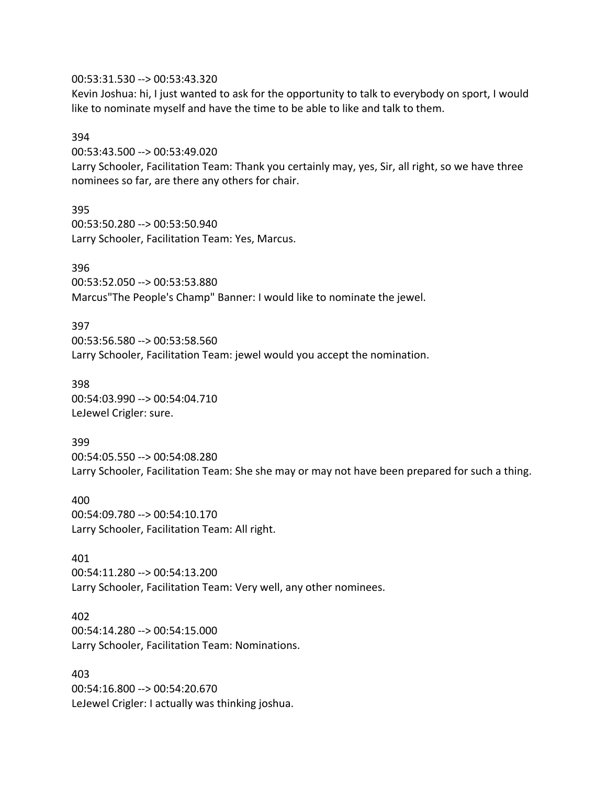#### 00:53:31.530 --> 00:53:43.320

Kevin Joshua: hi, I just wanted to ask for the opportunity to talk to everybody on sport, I would like to nominate myself and have the time to be able to like and talk to them.

#### 394

00:53:43.500 --> 00:53:49.020

Larry Schooler, Facilitation Team: Thank you certainly may, yes, Sir, all right, so we have three nominees so far, are there any others for chair.

395 00:53:50.280 --> 00:53:50.940 Larry Schooler, Facilitation Team: Yes, Marcus.

396

00:53:52.050 --> 00:53:53.880 Marcus"The People's Champ" Banner: I would like to nominate the jewel.

397 00:53:56.580 --> 00:53:58.560 Larry Schooler, Facilitation Team: jewel would you accept the nomination.

398 00:54:03.990 --> 00:54:04.710 LeJewel Crigler: sure.

399 00:54:05.550 --> 00:54:08.280 Larry Schooler, Facilitation Team: She she may or may not have been prepared for such a thing.

400 00:54:09.780 --> 00:54:10.170 Larry Schooler, Facilitation Team: All right.

401 00:54:11.280 --> 00:54:13.200 Larry Schooler, Facilitation Team: Very well, any other nominees.

402 00:54:14.280 --> 00:54:15.000 Larry Schooler, Facilitation Team: Nominations.

403 00:54:16.800 --> 00:54:20.670 LeJewel Crigler: I actually was thinking joshua.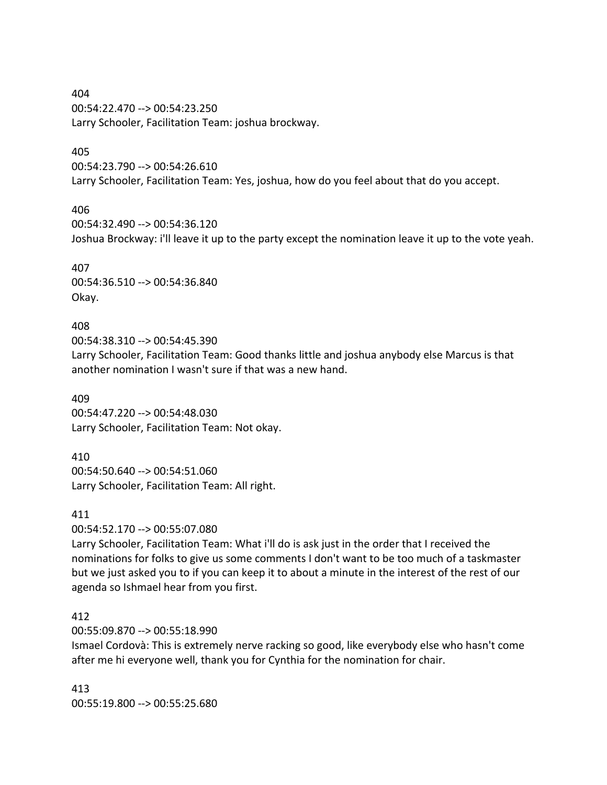404 00:54:22.470 --> 00:54:23.250 Larry Schooler, Facilitation Team: joshua brockway.

#### 405

00:54:23.790 --> 00:54:26.610 Larry Schooler, Facilitation Team: Yes, joshua, how do you feel about that do you accept.

### 406

00:54:32.490 --> 00:54:36.120 Joshua Brockway: i'll leave it up to the party except the nomination leave it up to the vote yeah.

407 00:54:36.510 --> 00:54:36.840 Okay.

### 408

00:54:38.310 --> 00:54:45.390

Larry Schooler, Facilitation Team: Good thanks little and joshua anybody else Marcus is that another nomination I wasn't sure if that was a new hand.

409 00:54:47.220 --> 00:54:48.030 Larry Schooler, Facilitation Team: Not okay.

410

00:54:50.640 --> 00:54:51.060 Larry Schooler, Facilitation Team: All right.

#### 411

00:54:52.170 --> 00:55:07.080

Larry Schooler, Facilitation Team: What i'll do is ask just in the order that I received the nominations for folks to give us some comments I don't want to be too much of a taskmaster but we just asked you to if you can keep it to about a minute in the interest of the rest of our agenda so Ishmael hear from you first.

## 412

00:55:09.870 --> 00:55:18.990

Ismael Cordovà: This is extremely nerve racking so good, like everybody else who hasn't come after me hi everyone well, thank you for Cynthia for the nomination for chair.

413 00:55:19.800 --> 00:55:25.680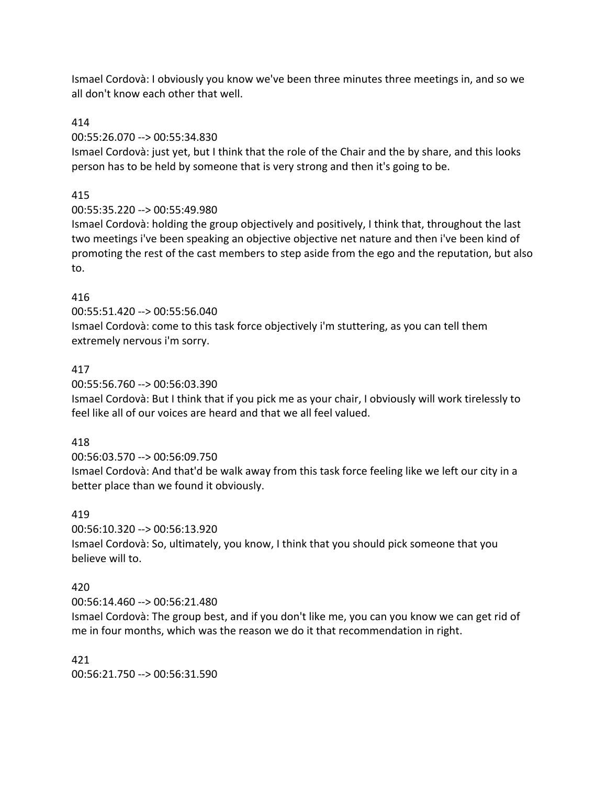Ismael Cordovà: I obviously you know we've been three minutes three meetings in, and so we all don't know each other that well.

### 414

### 00:55:26.070 --> 00:55:34.830

Ismael Cordovà: just yet, but I think that the role of the Chair and the by share, and this looks person has to be held by someone that is very strong and then it's going to be.

## 415

## 00:55:35.220 --> 00:55:49.980

Ismael Cordovà: holding the group objectively and positively, I think that, throughout the last two meetings i've been speaking an objective objective net nature and then i've been kind of promoting the rest of the cast members to step aside from the ego and the reputation, but also to.

## 416

00:55:51.420 --> 00:55:56.040

Ismael Cordovà: come to this task force objectively i'm stuttering, as you can tell them extremely nervous i'm sorry.

## 417

00:55:56.760 --> 00:56:03.390

Ismael Cordovà: But I think that if you pick me as your chair, I obviously will work tirelessly to feel like all of our voices are heard and that we all feel valued.

## 418

00:56:03.570 --> 00:56:09.750 Ismael Cordovà: And that'd be walk away from this task force feeling like we left our city in a better place than we found it obviously.

## 419

00:56:10.320 --> 00:56:13.920

Ismael Cordovà: So, ultimately, you know, I think that you should pick someone that you believe will to.

## 420

00:56:14.460 --> 00:56:21.480

Ismael Cordovà: The group best, and if you don't like me, you can you know we can get rid of me in four months, which was the reason we do it that recommendation in right.

#### 421 00:56:21.750 --> 00:56:31.590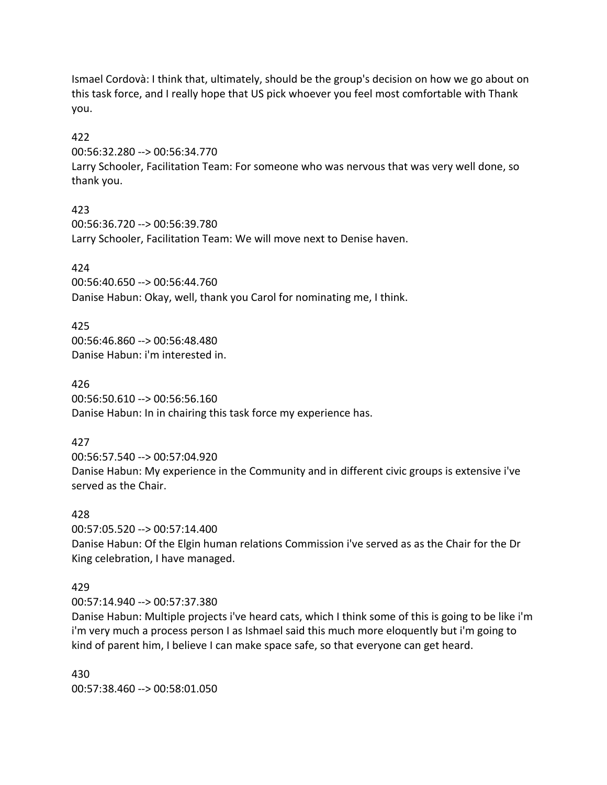Ismael Cordovà: I think that, ultimately, should be the group's decision on how we go about on this task force, and I really hope that US pick whoever you feel most comfortable with Thank you.

### 422

00:56:32.280 --> 00:56:34.770

Larry Schooler, Facilitation Team: For someone who was nervous that was very well done, so thank you.

## 423

00:56:36.720 --> 00:56:39.780 Larry Schooler, Facilitation Team: We will move next to Denise haven.

# 424

00:56:40.650 --> 00:56:44.760 Danise Habun: Okay, well, thank you Carol for nominating me, I think.

# 425

00:56:46.860 --> 00:56:48.480 Danise Habun: i'm interested in.

426 00:56:50.610 --> 00:56:56.160 Danise Habun: In in chairing this task force my experience has.

# 427

00:56:57.540 --> 00:57:04.920 Danise Habun: My experience in the Community and in different civic groups is extensive i've served as the Chair.

## 428

00:57:05.520 --> 00:57:14.400 Danise Habun: Of the Elgin human relations Commission i've served as as the Chair for the Dr King celebration, I have managed.

# 429

00:57:14.940 --> 00:57:37.380

Danise Habun: Multiple projects i've heard cats, which I think some of this is going to be like i'm i'm very much a process person I as Ishmael said this much more eloquently but i'm going to kind of parent him, I believe I can make space safe, so that everyone can get heard.

430 00:57:38.460 --> 00:58:01.050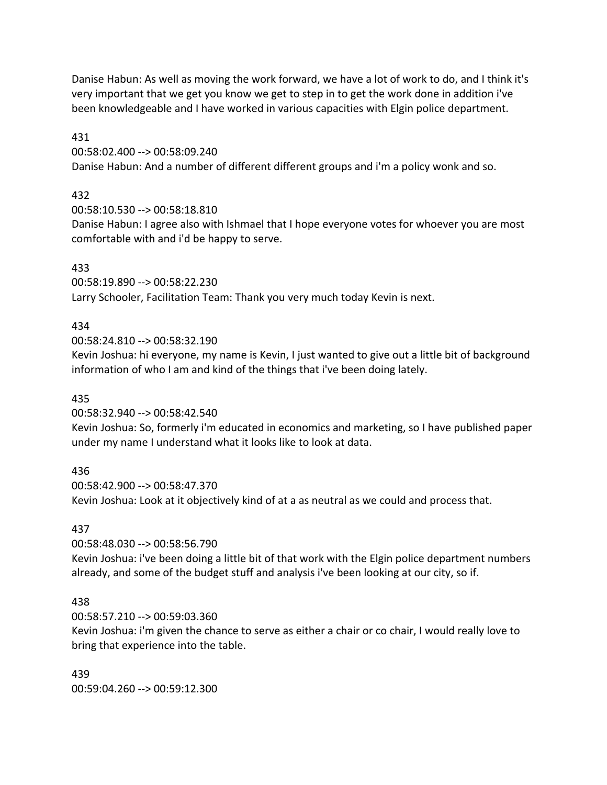Danise Habun: As well as moving the work forward, we have a lot of work to do, and I think it's very important that we get you know we get to step in to get the work done in addition i've been knowledgeable and I have worked in various capacities with Elgin police department.

431

00:58:02.400 --> 00:58:09.240

Danise Habun: And a number of different different groups and i'm a policy wonk and so.

# 432

00:58:10.530 --> 00:58:18.810

Danise Habun: I agree also with Ishmael that I hope everyone votes for whoever you are most comfortable with and i'd be happy to serve.

## 433

00:58:19.890 --> 00:58:22.230 Larry Schooler, Facilitation Team: Thank you very much today Kevin is next.

# 434

00:58:24.810 --> 00:58:32.190

Kevin Joshua: hi everyone, my name is Kevin, I just wanted to give out a little bit of background information of who I am and kind of the things that i've been doing lately.

## 435

00:58:32.940 --> 00:58:42.540

Kevin Joshua: So, formerly i'm educated in economics and marketing, so I have published paper under my name I understand what it looks like to look at data.

## 436

00:58:42.900 --> 00:58:47.370 Kevin Joshua: Look at it objectively kind of at a as neutral as we could and process that.

# 437

00:58:48.030 --> 00:58:56.790

Kevin Joshua: i've been doing a little bit of that work with the Elgin police department numbers already, and some of the budget stuff and analysis i've been looking at our city, so if.

## 438

00:58:57.210 --> 00:59:03.360

Kevin Joshua: i'm given the chance to serve as either a chair or co chair, I would really love to bring that experience into the table.

439 00:59:04.260 --> 00:59:12.300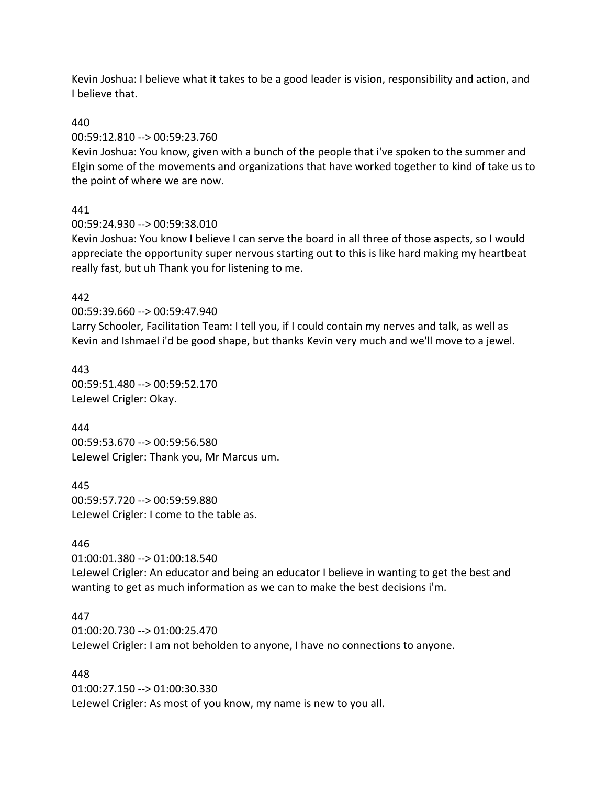Kevin Joshua: I believe what it takes to be a good leader is vision, responsibility and action, and I believe that.

#### 440

#### 00:59:12.810 --> 00:59:23.760

Kevin Joshua: You know, given with a bunch of the people that i've spoken to the summer and Elgin some of the movements and organizations that have worked together to kind of take us to the point of where we are now.

### 441

00:59:24.930 --> 00:59:38.010

Kevin Joshua: You know I believe I can serve the board in all three of those aspects, so I would appreciate the opportunity super nervous starting out to this is like hard making my heartbeat really fast, but uh Thank you for listening to me.

#### 442

00:59:39.660 --> 00:59:47.940

Larry Schooler, Facilitation Team: I tell you, if I could contain my nerves and talk, as well as Kevin and Ishmael i'd be good shape, but thanks Kevin very much and we'll move to a jewel.

443 00:59:51.480 --> 00:59:52.170 LeJewel Crigler: Okay.

444 00:59:53.670 --> 00:59:56.580 LeJewel Crigler: Thank you, Mr Marcus um.

445 00:59:57.720 --> 00:59:59.880 LeJewel Crigler: I come to the table as.

#### 446

01:00:01.380 --> 01:00:18.540 LeJewel Crigler: An educator and being an educator I believe in wanting to get the best and wanting to get as much information as we can to make the best decisions i'm.

#### 447

01:00:20.730 --> 01:00:25.470 LeJewel Crigler: I am not beholden to anyone, I have no connections to anyone.

#### 448

01:00:27.150 --> 01:00:30.330 LeJewel Crigler: As most of you know, my name is new to you all.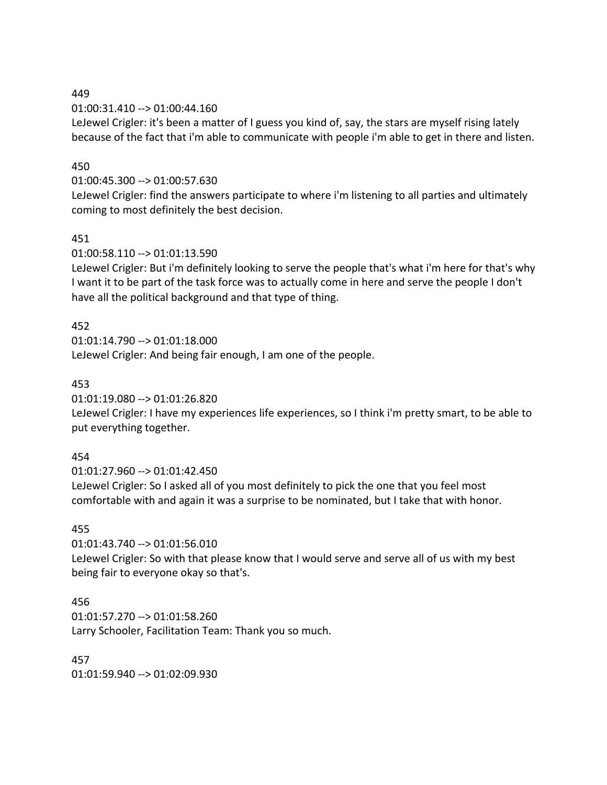01:00:31.410 --> 01:00:44.160

LeJewel Crigler: it's been a matter of I guess you kind of, say, the stars are myself rising lately because of the fact that i'm able to communicate with people i'm able to get in there and listen.

### 450

01:00:45.300 --> 01:00:57.630

LeJewel Crigler: find the answers participate to where i'm listening to all parties and ultimately coming to most definitely the best decision.

#### 451

01:00:58.110 --> 01:01:13.590

LeJewel Crigler: But i'm definitely looking to serve the people that's what i'm here for that's why I want it to be part of the task force was to actually come in here and serve the people I don't have all the political background and that type of thing.

## 452

01:01:14.790 --> 01:01:18.000 LeJewel Crigler: And being fair enough, I am one of the people.

### 453

01:01:19.080 --> 01:01:26.820

LeJewel Crigler: I have my experiences life experiences, so I think i'm pretty smart, to be able to put everything together.

## 454

01:01:27.960 --> 01:01:42.450 LeJewel Crigler: So I asked all of you most definitely to pick the one that you feel most comfortable with and again it was a surprise to be nominated, but I take that with honor.

## 455

01:01:43.740 --> 01:01:56.010

LeJewel Crigler: So with that please know that I would serve and serve all of us with my best being fair to everyone okay so that's.

#### 456

01:01:57.270 --> 01:01:58.260 Larry Schooler, Facilitation Team: Thank you so much.

457 01:01:59.940 --> 01:02:09.930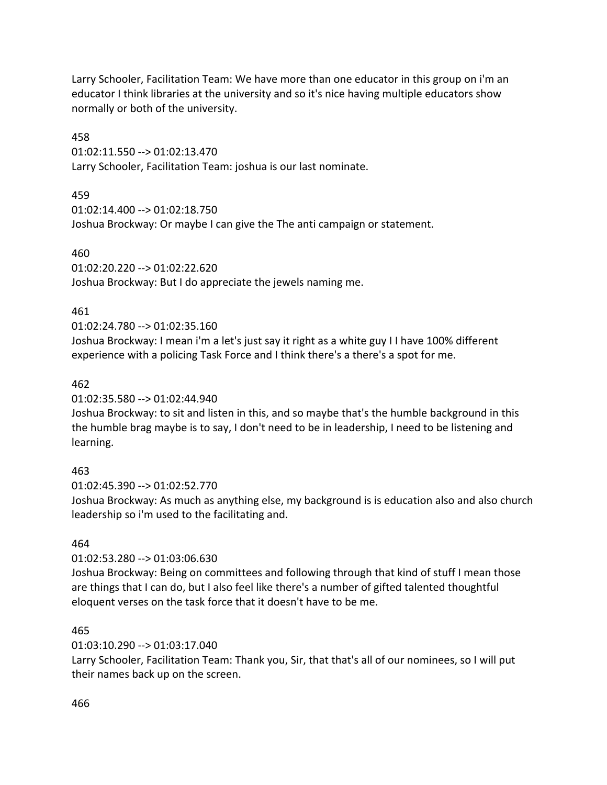Larry Schooler, Facilitation Team: We have more than one educator in this group on i'm an educator I think libraries at the university and so it's nice having multiple educators show normally or both of the university.

458

01:02:11.550 --> 01:02:13.470 Larry Schooler, Facilitation Team: joshua is our last nominate.

459

```
01:02:14.400 --> 01:02:18.750
```
Joshua Brockway: Or maybe I can give the The anti campaign or statement.

460

01:02:20.220 --> 01:02:22.620

Joshua Brockway: But I do appreciate the jewels naming me.

## 461

# 01:02:24.780 --> 01:02:35.160

Joshua Brockway: I mean i'm a let's just say it right as a white guy I I have 100% different experience with a policing Task Force and I think there's a there's a spot for me.

# 462

01:02:35.580 --> 01:02:44.940

Joshua Brockway: to sit and listen in this, and so maybe that's the humble background in this the humble brag maybe is to say, I don't need to be in leadership, I need to be listening and learning.

# 463

01:02:45.390 --> 01:02:52.770

Joshua Brockway: As much as anything else, my background is is education also and also church leadership so i'm used to the facilitating and.

# 464

01:02:53.280 --> 01:03:06.630

Joshua Brockway: Being on committees and following through that kind of stuff I mean those are things that I can do, but I also feel like there's a number of gifted talented thoughtful eloquent verses on the task force that it doesn't have to be me.

## 465

01:03:10.290 --> 01:03:17.040

Larry Schooler, Facilitation Team: Thank you, Sir, that that's all of our nominees, so I will put their names back up on the screen.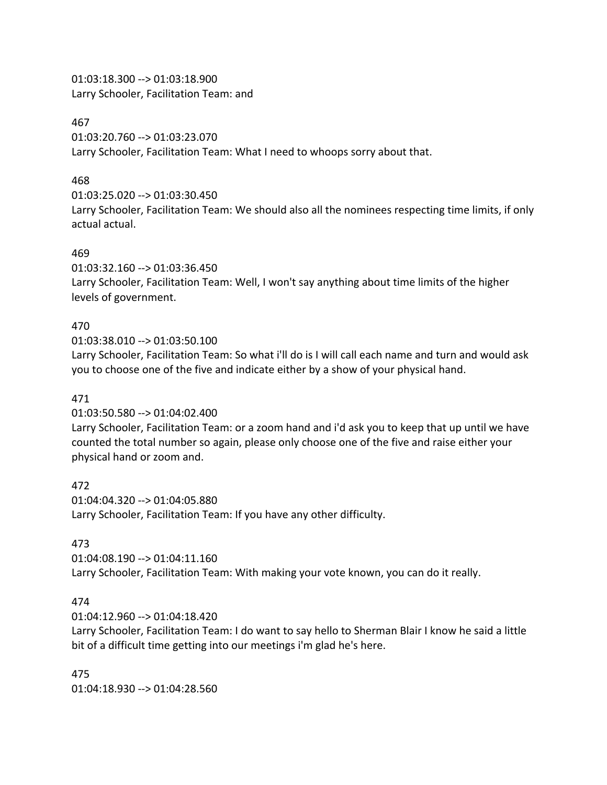01:03:18.300 --> 01:03:18.900 Larry Schooler, Facilitation Team: and

#### 467

01:03:20.760 --> 01:03:23.070 Larry Schooler, Facilitation Team: What I need to whoops sorry about that.

## 468

01:03:25.020 --> 01:03:30.450

Larry Schooler, Facilitation Team: We should also all the nominees respecting time limits, if only actual actual.

## 469

01:03:32.160 --> 01:03:36.450

Larry Schooler, Facilitation Team: Well, I won't say anything about time limits of the higher levels of government.

# 470

01:03:38.010 --> 01:03:50.100

Larry Schooler, Facilitation Team: So what i'll do is I will call each name and turn and would ask you to choose one of the five and indicate either by a show of your physical hand.

## 471

01:03:50.580 --> 01:04:02.400

Larry Schooler, Facilitation Team: or a zoom hand and i'd ask you to keep that up until we have counted the total number so again, please only choose one of the five and raise either your physical hand or zoom and.

472 01:04:04.320 --> 01:04:05.880 Larry Schooler, Facilitation Team: If you have any other difficulty.

# 473

01:04:08.190 --> 01:04:11.160 Larry Schooler, Facilitation Team: With making your vote known, you can do it really.

# 474

01:04:12.960 --> 01:04:18.420

Larry Schooler, Facilitation Team: I do want to say hello to Sherman Blair I know he said a little bit of a difficult time getting into our meetings i'm glad he's here.

475 01:04:18.930 --> 01:04:28.560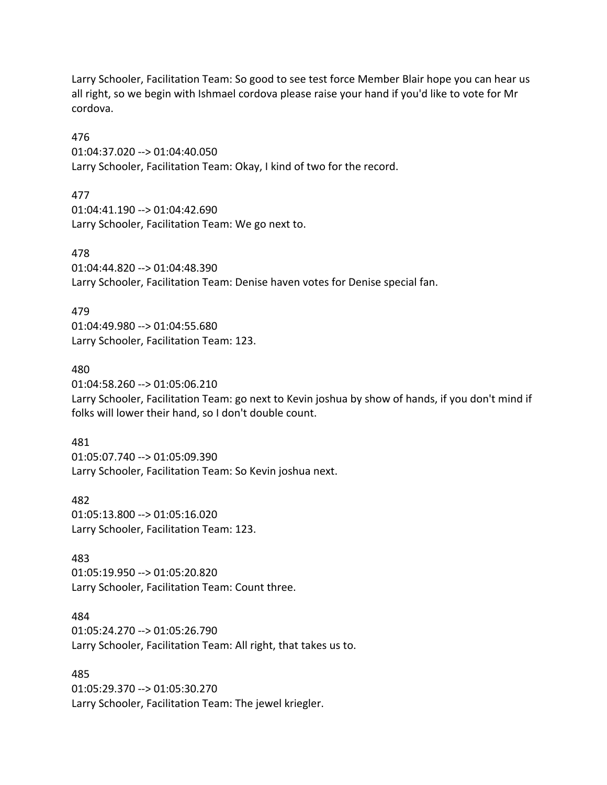Larry Schooler, Facilitation Team: So good to see test force Member Blair hope you can hear us all right, so we begin with Ishmael cordova please raise your hand if you'd like to vote for Mr cordova.

476

01:04:37.020 --> 01:04:40.050 Larry Schooler, Facilitation Team: Okay, I kind of two for the record.

477

01:04:41.190 --> 01:04:42.690 Larry Schooler, Facilitation Team: We go next to.

478 01:04:44.820 --> 01:04:48.390 Larry Schooler, Facilitation Team: Denise haven votes for Denise special fan.

479

01:04:49.980 --> 01:04:55.680 Larry Schooler, Facilitation Team: 123.

480

01:04:58.260 --> 01:05:06.210 Larry Schooler, Facilitation Team: go next to Kevin joshua by show of hands, if you don't mind if folks will lower their hand, so I don't double count.

481 01:05:07.740 --> 01:05:09.390 Larry Schooler, Facilitation Team: So Kevin joshua next.

482 01:05:13.800 --> 01:05:16.020 Larry Schooler, Facilitation Team: 123.

483 01:05:19.950 --> 01:05:20.820 Larry Schooler, Facilitation Team: Count three.

484 01:05:24.270 --> 01:05:26.790 Larry Schooler, Facilitation Team: All right, that takes us to.

485 01:05:29.370 --> 01:05:30.270 Larry Schooler, Facilitation Team: The jewel kriegler.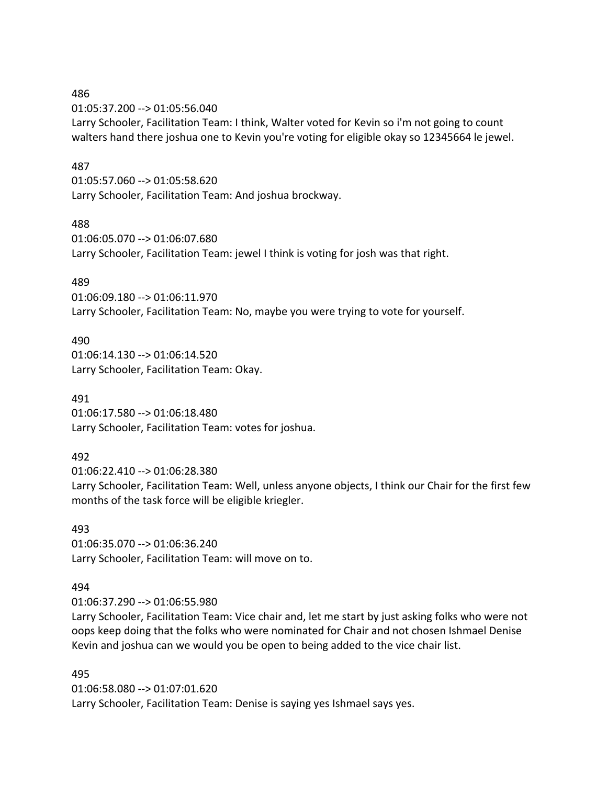01:05:37.200 --> 01:05:56.040 Larry Schooler, Facilitation Team: I think, Walter voted for Kevin so i'm not going to count walters hand there joshua one to Kevin you're voting for eligible okay so 12345664 le jewel.

#### 487

01:05:57.060 --> 01:05:58.620 Larry Schooler, Facilitation Team: And joshua brockway.

#### 488

01:06:05.070 --> 01:06:07.680 Larry Schooler, Facilitation Team: jewel I think is voting for josh was that right.

### 489

01:06:09.180 --> 01:06:11.970 Larry Schooler, Facilitation Team: No, maybe you were trying to vote for yourself.

#### 490

01:06:14.130 --> 01:06:14.520 Larry Schooler, Facilitation Team: Okay.

#### 491

01:06:17.580 --> 01:06:18.480 Larry Schooler, Facilitation Team: votes for joshua.

## 492

01:06:22.410 --> 01:06:28.380

Larry Schooler, Facilitation Team: Well, unless anyone objects, I think our Chair for the first few months of the task force will be eligible kriegler.

#### 493

01:06:35.070 --> 01:06:36.240 Larry Schooler, Facilitation Team: will move on to.

#### 494

01:06:37.290 --> 01:06:55.980

Larry Schooler, Facilitation Team: Vice chair and, let me start by just asking folks who were not oops keep doing that the folks who were nominated for Chair and not chosen Ishmael Denise Kevin and joshua can we would you be open to being added to the vice chair list.

#### 495

01:06:58.080 --> 01:07:01.620 Larry Schooler, Facilitation Team: Denise is saying yes Ishmael says yes.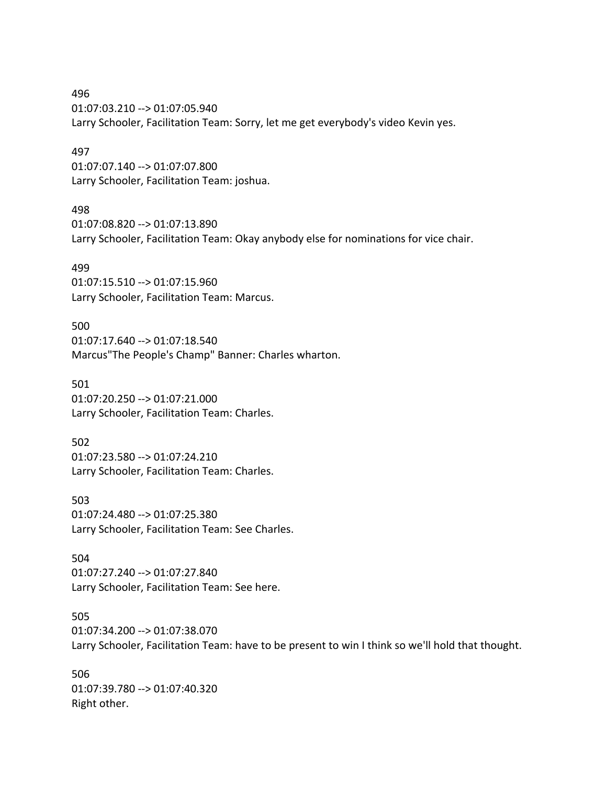496 01:07:03.210 --> 01:07:05.940 Larry Schooler, Facilitation Team: Sorry, let me get everybody's video Kevin yes.

#### 497

01:07:07.140 --> 01:07:07.800 Larry Schooler, Facilitation Team: joshua.

#### 498

01:07:08.820 --> 01:07:13.890 Larry Schooler, Facilitation Team: Okay anybody else for nominations for vice chair.

#### 499

01:07:15.510 --> 01:07:15.960 Larry Schooler, Facilitation Team: Marcus.

500 01:07:17.640 --> 01:07:18.540 Marcus"The People's Champ" Banner: Charles wharton.

501 01:07:20.250 --> 01:07:21.000 Larry Schooler, Facilitation Team: Charles.

502 01:07:23.580 --> 01:07:24.210 Larry Schooler, Facilitation Team: Charles.

503 01:07:24.480 --> 01:07:25.380 Larry Schooler, Facilitation Team: See Charles.

504 01:07:27.240 --> 01:07:27.840 Larry Schooler, Facilitation Team: See here.

### 505

01:07:34.200 --> 01:07:38.070 Larry Schooler, Facilitation Team: have to be present to win I think so we'll hold that thought.

506 01:07:39.780 --> 01:07:40.320 Right other.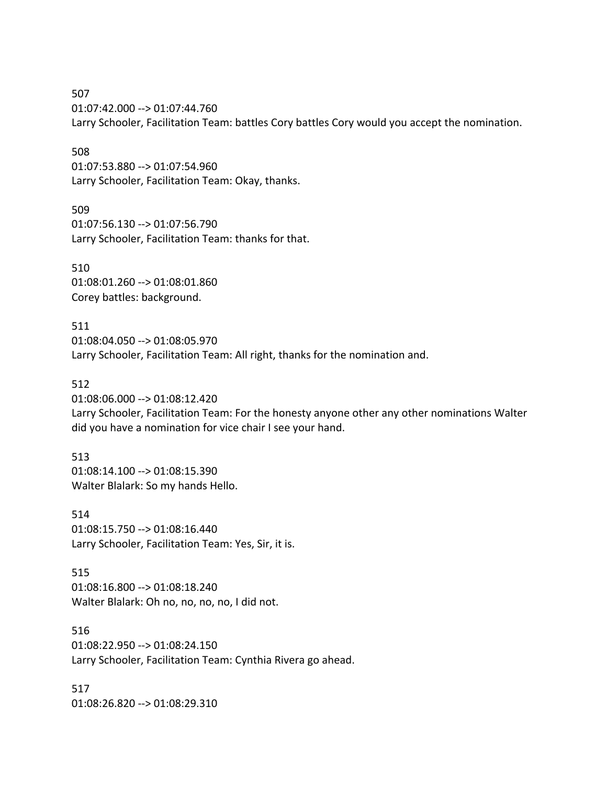507 01:07:42.000 --> 01:07:44.760 Larry Schooler, Facilitation Team: battles Cory battles Cory would you accept the nomination.

508

01:07:53.880 --> 01:07:54.960 Larry Schooler, Facilitation Team: Okay, thanks.

509 01:07:56.130 --> 01:07:56.790 Larry Schooler, Facilitation Team: thanks for that.

510 01:08:01.260 --> 01:08:01.860 Corey battles: background.

511 01:08:04.050 --> 01:08:05.970 Larry Schooler, Facilitation Team: All right, thanks for the nomination and.

512

01:08:06.000 --> 01:08:12.420

Larry Schooler, Facilitation Team: For the honesty anyone other any other nominations Walter did you have a nomination for vice chair I see your hand.

513 01:08:14.100 --> 01:08:15.390 Walter Blalark: So my hands Hello.

514 01:08:15.750 --> 01:08:16.440 Larry Schooler, Facilitation Team: Yes, Sir, it is.

515 01:08:16.800 --> 01:08:18.240 Walter Blalark: Oh no, no, no, no, I did not.

516 01:08:22.950 --> 01:08:24.150 Larry Schooler, Facilitation Team: Cynthia Rivera go ahead.

517 01:08:26.820 --> 01:08:29.310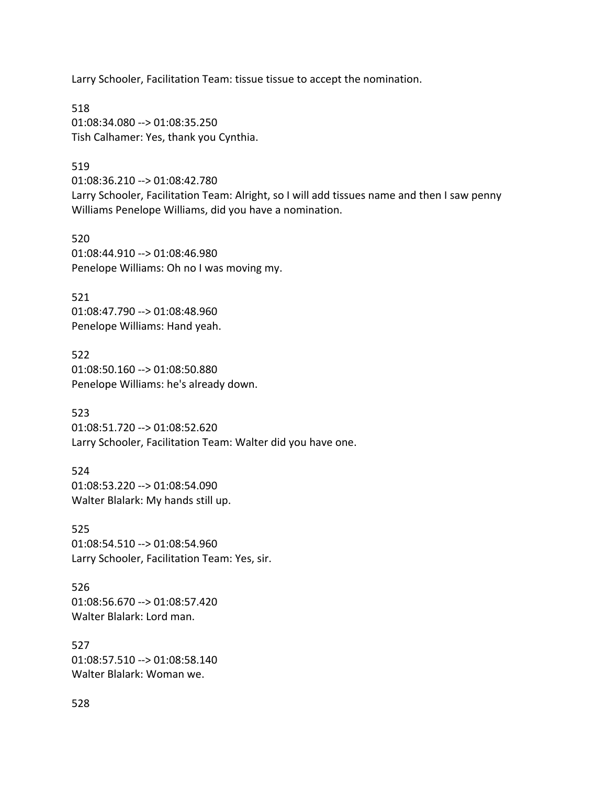Larry Schooler, Facilitation Team: tissue tissue to accept the nomination.

518 01:08:34.080 --> 01:08:35.250 Tish Calhamer: Yes, thank you Cynthia.

#### 519

01:08:36.210 --> 01:08:42.780 Larry Schooler, Facilitation Team: Alright, so I will add tissues name and then I saw penny Williams Penelope Williams, did you have a nomination.

520 01:08:44.910 --> 01:08:46.980 Penelope Williams: Oh no I was moving my.

521 01:08:47.790 --> 01:08:48.960 Penelope Williams: Hand yeah.

522 01:08:50.160 --> 01:08:50.880 Penelope Williams: he's already down.

523 01:08:51.720 --> 01:08:52.620 Larry Schooler, Facilitation Team: Walter did you have one.

524 01:08:53.220 --> 01:08:54.090 Walter Blalark: My hands still up.

525 01:08:54.510 --> 01:08:54.960 Larry Schooler, Facilitation Team: Yes, sir.

526 01:08:56.670 --> 01:08:57.420 Walter Blalark: Lord man.

527 01:08:57.510 --> 01:08:58.140 Walter Blalark: Woman we.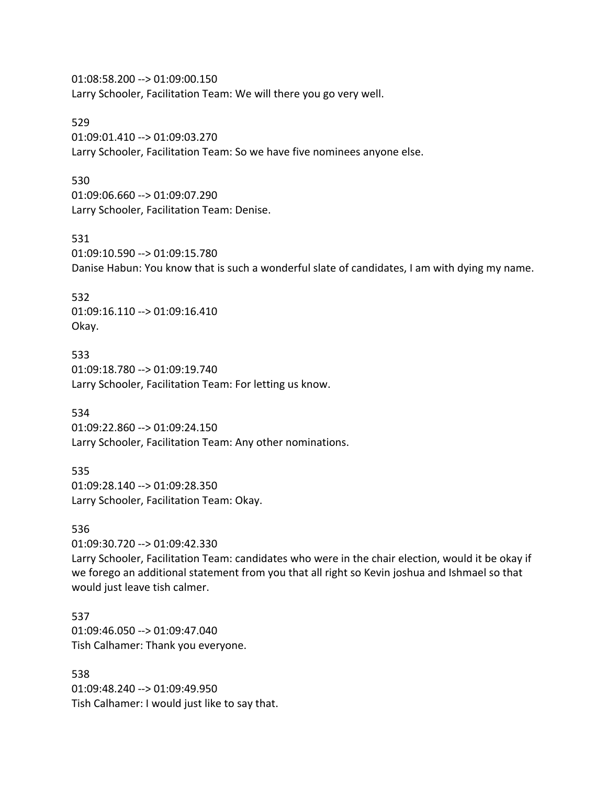01:08:58.200 --> 01:09:00.150 Larry Schooler, Facilitation Team: We will there you go very well.

529 01:09:01.410 --> 01:09:03.270 Larry Schooler, Facilitation Team: So we have five nominees anyone else.

### 530

01:09:06.660 --> 01:09:07.290 Larry Schooler, Facilitation Team: Denise.

#### 531

01:09:10.590 --> 01:09:15.780 Danise Habun: You know that is such a wonderful slate of candidates, I am with dying my name.

532

01:09:16.110 --> 01:09:16.410 Okay.

533 01:09:18.780 --> 01:09:19.740 Larry Schooler, Facilitation Team: For letting us know.

534

01:09:22.860 --> 01:09:24.150 Larry Schooler, Facilitation Team: Any other nominations.

535 01:09:28.140 --> 01:09:28.350 Larry Schooler, Facilitation Team: Okay.

#### 536

01:09:30.720 --> 01:09:42.330

Larry Schooler, Facilitation Team: candidates who were in the chair election, would it be okay if we forego an additional statement from you that all right so Kevin joshua and Ishmael so that would just leave tish calmer.

537 01:09:46.050 --> 01:09:47.040 Tish Calhamer: Thank you everyone.

538 01:09:48.240 --> 01:09:49.950 Tish Calhamer: I would just like to say that.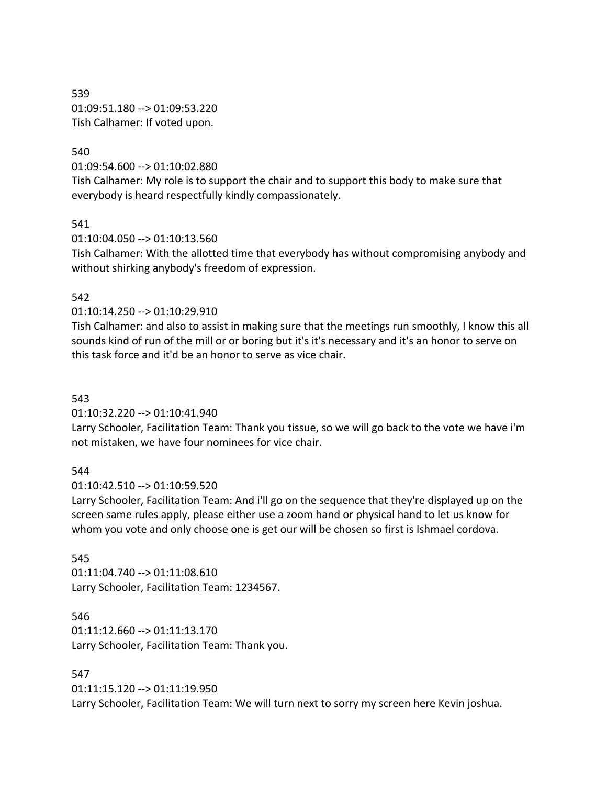539 01:09:51.180 --> 01:09:53.220 Tish Calhamer: If voted upon.

#### 540

01:09:54.600 --> 01:10:02.880

Tish Calhamer: My role is to support the chair and to support this body to make sure that everybody is heard respectfully kindly compassionately.

#### 541

01:10:04.050 --> 01:10:13.560

Tish Calhamer: With the allotted time that everybody has without compromising anybody and without shirking anybody's freedom of expression.

#### 542

01:10:14.250 --> 01:10:29.910

Tish Calhamer: and also to assist in making sure that the meetings run smoothly, I know this all sounds kind of run of the mill or or boring but it's it's necessary and it's an honor to serve on this task force and it'd be an honor to serve as vice chair.

#### 543

01:10:32.220 --> 01:10:41.940

Larry Schooler, Facilitation Team: Thank you tissue, so we will go back to the vote we have i'm not mistaken, we have four nominees for vice chair.

#### 544

01:10:42.510 --> 01:10:59.520

Larry Schooler, Facilitation Team: And i'll go on the sequence that they're displayed up on the screen same rules apply, please either use a zoom hand or physical hand to let us know for whom you vote and only choose one is get our will be chosen so first is Ishmael cordova.

#### 545

01:11:04.740 --> 01:11:08.610 Larry Schooler, Facilitation Team: 1234567.

#### 546

01:11:12.660 --> 01:11:13.170 Larry Schooler, Facilitation Team: Thank you.

#### 547

01:11:15.120 --> 01:11:19.950 Larry Schooler, Facilitation Team: We will turn next to sorry my screen here Kevin joshua.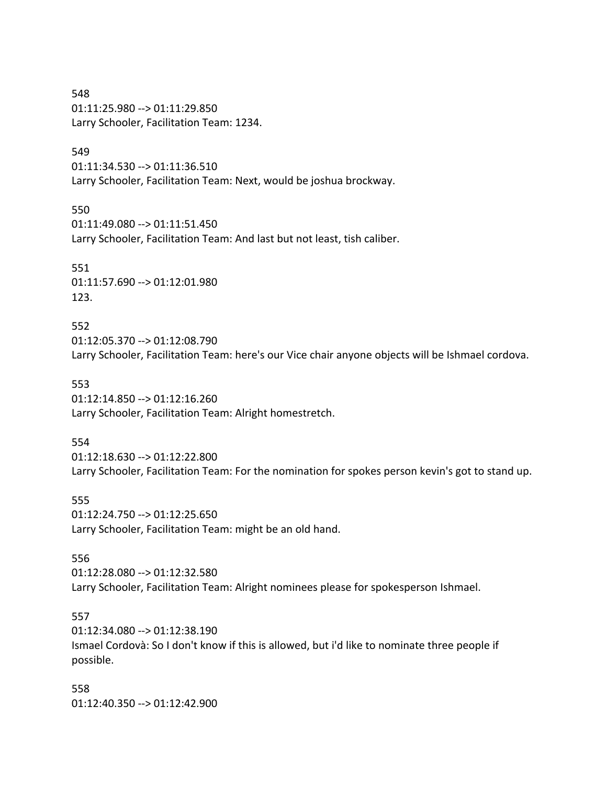548 01:11:25.980 --> 01:11:29.850 Larry Schooler, Facilitation Team: 1234.

#### 549

01:11:34.530 --> 01:11:36.510 Larry Schooler, Facilitation Team: Next, would be joshua brockway.

550 01:11:49.080 --> 01:11:51.450 Larry Schooler, Facilitation Team: And last but not least, tish caliber.

551 01:11:57.690 --> 01:12:01.980 123.

552 01:12:05.370 --> 01:12:08.790 Larry Schooler, Facilitation Team: here's our Vice chair anyone objects will be Ishmael cordova.

553 01:12:14.850 --> 01:12:16.260 Larry Schooler, Facilitation Team: Alright homestretch.

554

01:12:18.630 --> 01:12:22.800 Larry Schooler, Facilitation Team: For the nomination for spokes person kevin's got to stand up.

555 01:12:24.750 --> 01:12:25.650 Larry Schooler, Facilitation Team: might be an old hand.

556

01:12:28.080 --> 01:12:32.580 Larry Schooler, Facilitation Team: Alright nominees please for spokesperson Ishmael.

#### 557

01:12:34.080 --> 01:12:38.190 Ismael Cordovà: So I don't know if this is allowed, but i'd like to nominate three people if possible.

558 01:12:40.350 --> 01:12:42.900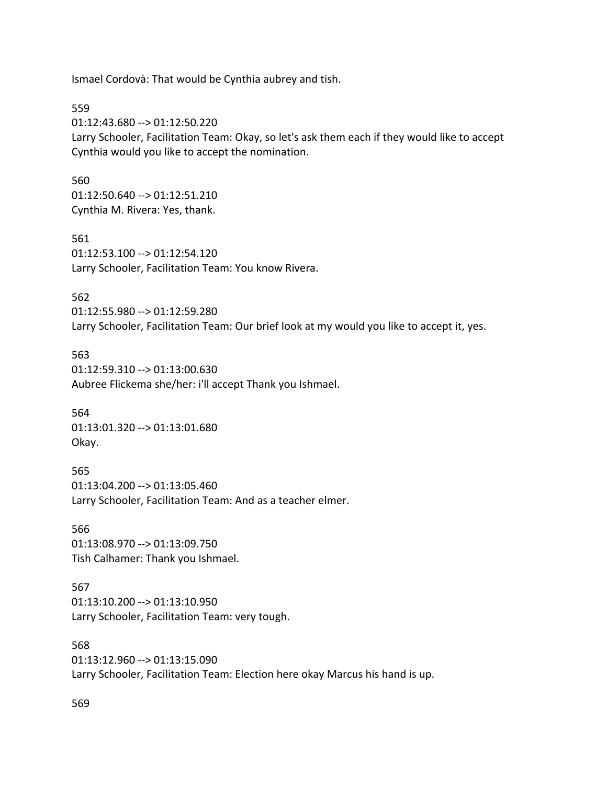Ismael Cordovà: That would be Cynthia aubrey and tish.

559

01:12:43.680 --> 01:12:50.220 Larry Schooler, Facilitation Team: Okay, so let's ask them each if they would like to accept Cynthia would you like to accept the nomination.

#### 560

01:12:50.640 --> 01:12:51.210 Cynthia M. Rivera: Yes, thank.

561 01:12:53.100 --> 01:12:54.120 Larry Schooler, Facilitation Team: You know Rivera.

#### 562

01:12:55.980 --> 01:12:59.280 Larry Schooler, Facilitation Team: Our brief look at my would you like to accept it, yes.

#### 563

01:12:59.310 --> 01:13:00.630 Aubree Flickema she/her: i'll accept Thank you Ishmael.

564 01:13:01.320 --> 01:13:01.680 Okay.

565 01:13:04.200 --> 01:13:05.460 Larry Schooler, Facilitation Team: And as a teacher elmer.

566 01:13:08.970 --> 01:13:09.750 Tish Calhamer: Thank you Ishmael.

#### 567

01:13:10.200 --> 01:13:10.950 Larry Schooler, Facilitation Team: very tough.

568 01:13:12.960 --> 01:13:15.090 Larry Schooler, Facilitation Team: Election here okay Marcus his hand is up.

569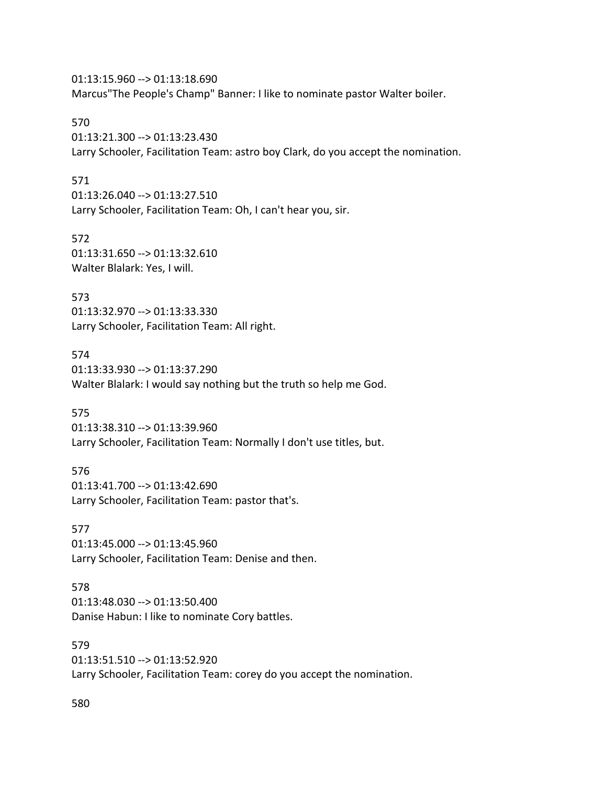01:13:15.960 --> 01:13:18.690 Marcus"The People's Champ" Banner: I like to nominate pastor Walter boiler.

570 01:13:21.300 --> 01:13:23.430

Larry Schooler, Facilitation Team: astro boy Clark, do you accept the nomination.

### 571

01:13:26.040 --> 01:13:27.510 Larry Schooler, Facilitation Team: Oh, I can't hear you, sir.

572 01:13:31.650 --> 01:13:32.610 Walter Blalark: Yes, I will.

573 01:13:32.970 --> 01:13:33.330 Larry Schooler, Facilitation Team: All right.

574 01:13:33.930 --> 01:13:37.290 Walter Blalark: I would say nothing but the truth so help me God.

575 01:13:38.310 --> 01:13:39.960 Larry Schooler, Facilitation Team: Normally I don't use titles, but.

576 01:13:41.700 --> 01:13:42.690 Larry Schooler, Facilitation Team: pastor that's.

577 01:13:45.000 --> 01:13:45.960 Larry Schooler, Facilitation Team: Denise and then.

578 01:13:48.030 --> 01:13:50.400 Danise Habun: I like to nominate Cory battles.

579 01:13:51.510 --> 01:13:52.920 Larry Schooler, Facilitation Team: corey do you accept the nomination.

580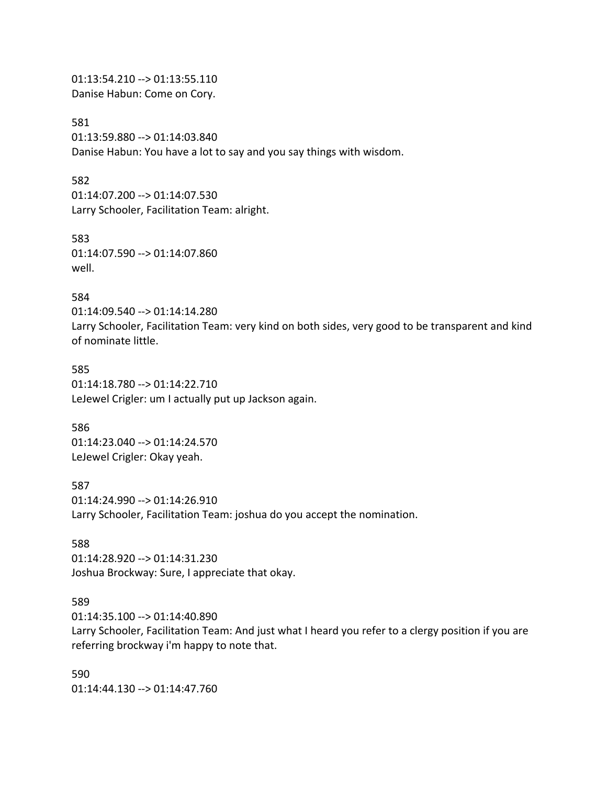01:13:54.210 --> 01:13:55.110 Danise Habun: Come on Cory.

581

01:13:59.880 --> 01:14:03.840 Danise Habun: You have a lot to say and you say things with wisdom.

#### 582

01:14:07.200 --> 01:14:07.530 Larry Schooler, Facilitation Team: alright.

583

01:14:07.590 --> 01:14:07.860 well.

#### 584

01:14:09.540 --> 01:14:14.280 Larry Schooler, Facilitation Team: very kind on both sides, very good to be transparent and kind of nominate little.

585 01:14:18.780 --> 01:14:22.710 LeJewel Crigler: um I actually put up Jackson again.

586 01:14:23.040 --> 01:14:24.570 LeJewel Crigler: Okay yeah.

587 01:14:24.990 --> 01:14:26.910 Larry Schooler, Facilitation Team: joshua do you accept the nomination.

#### 588

01:14:28.920 --> 01:14:31.230 Joshua Brockway: Sure, I appreciate that okay.

#### 589

01:14:35.100 --> 01:14:40.890

Larry Schooler, Facilitation Team: And just what I heard you refer to a clergy position if you are referring brockway i'm happy to note that.

590 01:14:44.130 --> 01:14:47.760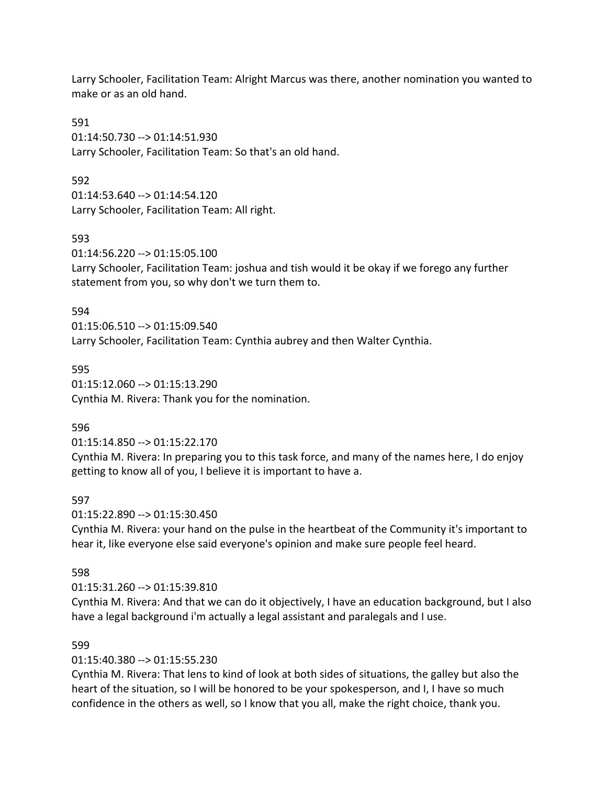Larry Schooler, Facilitation Team: Alright Marcus was there, another nomination you wanted to make or as an old hand.

591 01:14:50.730 --> 01:14:51.930 Larry Schooler, Facilitation Team: So that's an old hand.

592

01:14:53.640 --> 01:14:54.120 Larry Schooler, Facilitation Team: All right.

593

01:14:56.220 --> 01:15:05.100 Larry Schooler, Facilitation Team: joshua and tish would it be okay if we forego any further statement from you, so why don't we turn them to.

594

01:15:06.510 --> 01:15:09.540 Larry Schooler, Facilitation Team: Cynthia aubrey and then Walter Cynthia.

595

01:15:12.060 --> 01:15:13.290 Cynthia M. Rivera: Thank you for the nomination.

596

01:15:14.850 --> 01:15:22.170

Cynthia M. Rivera: In preparing you to this task force, and many of the names here, I do enjoy getting to know all of you, I believe it is important to have a.

597

01:15:22.890 --> 01:15:30.450

Cynthia M. Rivera: your hand on the pulse in the heartbeat of the Community it's important to hear it, like everyone else said everyone's opinion and make sure people feel heard.

598

01:15:31.260 --> 01:15:39.810

Cynthia M. Rivera: And that we can do it objectively, I have an education background, but I also have a legal background i'm actually a legal assistant and paralegals and I use.

## 599

01:15:40.380 --> 01:15:55.230

Cynthia M. Rivera: That lens to kind of look at both sides of situations, the galley but also the heart of the situation, so I will be honored to be your spokesperson, and I, I have so much confidence in the others as well, so I know that you all, make the right choice, thank you.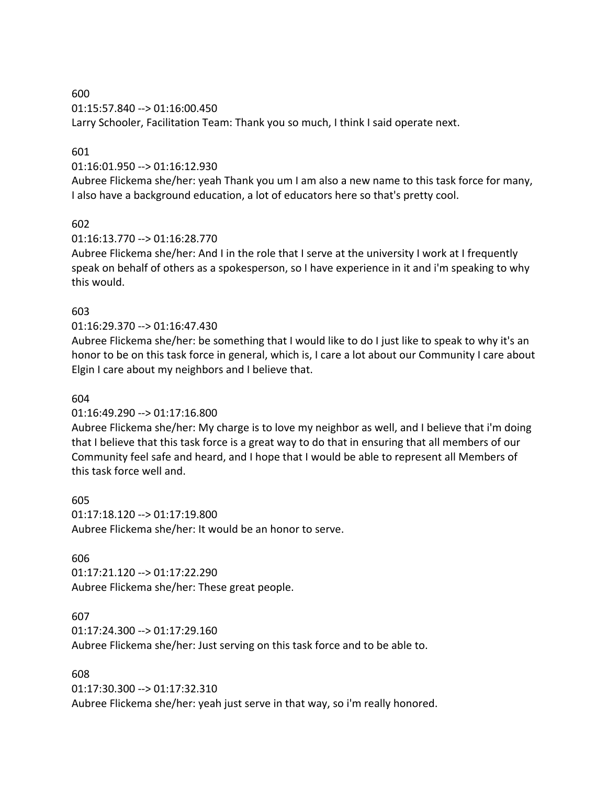01:15:57.840 --> 01:16:00.450

Larry Schooler, Facilitation Team: Thank you so much, I think I said operate next.

### 601

### 01:16:01.950 --> 01:16:12.930

Aubree Flickema she/her: yeah Thank you um I am also a new name to this task force for many, I also have a background education, a lot of educators here so that's pretty cool.

### 602

### 01:16:13.770 --> 01:16:28.770

Aubree Flickema she/her: And I in the role that I serve at the university I work at I frequently speak on behalf of others as a spokesperson, so I have experience in it and i'm speaking to why this would.

### 603

### 01:16:29.370 --> 01:16:47.430

Aubree Flickema she/her: be something that I would like to do I just like to speak to why it's an honor to be on this task force in general, which is, I care a lot about our Community I care about Elgin I care about my neighbors and I believe that.

#### 604

## 01:16:49.290 --> 01:17:16.800

Aubree Flickema she/her: My charge is to love my neighbor as well, and I believe that i'm doing that I believe that this task force is a great way to do that in ensuring that all members of our Community feel safe and heard, and I hope that I would be able to represent all Members of this task force well and.

605 01:17:18.120 --> 01:17:19.800 Aubree Flickema she/her: It would be an honor to serve.

#### 606

01:17:21.120 --> 01:17:22.290 Aubree Flickema she/her: These great people.

#### 607

01:17:24.300 --> 01:17:29.160 Aubree Flickema she/her: Just serving on this task force and to be able to.

#### 608

01:17:30.300 --> 01:17:32.310 Aubree Flickema she/her: yeah just serve in that way, so i'm really honored.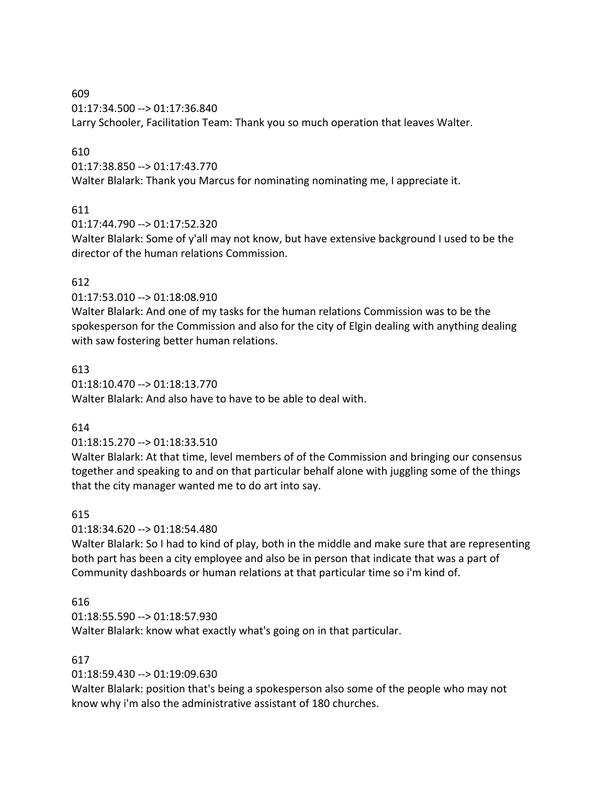01:17:34.500 --> 01:17:36.840

Larry Schooler, Facilitation Team: Thank you so much operation that leaves Walter.

### 610

01:17:38.850 --> 01:17:43.770

Walter Blalark: Thank you Marcus for nominating nominating me, I appreciate it.

## 611

01:17:44.790 --> 01:17:52.320

Walter Blalark: Some of y'all may not know, but have extensive background I used to be the director of the human relations Commission.

## 612

01:17:53.010 --> 01:18:08.910

Walter Blalark: And one of my tasks for the human relations Commission was to be the spokesperson for the Commission and also for the city of Elgin dealing with anything dealing with saw fostering better human relations.

## 613

01:18:10.470 --> 01:18:13.770 Walter Blalark: And also have to have to be able to deal with.

## 614

01:18:15.270 --> 01:18:33.510

Walter Blalark: At that time, level members of of the Commission and bringing our consensus together and speaking to and on that particular behalf alone with juggling some of the things that the city manager wanted me to do art into say.

## 615

01:18:34.620 --> 01:18:54.480

Walter Blalark: So I had to kind of play, both in the middle and make sure that are representing both part has been a city employee and also be in person that indicate that was a part of Community dashboards or human relations at that particular time so i'm kind of.

## 616

01:18:55.590 --> 01:18:57.930 Walter Blalark: know what exactly what's going on in that particular.

## 617

01:18:59.430 --> 01:19:09.630

Walter Blalark: position that's being a spokesperson also some of the people who may not know why i'm also the administrative assistant of 180 churches.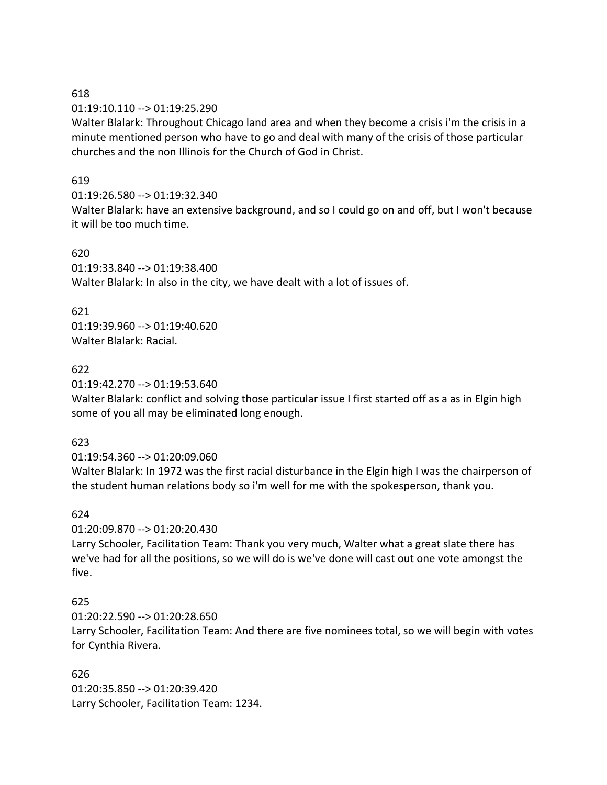01:19:10.110 --> 01:19:25.290

Walter Blalark: Throughout Chicago land area and when they become a crisis i'm the crisis in a minute mentioned person who have to go and deal with many of the crisis of those particular churches and the non Illinois for the Church of God in Christ.

### 619

### 01:19:26.580 --> 01:19:32.340

Walter Blalark: have an extensive background, and so I could go on and off, but I won't because it will be too much time.

#### 620

01:19:33.840 --> 01:19:38.400 Walter Blalark: In also in the city, we have dealt with a lot of issues of.

### 621

01:19:39.960 --> 01:19:40.620 Walter Blalark: Racial.

## 622

01:19:42.270 --> 01:19:53.640

Walter Blalark: conflict and solving those particular issue I first started off as a as in Elgin high some of you all may be eliminated long enough.

#### 623

01:19:54.360 --> 01:20:09.060

Walter Blalark: In 1972 was the first racial disturbance in the Elgin high I was the chairperson of the student human relations body so i'm well for me with the spokesperson, thank you.

#### 624

01:20:09.870 --> 01:20:20.430

Larry Schooler, Facilitation Team: Thank you very much, Walter what a great slate there has we've had for all the positions, so we will do is we've done will cast out one vote amongst the five.

# 625

01:20:22.590 --> 01:20:28.650

Larry Schooler, Facilitation Team: And there are five nominees total, so we will begin with votes for Cynthia Rivera.

# 626

01:20:35.850 --> 01:20:39.420 Larry Schooler, Facilitation Team: 1234.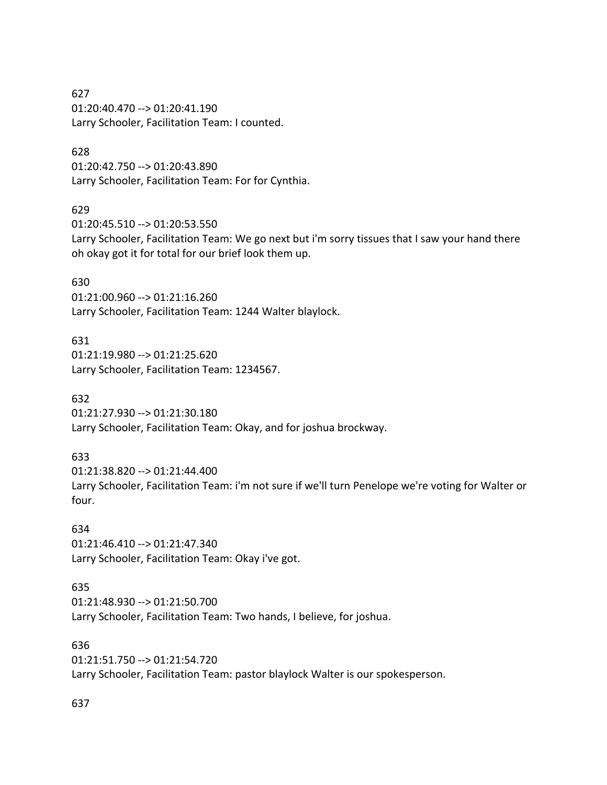627 01:20:40.470 --> 01:20:41.190 Larry Schooler, Facilitation Team: I counted.

#### 628

01:20:42.750 --> 01:20:43.890 Larry Schooler, Facilitation Team: For for Cynthia.

#### 629

01:20:45.510 --> 01:20:53.550 Larry Schooler, Facilitation Team: We go next but i'm sorry tissues that I saw your hand there oh okay got it for total for our brief look them up.

#### 630

01:21:00.960 --> 01:21:16.260 Larry Schooler, Facilitation Team: 1244 Walter blaylock.

#### 631

01:21:19.980 --> 01:21:25.620 Larry Schooler, Facilitation Team: 1234567.

#### 632

01:21:27.930 --> 01:21:30.180 Larry Schooler, Facilitation Team: Okay, and for joshua brockway.

#### 633

01:21:38.820 --> 01:21:44.400 Larry Schooler, Facilitation Team: i'm not sure if we'll turn Penelope we're voting for Walter or four.

# 634

01:21:46.410 --> 01:21:47.340 Larry Schooler, Facilitation Team: Okay i've got.

# 635

01:21:48.930 --> 01:21:50.700 Larry Schooler, Facilitation Team: Two hands, I believe, for joshua.

## 636

01:21:51.750 --> 01:21:54.720 Larry Schooler, Facilitation Team: pastor blaylock Walter is our spokesperson.

# 637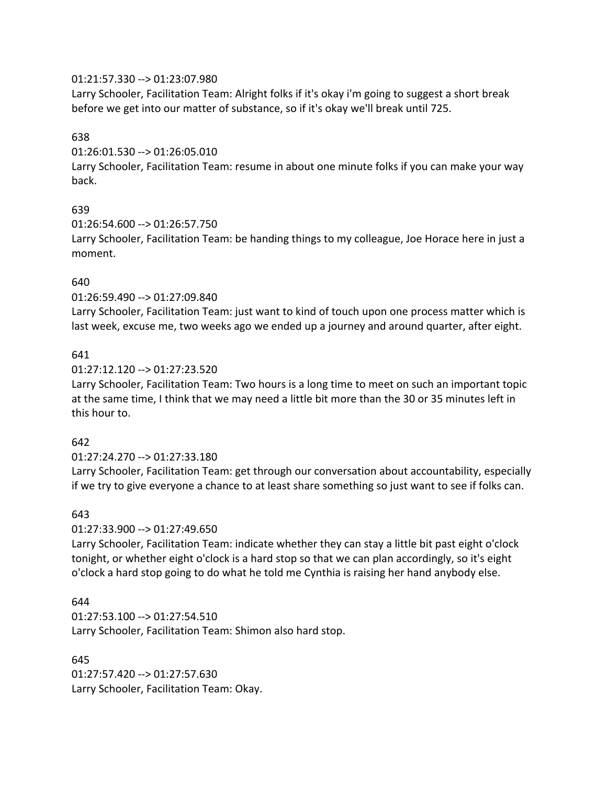### 01:21:57.330 --> 01:23:07.980

Larry Schooler, Facilitation Team: Alright folks if it's okay i'm going to suggest a short break before we get into our matter of substance, so if it's okay we'll break until 725.

### 638

01:26:01.530 --> 01:26:05.010

Larry Schooler, Facilitation Team: resume in about one minute folks if you can make your way back.

## 639

### 01:26:54.600 --> 01:26:57.750

Larry Schooler, Facilitation Team: be handing things to my colleague, Joe Horace here in just a moment.

## 640

### 01:26:59.490 --> 01:27:09.840

Larry Schooler, Facilitation Team: just want to kind of touch upon one process matter which is last week, excuse me, two weeks ago we ended up a journey and around quarter, after eight.

### 641

### 01:27:12.120 --> 01:27:23.520

Larry Schooler, Facilitation Team: Two hours is a long time to meet on such an important topic at the same time, I think that we may need a little bit more than the 30 or 35 minutes left in this hour to.

## 642

## 01:27:24.270 --> 01:27:33.180

Larry Schooler, Facilitation Team: get through our conversation about accountability, especially if we try to give everyone a chance to at least share something so just want to see if folks can.

## 643

## 01:27:33.900 --> 01:27:49.650

Larry Schooler, Facilitation Team: indicate whether they can stay a little bit past eight o'clock tonight, or whether eight o'clock is a hard stop so that we can plan accordingly, so it's eight o'clock a hard stop going to do what he told me Cynthia is raising her hand anybody else.

## 644

01:27:53.100 --> 01:27:54.510 Larry Schooler, Facilitation Team: Shimon also hard stop.

## 645

01:27:57.420 --> 01:27:57.630 Larry Schooler, Facilitation Team: Okay.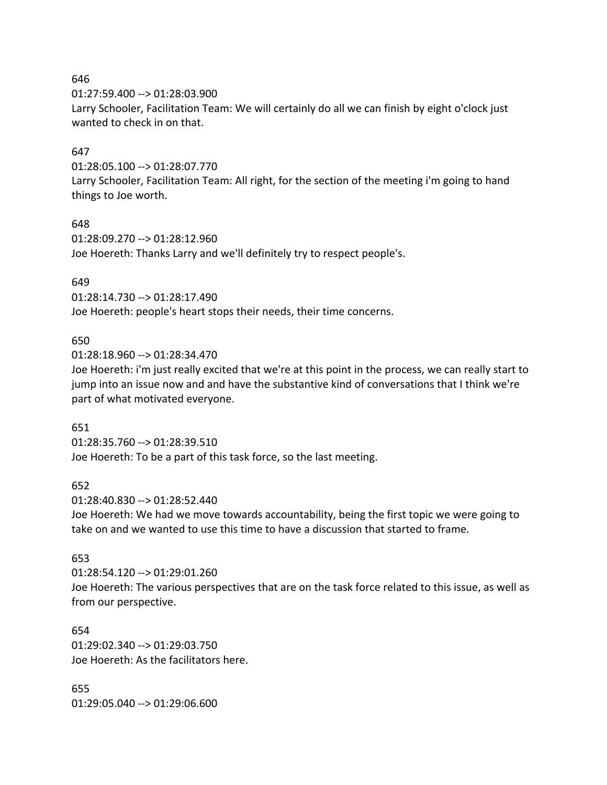01:27:59.400 --> 01:28:03.900

Larry Schooler, Facilitation Team: We will certainly do all we can finish by eight o'clock just wanted to check in on that.

#### 647

01:28:05.100 --> 01:28:07.770

Larry Schooler, Facilitation Team: All right, for the section of the meeting i'm going to hand things to Joe worth.

### 648

01:28:09.270 --> 01:28:12.960 Joe Hoereth: Thanks Larry and we'll definitely try to respect people's.

### 649

01:28:14.730 --> 01:28:17.490 Joe Hoereth: people's heart stops their needs, their time concerns.

### 650

01:28:18.960 --> 01:28:34.470

Joe Hoereth: i'm just really excited that we're at this point in the process, we can really start to jump into an issue now and and have the substantive kind of conversations that I think we're part of what motivated everyone.

#### 651

01:28:35.760 --> 01:28:39.510 Joe Hoereth: To be a part of this task force, so the last meeting.

#### 652

01:28:40.830 --> 01:28:52.440

Joe Hoereth: We had we move towards accountability, being the first topic we were going to take on and we wanted to use this time to have a discussion that started to frame.

## 653

01:28:54.120 --> 01:29:01.260 Joe Hoereth: The various perspectives that are on the task force related to this issue, as well as from our perspective.

654 01:29:02.340 --> 01:29:03.750 Joe Hoereth: As the facilitators here.

655 01:29:05.040 --> 01:29:06.600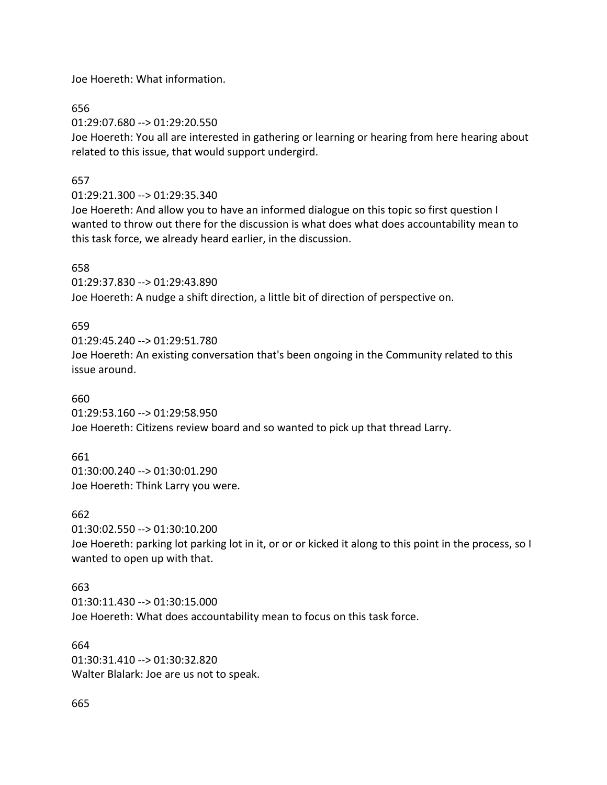Joe Hoereth: What information.

656

01:29:07.680 --> 01:29:20.550

Joe Hoereth: You all are interested in gathering or learning or hearing from here hearing about related to this issue, that would support undergird.

## 657

## 01:29:21.300 --> 01:29:35.340

Joe Hoereth: And allow you to have an informed dialogue on this topic so first question I wanted to throw out there for the discussion is what does what does accountability mean to this task force, we already heard earlier, in the discussion.

## 658

01:29:37.830 --> 01:29:43.890 Joe Hoereth: A nudge a shift direction, a little bit of direction of perspective on.

## 659

01:29:45.240 --> 01:29:51.780 Joe Hoereth: An existing conversation that's been ongoing in the Community related to this issue around.

## 660

01:29:53.160 --> 01:29:58.950 Joe Hoereth: Citizens review board and so wanted to pick up that thread Larry.

## 661

01:30:00.240 --> 01:30:01.290 Joe Hoereth: Think Larry you were.

#### 662

01:30:02.550 --> 01:30:10.200

Joe Hoereth: parking lot parking lot in it, or or or kicked it along to this point in the process, so I wanted to open up with that.

## 663

01:30:11.430 --> 01:30:15.000 Joe Hoereth: What does accountability mean to focus on this task force.

# 664

01:30:31.410 --> 01:30:32.820 Walter Blalark: Joe are us not to speak.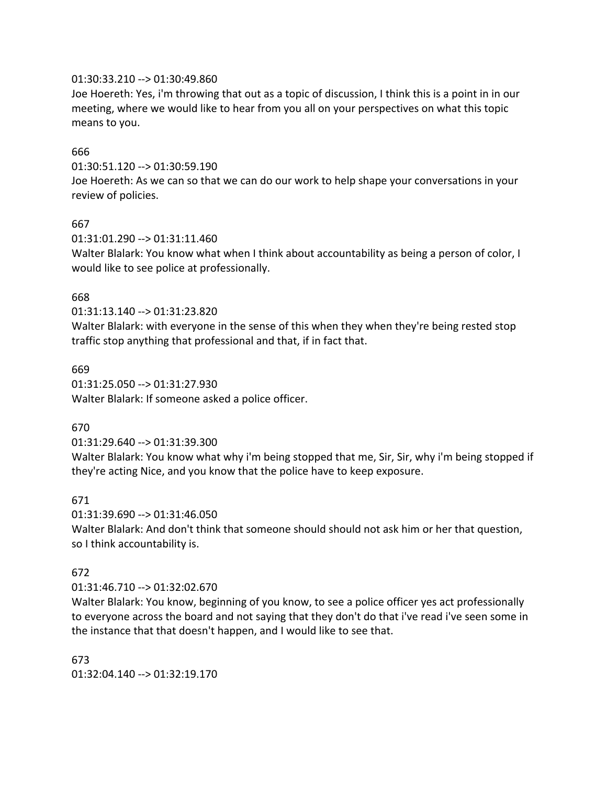#### 01:30:33.210 --> 01:30:49.860

Joe Hoereth: Yes, i'm throwing that out as a topic of discussion, I think this is a point in in our meeting, where we would like to hear from you all on your perspectives on what this topic means to you.

#### 666

01:30:51.120 --> 01:30:59.190

Joe Hoereth: As we can so that we can do our work to help shape your conversations in your review of policies.

#### 667

01:31:01.290 --> 01:31:11.460

Walter Blalark: You know what when I think about accountability as being a person of color, I would like to see police at professionally.

#### 668

01:31:13.140 --> 01:31:23.820

Walter Blalark: with everyone in the sense of this when they when they're being rested stop traffic stop anything that professional and that, if in fact that.

#### 669

01:31:25.050 --> 01:31:27.930 Walter Blalark: If someone asked a police officer.

#### 670

01:31:29.640 --> 01:31:39.300

Walter Blalark: You know what why i'm being stopped that me, Sir, Sir, why i'm being stopped if they're acting Nice, and you know that the police have to keep exposure.

#### 671

01:31:39.690 --> 01:31:46.050

Walter Blalark: And don't think that someone should should not ask him or her that question, so I think accountability is.

#### 672

#### 01:31:46.710 --> 01:32:02.670

Walter Blalark: You know, beginning of you know, to see a police officer yes act professionally to everyone across the board and not saying that they don't do that i've read i've seen some in the instance that that doesn't happen, and I would like to see that.

673 01:32:04.140 --> 01:32:19.170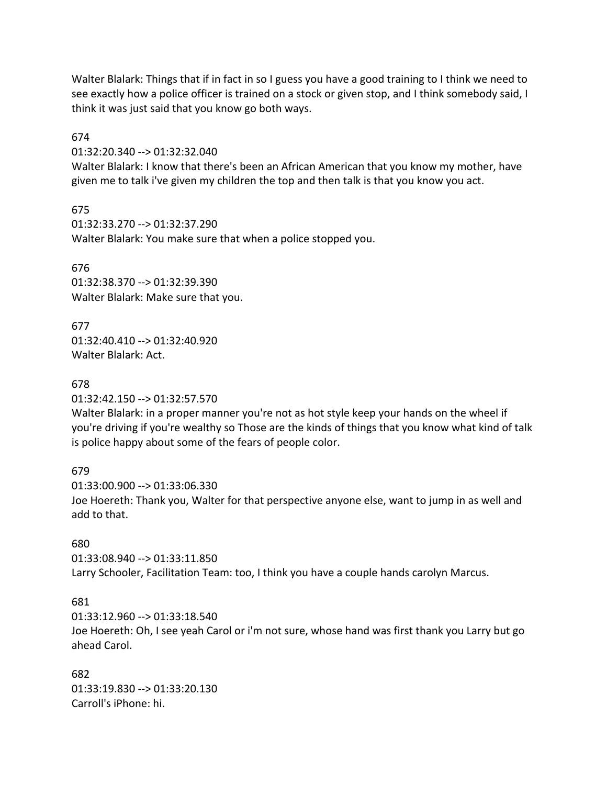Walter Blalark: Things that if in fact in so I guess you have a good training to I think we need to see exactly how a police officer is trained on a stock or given stop, and I think somebody said, I think it was just said that you know go both ways.

674

01:32:20.340 --> 01:32:32.040

Walter Blalark: I know that there's been an African American that you know my mother, have given me to talk i've given my children the top and then talk is that you know you act.

675 01:32:33.270 --> 01:32:37.290 Walter Blalark: You make sure that when a police stopped you.

676 01:32:38.370 --> 01:32:39.390 Walter Blalark: Make sure that you.

677 01:32:40.410 --> 01:32:40.920 Walter Blalark: Act.

678

01:32:42.150 --> 01:32:57.570

Walter Blalark: in a proper manner you're not as hot style keep your hands on the wheel if you're driving if you're wealthy so Those are the kinds of things that you know what kind of talk is police happy about some of the fears of people color.

679

01:33:00.900 --> 01:33:06.330 Joe Hoereth: Thank you, Walter for that perspective anyone else, want to jump in as well and add to that.

## 680

01:33:08.940 --> 01:33:11.850 Larry Schooler, Facilitation Team: too, I think you have a couple hands carolyn Marcus.

## 681

01:33:12.960 --> 01:33:18.540 Joe Hoereth: Oh, I see yeah Carol or i'm not sure, whose hand was first thank you Larry but go ahead Carol.

682 01:33:19.830 --> 01:33:20.130 Carroll's iPhone: hi.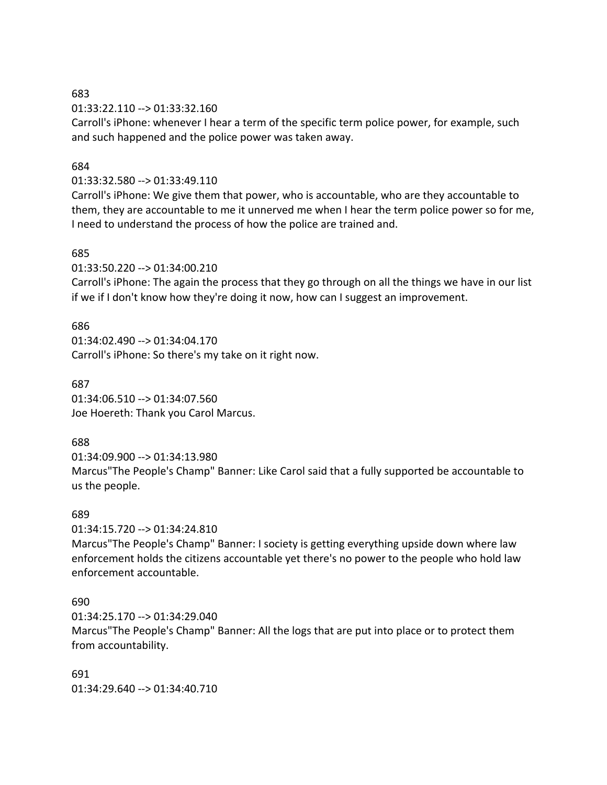#### 683

01:33:22.110 --> 01:33:32.160

Carroll's iPhone: whenever I hear a term of the specific term police power, for example, such and such happened and the police power was taken away.

#### 684

#### 01:33:32.580 --> 01:33:49.110

Carroll's iPhone: We give them that power, who is accountable, who are they accountable to them, they are accountable to me it unnerved me when I hear the term police power so for me, I need to understand the process of how the police are trained and.

#### 685

01:33:50.220 --> 01:34:00.210

Carroll's iPhone: The again the process that they go through on all the things we have in our list if we if I don't know how they're doing it now, how can I suggest an improvement.

#### 686

01:34:02.490 --> 01:34:04.170 Carroll's iPhone: So there's my take on it right now.

#### 687

01:34:06.510 --> 01:34:07.560 Joe Hoereth: Thank you Carol Marcus.

#### 688

01:34:09.900 --> 01:34:13.980

Marcus"The People's Champ" Banner: Like Carol said that a fully supported be accountable to us the people.

#### 689

01:34:15.720 --> 01:34:24.810

Marcus"The People's Champ" Banner: I society is getting everything upside down where law enforcement holds the citizens accountable yet there's no power to the people who hold law enforcement accountable.

#### 690

01:34:25.170 --> 01:34:29.040

Marcus"The People's Champ" Banner: All the logs that are put into place or to protect them from accountability.

691 01:34:29.640 --> 01:34:40.710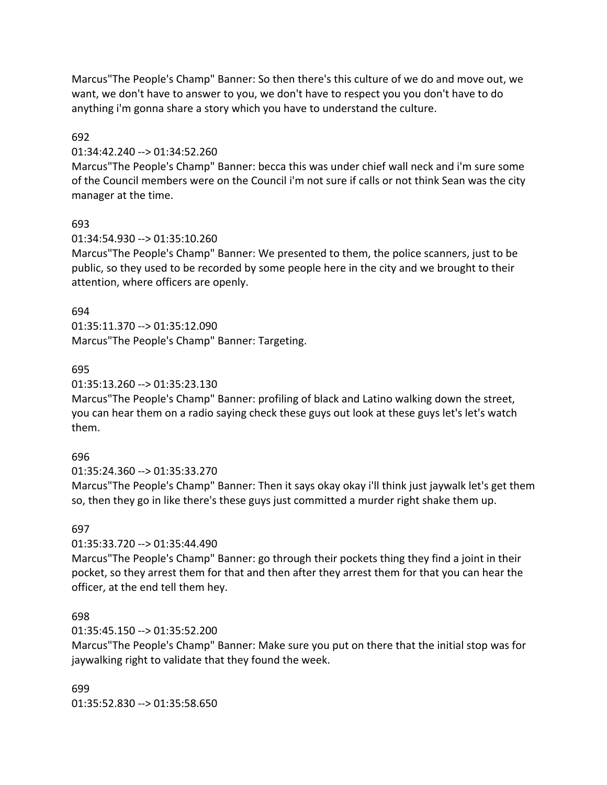Marcus"The People's Champ" Banner: So then there's this culture of we do and move out, we want, we don't have to answer to you, we don't have to respect you you don't have to do anything i'm gonna share a story which you have to understand the culture.

### 692

### 01:34:42.240 --> 01:34:52.260

Marcus"The People's Champ" Banner: becca this was under chief wall neck and i'm sure some of the Council members were on the Council i'm not sure if calls or not think Sean was the city manager at the time.

### 693

### 01:34:54.930 --> 01:35:10.260

Marcus"The People's Champ" Banner: We presented to them, the police scanners, just to be public, so they used to be recorded by some people here in the city and we brought to their attention, where officers are openly.

### 694

01:35:11.370 --> 01:35:12.090 Marcus"The People's Champ" Banner: Targeting.

## 695

### 01:35:13.260 --> 01:35:23.130

Marcus"The People's Champ" Banner: profiling of black and Latino walking down the street, you can hear them on a radio saying check these guys out look at these guys let's let's watch them.

## 696

01:35:24.360 --> 01:35:33.270

Marcus"The People's Champ" Banner: Then it says okay okay i'll think just jaywalk let's get them so, then they go in like there's these guys just committed a murder right shake them up.

## 697

## 01:35:33.720 --> 01:35:44.490

Marcus"The People's Champ" Banner: go through their pockets thing they find a joint in their pocket, so they arrest them for that and then after they arrest them for that you can hear the officer, at the end tell them hey.

#### 698

## 01:35:45.150 --> 01:35:52.200

Marcus"The People's Champ" Banner: Make sure you put on there that the initial stop was for jaywalking right to validate that they found the week.

#### 699

01:35:52.830 --> 01:35:58.650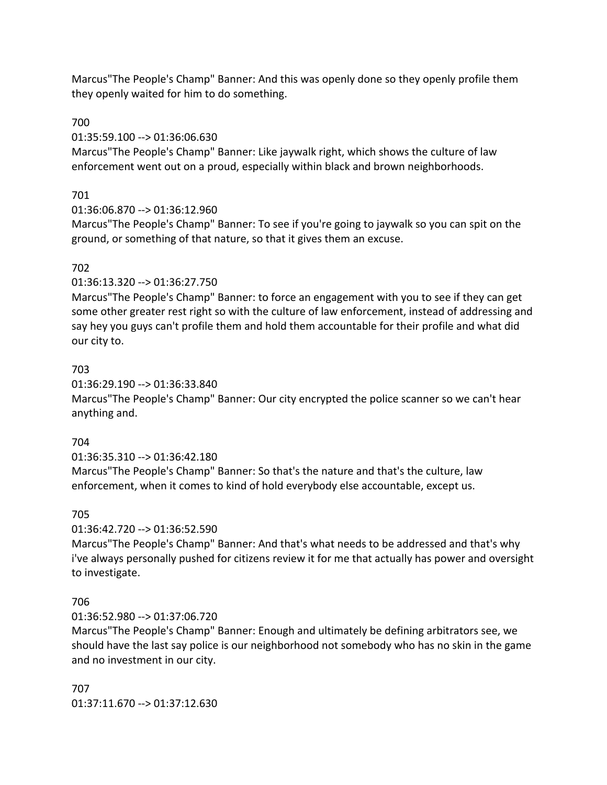Marcus"The People's Champ" Banner: And this was openly done so they openly profile them they openly waited for him to do something.

## 700

## 01:35:59.100 --> 01:36:06.630

Marcus"The People's Champ" Banner: Like jaywalk right, which shows the culture of law enforcement went out on a proud, especially within black and brown neighborhoods.

# 701

## 01:36:06.870 --> 01:36:12.960

Marcus"The People's Champ" Banner: To see if you're going to jaywalk so you can spit on the ground, or something of that nature, so that it gives them an excuse.

# 702

## 01:36:13.320 --> 01:36:27.750

Marcus"The People's Champ" Banner: to force an engagement with you to see if they can get some other greater rest right so with the culture of law enforcement, instead of addressing and say hey you guys can't profile them and hold them accountable for their profile and what did our city to.

# 703

## 01:36:29.190 --> 01:36:33.840

Marcus"The People's Champ" Banner: Our city encrypted the police scanner so we can't hear anything and.

# 704

# 01:36:35.310 --> 01:36:42.180

Marcus"The People's Champ" Banner: So that's the nature and that's the culture, law enforcement, when it comes to kind of hold everybody else accountable, except us.

# 705

# 01:36:42.720 --> 01:36:52.590

Marcus"The People's Champ" Banner: And that's what needs to be addressed and that's why i've always personally pushed for citizens review it for me that actually has power and oversight to investigate.

# 706

# 01:36:52.980 --> 01:37:06.720

Marcus"The People's Champ" Banner: Enough and ultimately be defining arbitrators see, we should have the last say police is our neighborhood not somebody who has no skin in the game and no investment in our city.

# 707 01:37:11.670 --> 01:37:12.630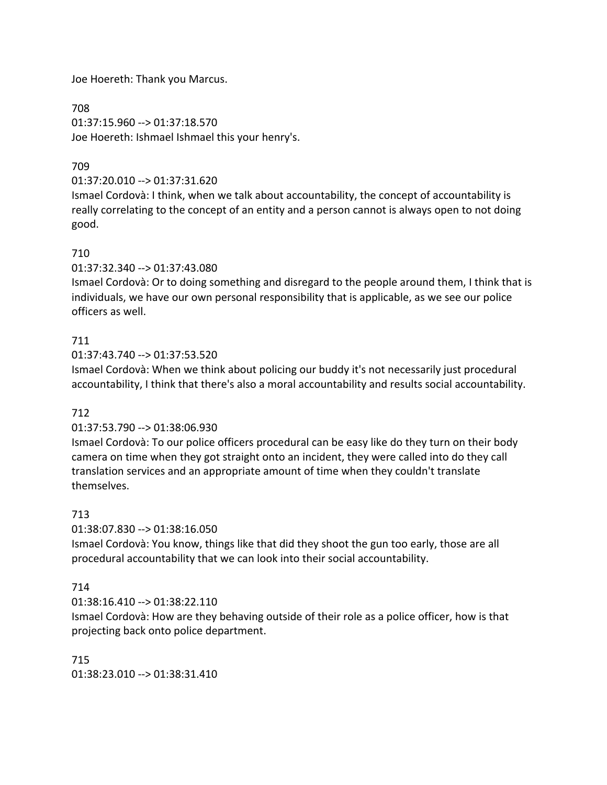Joe Hoereth: Thank you Marcus.

708 01:37:15.960 --> 01:37:18.570 Joe Hoereth: Ishmael Ishmael this your henry's.

## 709

01:37:20.010 --> 01:37:31.620

Ismael Cordovà: I think, when we talk about accountability, the concept of accountability is really correlating to the concept of an entity and a person cannot is always open to not doing good.

### 710

01:37:32.340 --> 01:37:43.080

Ismael Cordovà: Or to doing something and disregard to the people around them, I think that is individuals, we have our own personal responsibility that is applicable, as we see our police officers as well.

## 711

01:37:43.740 --> 01:37:53.520

Ismael Cordovà: When we think about policing our buddy it's not necessarily just procedural accountability, I think that there's also a moral accountability and results social accountability.

## 712

#### 01:37:53.790 --> 01:38:06.930

Ismael Cordovà: To our police officers procedural can be easy like do they turn on their body camera on time when they got straight onto an incident, they were called into do they call translation services and an appropriate amount of time when they couldn't translate themselves.

#### 713

01:38:07.830 --> 01:38:16.050

Ismael Cordovà: You know, things like that did they shoot the gun too early, those are all procedural accountability that we can look into their social accountability.

## 714

01:38:16.410 --> 01:38:22.110

Ismael Cordovà: How are they behaving outside of their role as a police officer, how is that projecting back onto police department.

715 01:38:23.010 --> 01:38:31.410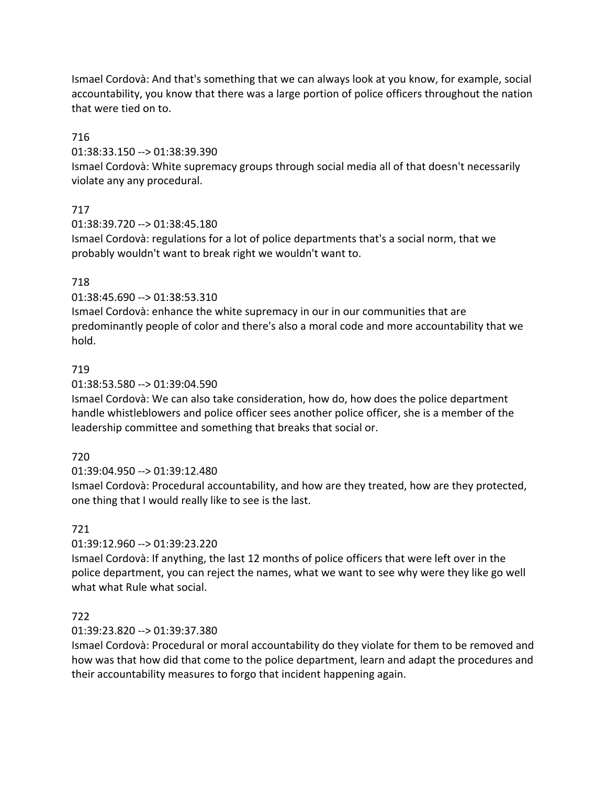Ismael Cordovà: And that's something that we can always look at you know, for example, social accountability, you know that there was a large portion of police officers throughout the nation that were tied on to.

### 716

01:38:33.150 --> 01:38:39.390

Ismael Cordovà: White supremacy groups through social media all of that doesn't necessarily violate any any procedural.

## 717

01:38:39.720 --> 01:38:45.180

Ismael Cordovà: regulations for a lot of police departments that's a social norm, that we probably wouldn't want to break right we wouldn't want to.

## 718

01:38:45.690 --> 01:38:53.310

Ismael Cordovà: enhance the white supremacy in our in our communities that are predominantly people of color and there's also a moral code and more accountability that we hold.

## 719

01:38:53.580 --> 01:39:04.590

Ismael Cordovà: We can also take consideration, how do, how does the police department handle whistleblowers and police officer sees another police officer, she is a member of the leadership committee and something that breaks that social or.

## 720

01:39:04.950 --> 01:39:12.480

Ismael Cordovà: Procedural accountability, and how are they treated, how are they protected, one thing that I would really like to see is the last.

## 721

01:39:12.960 --> 01:39:23.220

Ismael Cordovà: If anything, the last 12 months of police officers that were left over in the police department, you can reject the names, what we want to see why were they like go well what what Rule what social.

## 722

## 01:39:23.820 --> 01:39:37.380

Ismael Cordovà: Procedural or moral accountability do they violate for them to be removed and how was that how did that come to the police department, learn and adapt the procedures and their accountability measures to forgo that incident happening again.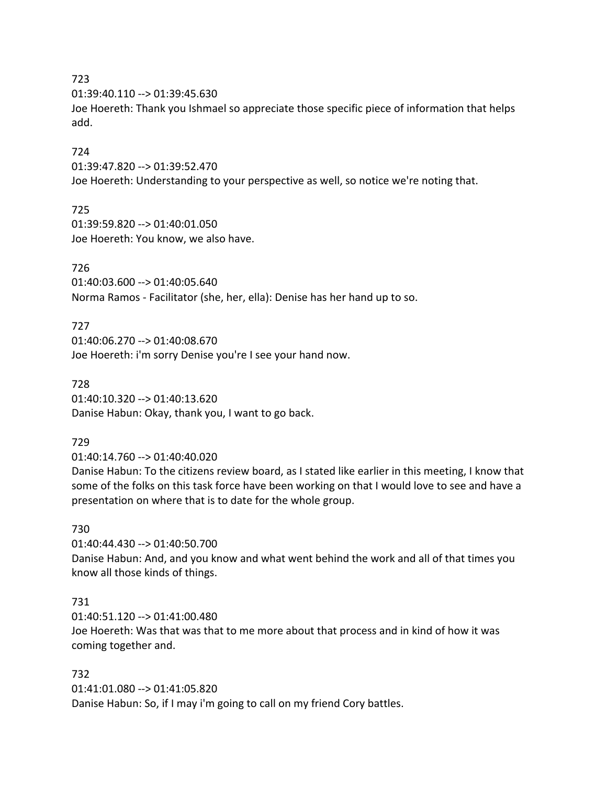#### 723

01:39:40.110 --> 01:39:45.630

Joe Hoereth: Thank you Ishmael so appreciate those specific piece of information that helps add.

### 724

01:39:47.820 --> 01:39:52.470 Joe Hoereth: Understanding to your perspective as well, so notice we're noting that.

### 725

01:39:59.820 --> 01:40:01.050 Joe Hoereth: You know, we also have.

### 726

01:40:03.600 --> 01:40:05.640 Norma Ramos - Facilitator (she, her, ella): Denise has her hand up to so.

### 727

01:40:06.270 --> 01:40:08.670 Joe Hoereth: i'm sorry Denise you're I see your hand now.

#### 728

01:40:10.320 --> 01:40:13.620 Danise Habun: Okay, thank you, I want to go back.

#### 729

01:40:14.760 --> 01:40:40.020

Danise Habun: To the citizens review board, as I stated like earlier in this meeting, I know that some of the folks on this task force have been working on that I would love to see and have a presentation on where that is to date for the whole group.

#### 730

01:40:44.430 --> 01:40:50.700 Danise Habun: And, and you know and what went behind the work and all of that times you know all those kinds of things.

## 731

01:40:51.120 --> 01:41:00.480

Joe Hoereth: Was that was that to me more about that process and in kind of how it was coming together and.

### 732

01:41:01.080 --> 01:41:05.820 Danise Habun: So, if I may i'm going to call on my friend Cory battles.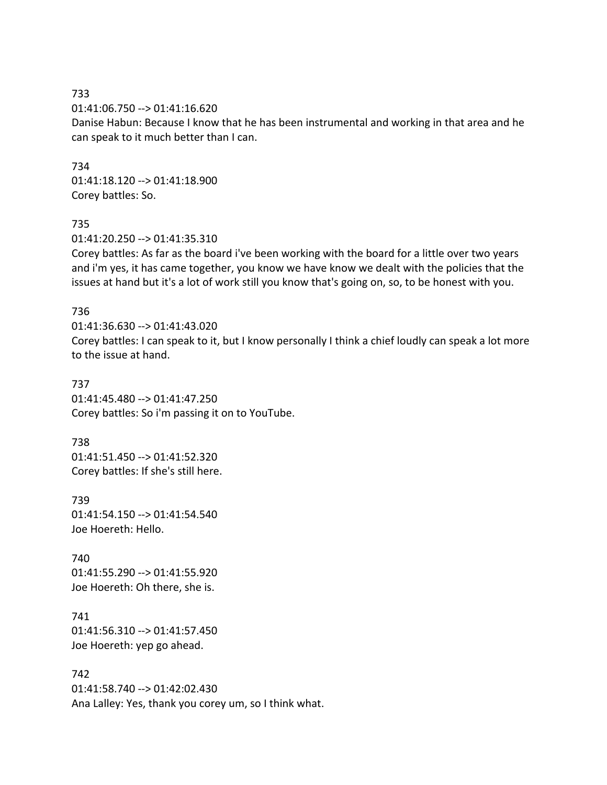733 01:41:06.750 --> 01:41:16.620 Danise Habun: Because I know that he has been instrumental and working in that area and he can speak to it much better than I can.

734 01:41:18.120 --> 01:41:18.900 Corey battles: So.

#### 735

01:41:20.250 --> 01:41:35.310

Corey battles: As far as the board i've been working with the board for a little over two years and i'm yes, it has came together, you know we have know we dealt with the policies that the issues at hand but it's a lot of work still you know that's going on, so, to be honest with you.

#### 736

01:41:36.630 --> 01:41:43.020 Corey battles: I can speak to it, but I know personally I think a chief loudly can speak a lot more to the issue at hand.

737 01:41:45.480 --> 01:41:47.250 Corey battles: So i'm passing it on to YouTube.

738 01:41:51.450 --> 01:41:52.320 Corey battles: If she's still here.

739 01:41:54.150 --> 01:41:54.540 Joe Hoereth: Hello.

740 01:41:55.290 --> 01:41:55.920 Joe Hoereth: Oh there, she is.

741 01:41:56.310 --> 01:41:57.450 Joe Hoereth: yep go ahead.

742 01:41:58.740 --> 01:42:02.430 Ana Lalley: Yes, thank you corey um, so I think what.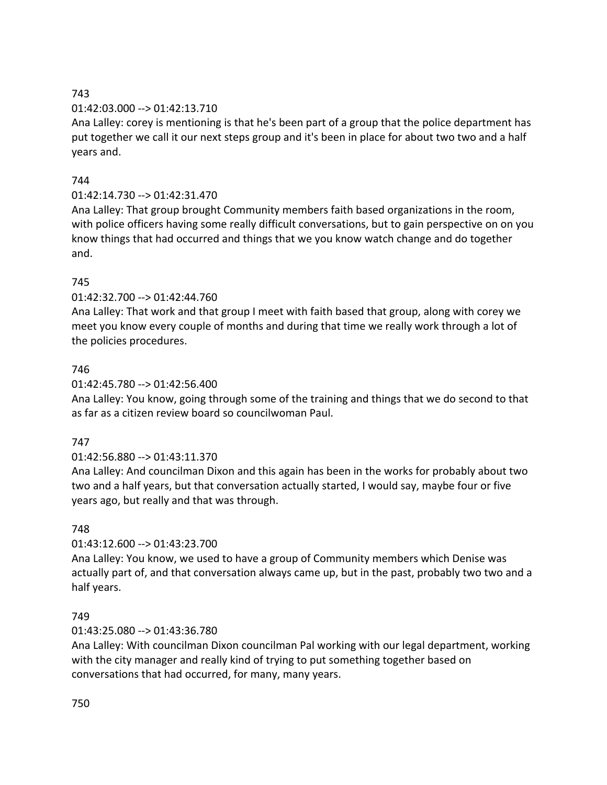## 743

# 01:42:03.000 --> 01:42:13.710

Ana Lalley: corey is mentioning is that he's been part of a group that the police department has put together we call it our next steps group and it's been in place for about two two and a half years and.

# 744

# 01:42:14.730 --> 01:42:31.470

Ana Lalley: That group brought Community members faith based organizations in the room, with police officers having some really difficult conversations, but to gain perspective on on you know things that had occurred and things that we you know watch change and do together and.

## 745

## 01:42:32.700 --> 01:42:44.760

Ana Lalley: That work and that group I meet with faith based that group, along with corey we meet you know every couple of months and during that time we really work through a lot of the policies procedures.

## 746

## 01:42:45.780 --> 01:42:56.400

Ana Lalley: You know, going through some of the training and things that we do second to that as far as a citizen review board so councilwoman Paul.

## 747

# 01:42:56.880 --> 01:43:11.370

Ana Lalley: And councilman Dixon and this again has been in the works for probably about two two and a half years, but that conversation actually started, I would say, maybe four or five years ago, but really and that was through.

## 748

## 01:43:12.600 --> 01:43:23.700

Ana Lalley: You know, we used to have a group of Community members which Denise was actually part of, and that conversation always came up, but in the past, probably two two and a half years.

## 749

# 01:43:25.080 --> 01:43:36.780

Ana Lalley: With councilman Dixon councilman Pal working with our legal department, working with the city manager and really kind of trying to put something together based on conversations that had occurred, for many, many years.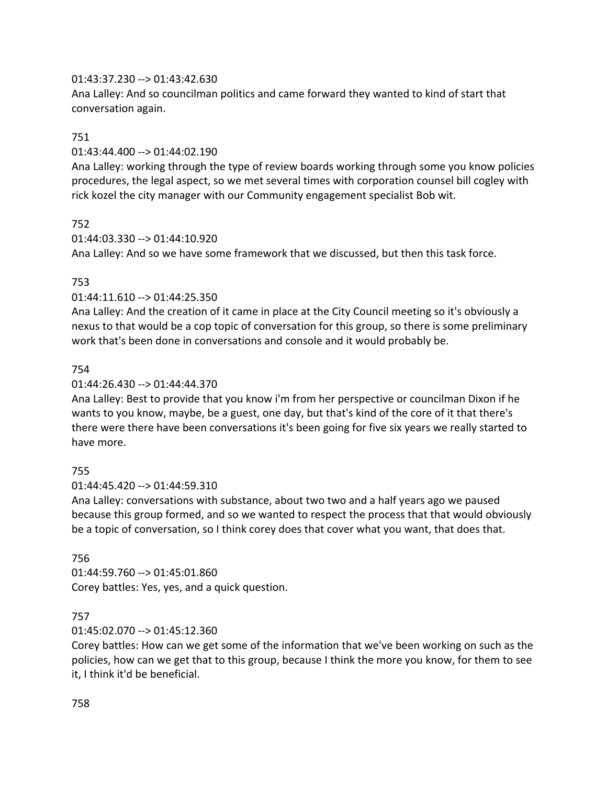## 01:43:37.230 --> 01:43:42.630

Ana Lalley: And so councilman politics and came forward they wanted to kind of start that conversation again.

## 751

## 01:43:44.400 --> 01:44:02.190

Ana Lalley: working through the type of review boards working through some you know policies procedures, the legal aspect, so we met several times with corporation counsel bill cogley with rick kozel the city manager with our Community engagement specialist Bob wit.

## 752

## 01:44:03.330 --> 01:44:10.920

Ana Lalley: And so we have some framework that we discussed, but then this task force.

# 753

## 01:44:11.610 --> 01:44:25.350

Ana Lalley: And the creation of it came in place at the City Council meeting so it's obviously a nexus to that would be a cop topic of conversation for this group, so there is some preliminary work that's been done in conversations and console and it would probably be.

## 754

## 01:44:26.430 --> 01:44:44.370

Ana Lalley: Best to provide that you know i'm from her perspective or councilman Dixon if he wants to you know, maybe, be a guest, one day, but that's kind of the core of it that there's there were there have been conversations it's been going for five six years we really started to have more.

## 755

## 01:44:45.420 --> 01:44:59.310

Ana Lalley: conversations with substance, about two two and a half years ago we paused because this group formed, and so we wanted to respect the process that that would obviously be a topic of conversation, so I think corey does that cover what you want, that does that.

## 756

01:44:59.760 --> 01:45:01.860 Corey battles: Yes, yes, and a quick question.

# 757

# 01:45:02.070 --> 01:45:12.360

Corey battles: How can we get some of the information that we've been working on such as the policies, how can we get that to this group, because I think the more you know, for them to see it, I think it'd be beneficial.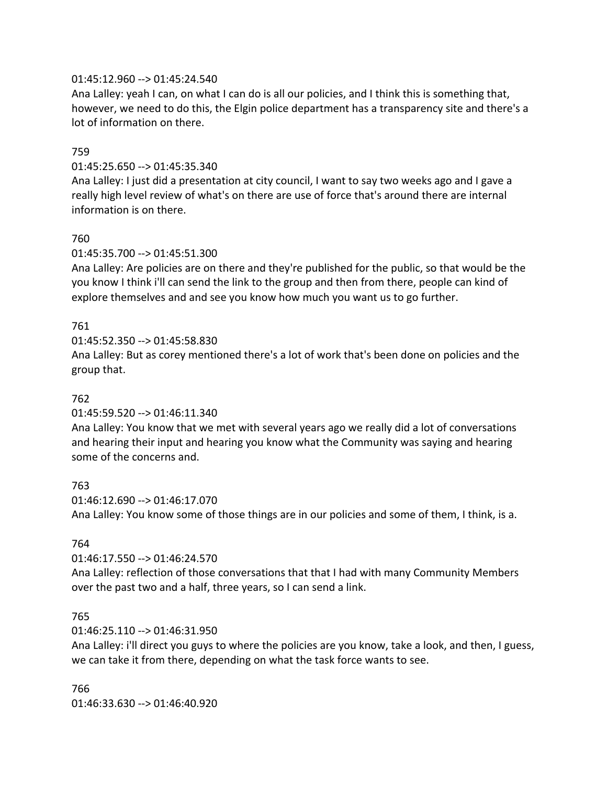### 01:45:12.960 --> 01:45:24.540

Ana Lalley: yeah I can, on what I can do is all our policies, and I think this is something that, however, we need to do this, the Elgin police department has a transparency site and there's a lot of information on there.

### 759

### 01:45:25.650 --> 01:45:35.340

Ana Lalley: I just did a presentation at city council, I want to say two weeks ago and I gave a really high level review of what's on there are use of force that's around there are internal information is on there.

### 760

### 01:45:35.700 --> 01:45:51.300

Ana Lalley: Are policies are on there and they're published for the public, so that would be the you know I think i'll can send the link to the group and then from there, people can kind of explore themselves and and see you know how much you want us to go further.

## 761

01:45:52.350 --> 01:45:58.830

Ana Lalley: But as corey mentioned there's a lot of work that's been done on policies and the group that.

### 762

#### 01:45:59.520 --> 01:46:11.340

Ana Lalley: You know that we met with several years ago we really did a lot of conversations and hearing their input and hearing you know what the Community was saying and hearing some of the concerns and.

#### 763

01:46:12.690 --> 01:46:17.070 Ana Lalley: You know some of those things are in our policies and some of them, I think, is a.

#### 764

01:46:17.550 --> 01:46:24.570

Ana Lalley: reflection of those conversations that that I had with many Community Members over the past two and a half, three years, so I can send a link.

#### 765

#### 01:46:25.110 --> 01:46:31.950

Ana Lalley: i'll direct you guys to where the policies are you know, take a look, and then, I guess, we can take it from there, depending on what the task force wants to see.

766 01:46:33.630 --> 01:46:40.920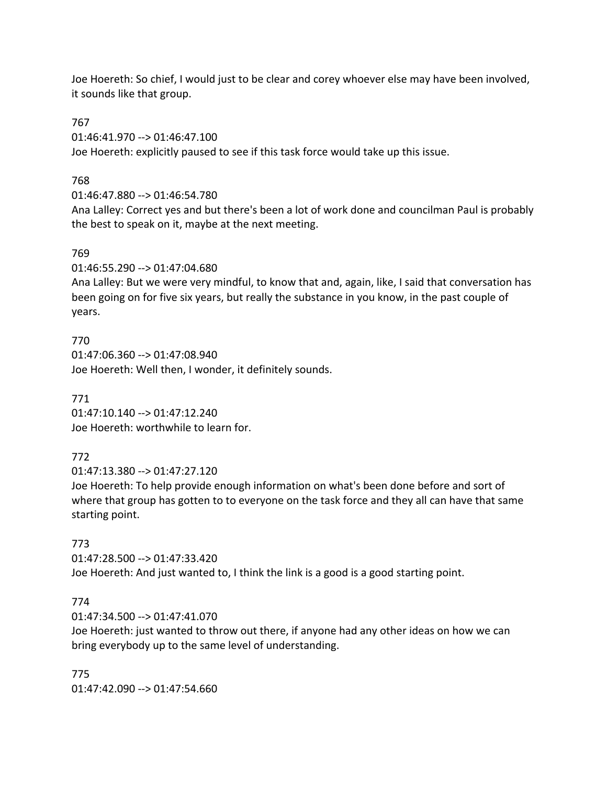Joe Hoereth: So chief, I would just to be clear and corey whoever else may have been involved, it sounds like that group.

767

01:46:41.970 --> 01:46:47.100

Joe Hoereth: explicitly paused to see if this task force would take up this issue.

768

01:46:47.880 --> 01:46:54.780

Ana Lalley: Correct yes and but there's been a lot of work done and councilman Paul is probably the best to speak on it, maybe at the next meeting.

## 769

01:46:55.290 --> 01:47:04.680

Ana Lalley: But we were very mindful, to know that and, again, like, I said that conversation has been going on for five six years, but really the substance in you know, in the past couple of years.

770 01:47:06.360 --> 01:47:08.940 Joe Hoereth: Well then, I wonder, it definitely sounds.

771 01:47:10.140 --> 01:47:12.240 Joe Hoereth: worthwhile to learn for.

# 772

01:47:13.380 --> 01:47:27.120

Joe Hoereth: To help provide enough information on what's been done before and sort of where that group has gotten to to everyone on the task force and they all can have that same starting point.

# 773

01:47:28.500 --> 01:47:33.420 Joe Hoereth: And just wanted to, I think the link is a good is a good starting point.

# 774

01:47:34.500 --> 01:47:41.070

Joe Hoereth: just wanted to throw out there, if anyone had any other ideas on how we can bring everybody up to the same level of understanding.

775 01:47:42.090 --> 01:47:54.660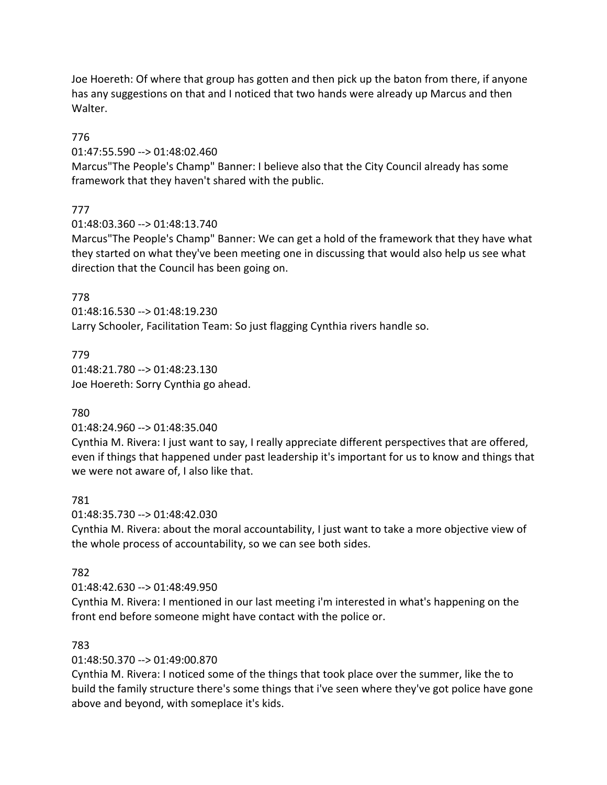Joe Hoereth: Of where that group has gotten and then pick up the baton from there, if anyone has any suggestions on that and I noticed that two hands were already up Marcus and then Walter.

## 776

01:47:55.590 --> 01:48:02.460

Marcus"The People's Champ" Banner: I believe also that the City Council already has some framework that they haven't shared with the public.

# 777

01:48:03.360 --> 01:48:13.740

Marcus"The People's Champ" Banner: We can get a hold of the framework that they have what they started on what they've been meeting one in discussing that would also help us see what direction that the Council has been going on.

## 778

01:48:16.530 --> 01:48:19.230 Larry Schooler, Facilitation Team: So just flagging Cynthia rivers handle so.

## 779

01:48:21.780 --> 01:48:23.130 Joe Hoereth: Sorry Cynthia go ahead.

## 780

01:48:24.960 --> 01:48:35.040

Cynthia M. Rivera: I just want to say, I really appreciate different perspectives that are offered, even if things that happened under past leadership it's important for us to know and things that we were not aware of, I also like that.

## 781

01:48:35.730 --> 01:48:42.030

Cynthia M. Rivera: about the moral accountability, I just want to take a more objective view of the whole process of accountability, so we can see both sides.

## 782

## 01:48:42.630 --> 01:48:49.950

Cynthia M. Rivera: I mentioned in our last meeting i'm interested in what's happening on the front end before someone might have contact with the police or.

## 783

01:48:50.370 --> 01:49:00.870

Cynthia M. Rivera: I noticed some of the things that took place over the summer, like the to build the family structure there's some things that i've seen where they've got police have gone above and beyond, with someplace it's kids.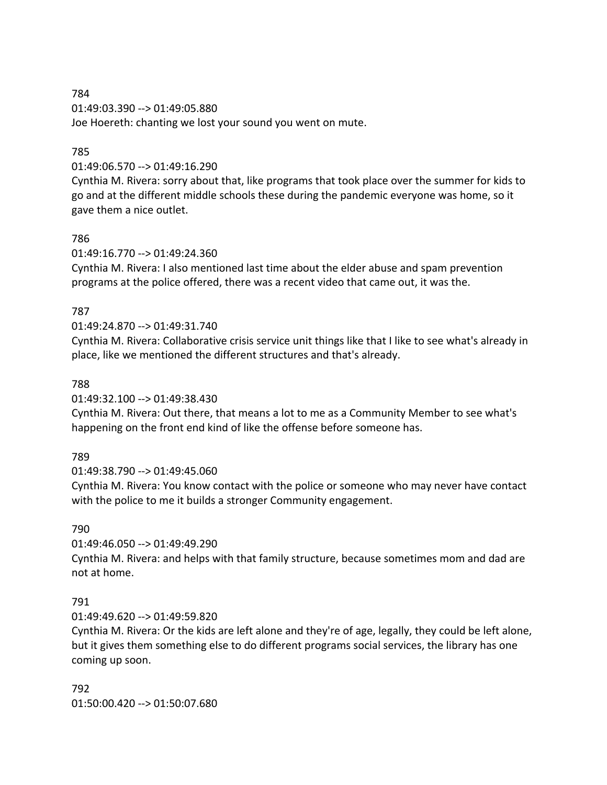## 784 01:49:03.390 --> 01:49:05.880 Joe Hoereth: chanting we lost your sound you went on mute.

# 785

# 01:49:06.570 --> 01:49:16.290

Cynthia M. Rivera: sorry about that, like programs that took place over the summer for kids to go and at the different middle schools these during the pandemic everyone was home, so it gave them a nice outlet.

## 786

01:49:16.770 --> 01:49:24.360

Cynthia M. Rivera: I also mentioned last time about the elder abuse and spam prevention programs at the police offered, there was a recent video that came out, it was the.

## 787

## 01:49:24.870 --> 01:49:31.740

Cynthia M. Rivera: Collaborative crisis service unit things like that I like to see what's already in place, like we mentioned the different structures and that's already.

## 788

01:49:32.100 --> 01:49:38.430

Cynthia M. Rivera: Out there, that means a lot to me as a Community Member to see what's happening on the front end kind of like the offense before someone has.

## 789

01:49:38.790 --> 01:49:45.060

Cynthia M. Rivera: You know contact with the police or someone who may never have contact with the police to me it builds a stronger Community engagement.

## 790

01:49:46.050 --> 01:49:49.290

Cynthia M. Rivera: and helps with that family structure, because sometimes mom and dad are not at home.

## 791

01:49:49.620 --> 01:49:59.820

Cynthia M. Rivera: Or the kids are left alone and they're of age, legally, they could be left alone, but it gives them something else to do different programs social services, the library has one coming up soon.

792 01:50:00.420 --> 01:50:07.680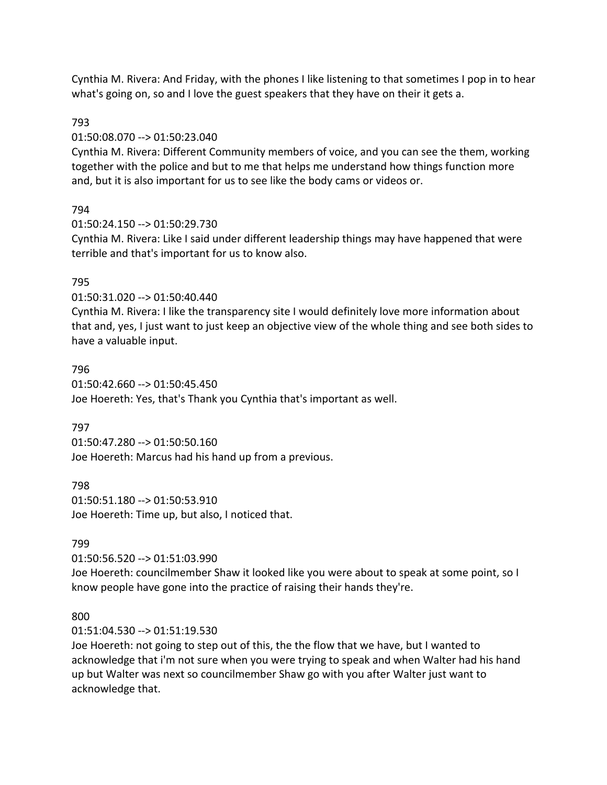Cynthia M. Rivera: And Friday, with the phones I like listening to that sometimes I pop in to hear what's going on, so and I love the guest speakers that they have on their it gets a.

### 793

#### 01:50:08.070 --> 01:50:23.040

Cynthia M. Rivera: Different Community members of voice, and you can see the them, working together with the police and but to me that helps me understand how things function more and, but it is also important for us to see like the body cams or videos or.

## 794

01:50:24.150 --> 01:50:29.730

Cynthia M. Rivera: Like I said under different leadership things may have happened that were terrible and that's important for us to know also.

### 795

01:50:31.020 --> 01:50:40.440

Cynthia M. Rivera: I like the transparency site I would definitely love more information about that and, yes, I just want to just keep an objective view of the whole thing and see both sides to have a valuable input.

#### 796

01:50:42.660 --> 01:50:45.450 Joe Hoereth: Yes, that's Thank you Cynthia that's important as well.

## 797

01:50:47.280 --> 01:50:50.160 Joe Hoereth: Marcus had his hand up from a previous.

798 01:50:51.180 --> 01:50:53.910 Joe Hoereth: Time up, but also, I noticed that.

## 799

01:50:56.520 --> 01:51:03.990

Joe Hoereth: councilmember Shaw it looked like you were about to speak at some point, so I know people have gone into the practice of raising their hands they're.

#### 800

01:51:04.530 --> 01:51:19.530

Joe Hoereth: not going to step out of this, the the flow that we have, but I wanted to acknowledge that i'm not sure when you were trying to speak and when Walter had his hand up but Walter was next so councilmember Shaw go with you after Walter just want to acknowledge that.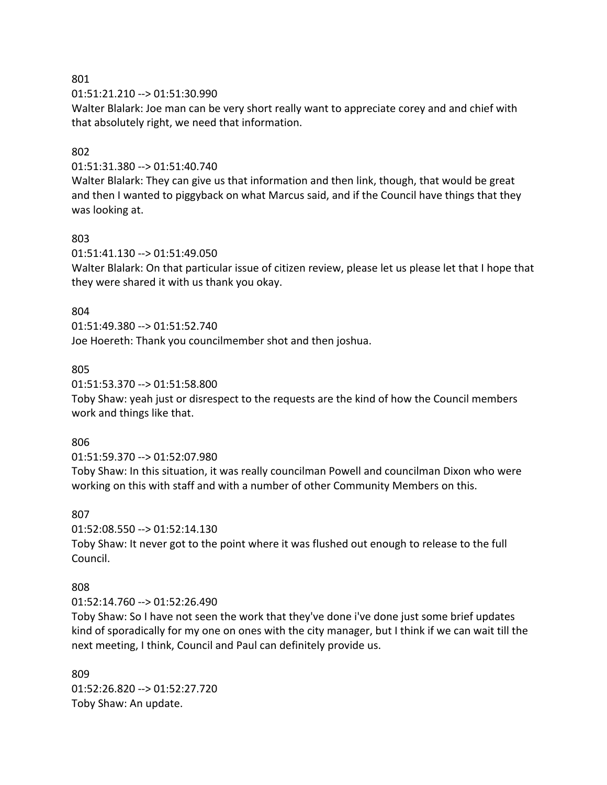#### 801

01:51:21.210 --> 01:51:30.990

Walter Blalark: Joe man can be very short really want to appreciate corey and and chief with that absolutely right, we need that information.

### 802

01:51:31.380 --> 01:51:40.740

Walter Blalark: They can give us that information and then link, though, that would be great and then I wanted to piggyback on what Marcus said, and if the Council have things that they was looking at.

### 803

01:51:41.130 --> 01:51:49.050

Walter Blalark: On that particular issue of citizen review, please let us please let that I hope that they were shared it with us thank you okay.

### 804

01:51:49.380 --> 01:51:52.740

Joe Hoereth: Thank you councilmember shot and then joshua.

### 805

01:51:53.370 --> 01:51:58.800

Toby Shaw: yeah just or disrespect to the requests are the kind of how the Council members work and things like that.

#### 806

01:51:59.370 --> 01:52:07.980

Toby Shaw: In this situation, it was really councilman Powell and councilman Dixon who were working on this with staff and with a number of other Community Members on this.

#### 807

01:52:08.550 --> 01:52:14.130

Toby Shaw: It never got to the point where it was flushed out enough to release to the full Council.

## 808

01:52:14.760 --> 01:52:26.490

Toby Shaw: So I have not seen the work that they've done i've done just some brief updates kind of sporadically for my one on ones with the city manager, but I think if we can wait till the next meeting, I think, Council and Paul can definitely provide us.

809 01:52:26.820 --> 01:52:27.720 Toby Shaw: An update.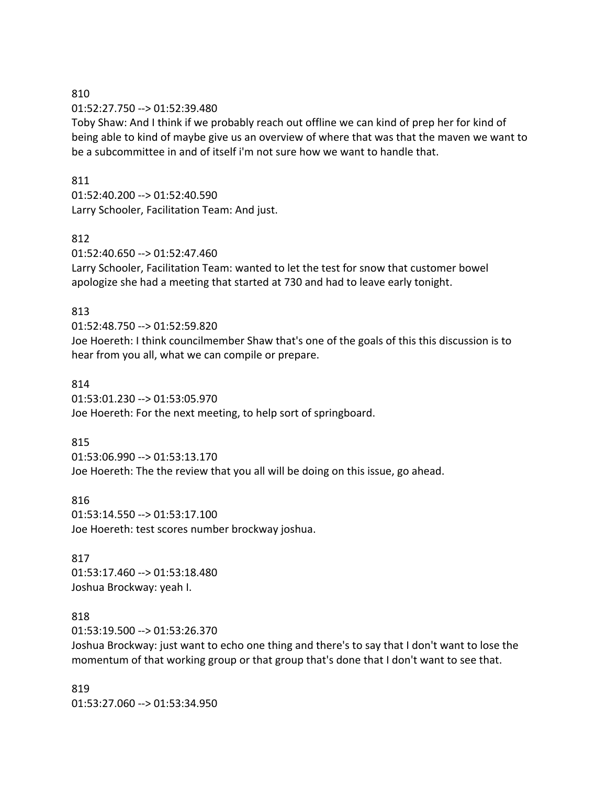### 810

#### 01:52:27.750 --> 01:52:39.480

Toby Shaw: And I think if we probably reach out offline we can kind of prep her for kind of being able to kind of maybe give us an overview of where that was that the maven we want to be a subcommittee in and of itself i'm not sure how we want to handle that.

### 811

01:52:40.200 --> 01:52:40.590 Larry Schooler, Facilitation Team: And just.

## 812

01:52:40.650 --> 01:52:47.460

Larry Schooler, Facilitation Team: wanted to let the test for snow that customer bowel apologize she had a meeting that started at 730 and had to leave early tonight.

## 813

01:52:48.750 --> 01:52:59.820 Joe Hoereth: I think councilmember Shaw that's one of the goals of this this discussion is to hear from you all, what we can compile or prepare.

### 814

01:53:01.230 --> 01:53:05.970

Joe Hoereth: For the next meeting, to help sort of springboard.

## 815

01:53:06.990 --> 01:53:13.170 Joe Hoereth: The the review that you all will be doing on this issue, go ahead.

#### 816

01:53:14.550 --> 01:53:17.100 Joe Hoereth: test scores number brockway joshua.

# 817 01:53:17.460 --> 01:53:18.480

Joshua Brockway: yeah I.

## 818

01:53:19.500 --> 01:53:26.370

Joshua Brockway: just want to echo one thing and there's to say that I don't want to lose the momentum of that working group or that group that's done that I don't want to see that.

# 819 01:53:27.060 --> 01:53:34.950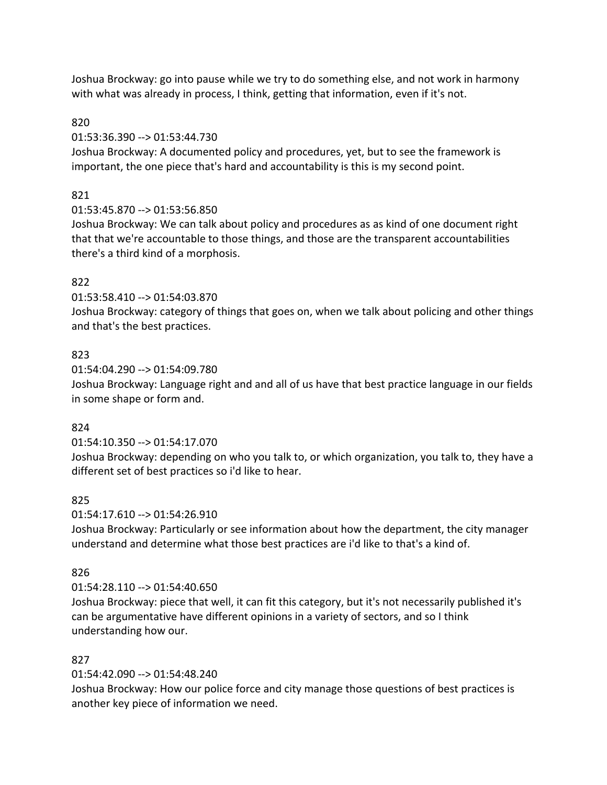Joshua Brockway: go into pause while we try to do something else, and not work in harmony with what was already in process, I think, getting that information, even if it's not.

## 820

## 01:53:36.390 --> 01:53:44.730

Joshua Brockway: A documented policy and procedures, yet, but to see the framework is important, the one piece that's hard and accountability is this is my second point.

# 821

# 01:53:45.870 --> 01:53:56.850

Joshua Brockway: We can talk about policy and procedures as as kind of one document right that that we're accountable to those things, and those are the transparent accountabilities there's a third kind of a morphosis.

# 822

## 01:53:58.410 --> 01:54:03.870

Joshua Brockway: category of things that goes on, when we talk about policing and other things and that's the best practices.

# 823

### 01:54:04.290 --> 01:54:09.780

Joshua Brockway: Language right and and all of us have that best practice language in our fields in some shape or form and.

# 824

# 01:54:10.350 --> 01:54:17.070

Joshua Brockway: depending on who you talk to, or which organization, you talk to, they have a different set of best practices so i'd like to hear.

# 825

# 01:54:17.610 --> 01:54:26.910

Joshua Brockway: Particularly or see information about how the department, the city manager understand and determine what those best practices are i'd like to that's a kind of.

# 826

# 01:54:28.110 --> 01:54:40.650

Joshua Brockway: piece that well, it can fit this category, but it's not necessarily published it's can be argumentative have different opinions in a variety of sectors, and so I think understanding how our.

# 827

# 01:54:42.090 --> 01:54:48.240

Joshua Brockway: How our police force and city manage those questions of best practices is another key piece of information we need.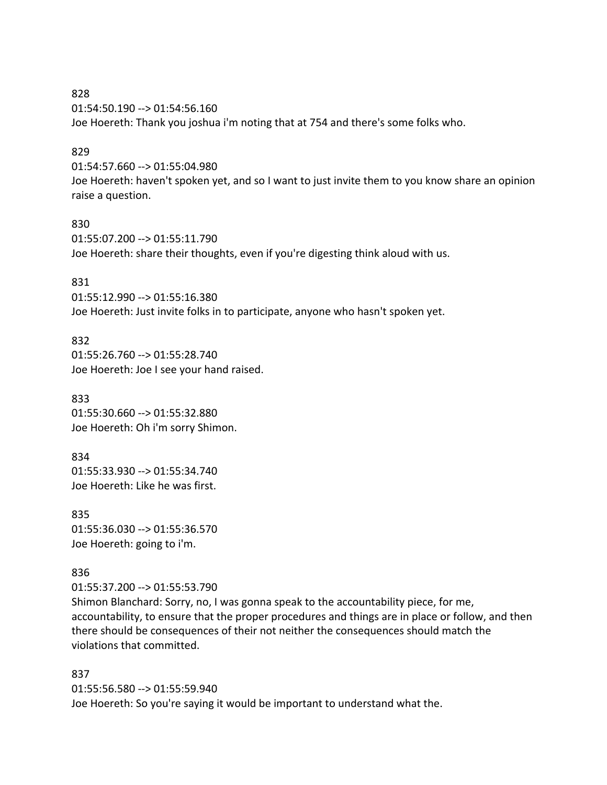828 01:54:50.190 --> 01:54:56.160 Joe Hoereth: Thank you joshua i'm noting that at 754 and there's some folks who.

#### 829

01:54:57.660 --> 01:55:04.980

Joe Hoereth: haven't spoken yet, and so I want to just invite them to you know share an opinion raise a question.

#### 830

01:55:07.200 --> 01:55:11.790 Joe Hoereth: share their thoughts, even if you're digesting think aloud with us.

#### 831

01:55:12.990 --> 01:55:16.380 Joe Hoereth: Just invite folks in to participate, anyone who hasn't spoken yet.

#### 832

01:55:26.760 --> 01:55:28.740 Joe Hoereth: Joe I see your hand raised.

833 01:55:30.660 --> 01:55:32.880 Joe Hoereth: Oh i'm sorry Shimon.

834 01:55:33.930 --> 01:55:34.740 Joe Hoereth: Like he was first.

835 01:55:36.030 --> 01:55:36.570 Joe Hoereth: going to i'm.

#### 836

01:55:37.200 --> 01:55:53.790

Shimon Blanchard: Sorry, no, I was gonna speak to the accountability piece, for me, accountability, to ensure that the proper procedures and things are in place or follow, and then there should be consequences of their not neither the consequences should match the violations that committed.

837 01:55:56.580 --> 01:55:59.940 Joe Hoereth: So you're saying it would be important to understand what the.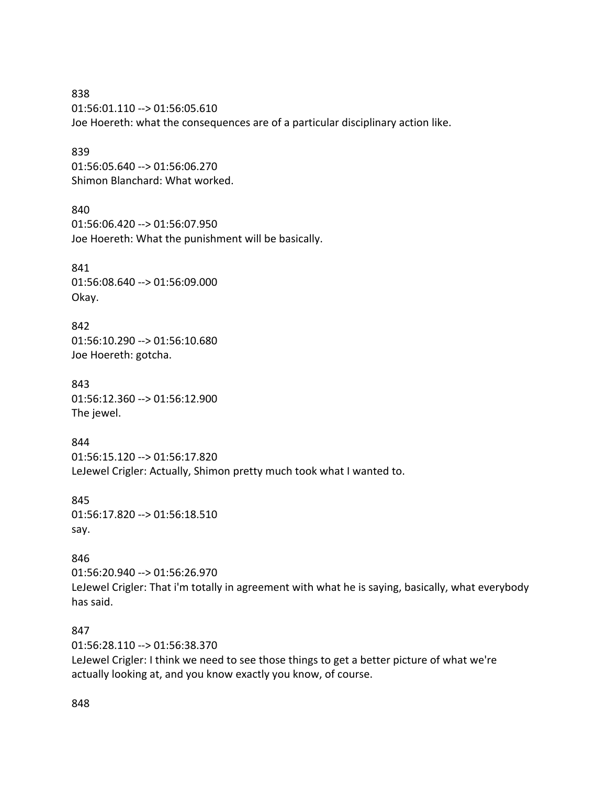838 01:56:01.110 --> 01:56:05.610 Joe Hoereth: what the consequences are of a particular disciplinary action like.

839 01:56:05.640 --> 01:56:06.270 Shimon Blanchard: What worked.

840 01:56:06.420 --> 01:56:07.950 Joe Hoereth: What the punishment will be basically.

841 01:56:08.640 --> 01:56:09.000 Okay.

842 01:56:10.290 --> 01:56:10.680 Joe Hoereth: gotcha.

843 01:56:12.360 --> 01:56:12.900 The jewel.

844 01:56:15.120 --> 01:56:17.820 LeJewel Crigler: Actually, Shimon pretty much took what I wanted to.

845 01:56:17.820 --> 01:56:18.510 say.

846 01:56:20.940 --> 01:56:26.970 LeJewel Crigler: That i'm totally in agreement with what he is saying, basically, what everybody has said.

847 01:56:28.110 --> 01:56:38.370 LeJewel Crigler: I think we need to see those things to get a better picture of what we're actually looking at, and you know exactly you know, of course.

848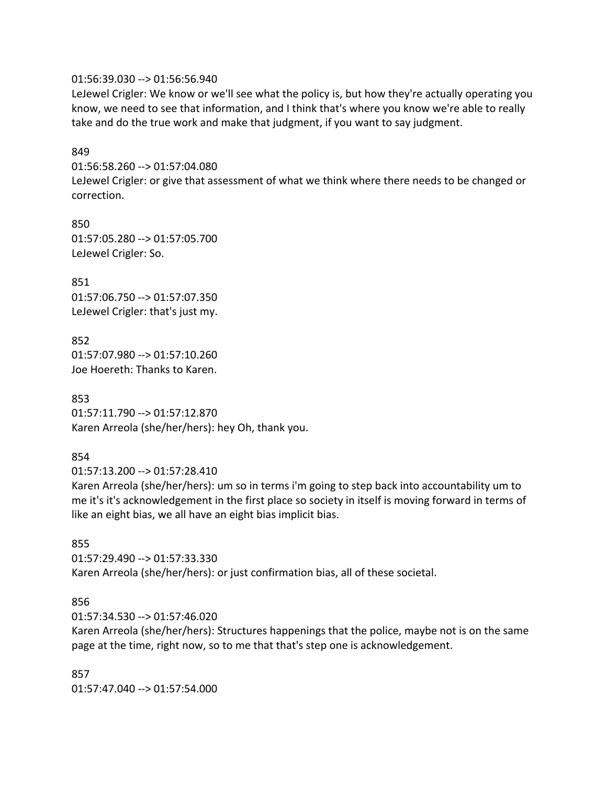01:56:39.030 --> 01:56:56.940

LeJewel Crigler: We know or we'll see what the policy is, but how they're actually operating you know, we need to see that information, and I think that's where you know we're able to really take and do the true work and make that judgment, if you want to say judgment.

#### 849

01:56:58.260 --> 01:57:04.080

LeJewel Crigler: or give that assessment of what we think where there needs to be changed or correction.

850 01:57:05.280 --> 01:57:05.700 LeJewel Crigler: So.

851 01:57:06.750 --> 01:57:07.350 LeJewel Crigler: that's just my.

852 01:57:07.980 --> 01:57:10.260 Joe Hoereth: Thanks to Karen.

853 01:57:11.790 --> 01:57:12.870 Karen Arreola (she/her/hers): hey Oh, thank you.

# 854

01:57:13.200 --> 01:57:28.410

Karen Arreola (she/her/hers): um so in terms i'm going to step back into accountability um to me it's it's acknowledgement in the first place so society in itself is moving forward in terms of like an eight bias, we all have an eight bias implicit bias.

## 855

01:57:29.490 --> 01:57:33.330 Karen Arreola (she/her/hers): or just confirmation bias, all of these societal.

## 856

01:57:34.530 --> 01:57:46.020

Karen Arreola (she/her/hers): Structures happenings that the police, maybe not is on the same page at the time, right now, so to me that that's step one is acknowledgement.

857 01:57:47.040 --> 01:57:54.000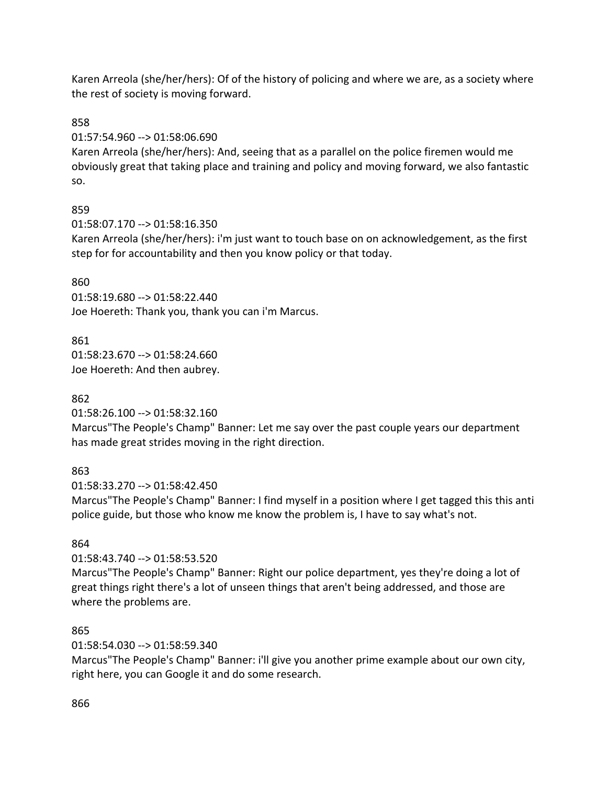Karen Arreola (she/her/hers): Of of the history of policing and where we are, as a society where the rest of society is moving forward.

# 858

01:57:54.960 --> 01:58:06.690

Karen Arreola (she/her/hers): And, seeing that as a parallel on the police firemen would me obviously great that taking place and training and policy and moving forward, we also fantastic so.

# 859

01:58:07.170 --> 01:58:16.350

Karen Arreola (she/her/hers): i'm just want to touch base on on acknowledgement, as the first step for for accountability and then you know policy or that today.

## 860

01:58:19.680 --> 01:58:22.440 Joe Hoereth: Thank you, thank you can i'm Marcus.

## 861

01:58:23.670 --> 01:58:24.660 Joe Hoereth: And then aubrey.

## 862

01:58:26.100 --> 01:58:32.160

Marcus"The People's Champ" Banner: Let me say over the past couple years our department has made great strides moving in the right direction.

## 863

01:58:33.270 --> 01:58:42.450

Marcus"The People's Champ" Banner: I find myself in a position where I get tagged this this anti police guide, but those who know me know the problem is, I have to say what's not.

## 864

01:58:43.740 --> 01:58:53.520

Marcus"The People's Champ" Banner: Right our police department, yes they're doing a lot of great things right there's a lot of unseen things that aren't being addressed, and those are where the problems are.

## 865

01:58:54.030 --> 01:58:59.340

Marcus"The People's Champ" Banner: i'll give you another prime example about our own city, right here, you can Google it and do some research.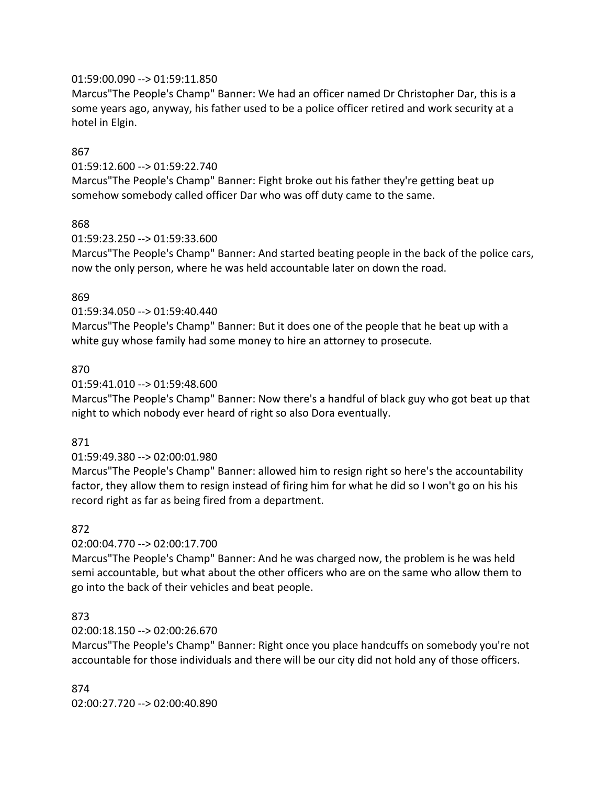### 01:59:00.090 --> 01:59:11.850

Marcus"The People's Champ" Banner: We had an officer named Dr Christopher Dar, this is a some years ago, anyway, his father used to be a police officer retired and work security at a hotel in Elgin.

### 867

01:59:12.600 --> 01:59:22.740

Marcus"The People's Champ" Banner: Fight broke out his father they're getting beat up somehow somebody called officer Dar who was off duty came to the same.

#### 868

01:59:23.250 --> 01:59:33.600

Marcus"The People's Champ" Banner: And started beating people in the back of the police cars, now the only person, where he was held accountable later on down the road.

#### 869

01:59:34.050 --> 01:59:40.440

Marcus"The People's Champ" Banner: But it does one of the people that he beat up with a white guy whose family had some money to hire an attorney to prosecute.

### 870

#### 01:59:41.010 --> 01:59:48.600

Marcus"The People's Champ" Banner: Now there's a handful of black guy who got beat up that night to which nobody ever heard of right so also Dora eventually.

#### 871

## 01:59:49.380 --> 02:00:01.980

Marcus"The People's Champ" Banner: allowed him to resign right so here's the accountability factor, they allow them to resign instead of firing him for what he did so I won't go on his his record right as far as being fired from a department.

#### 872

## 02:00:04.770 --> 02:00:17.700

Marcus"The People's Champ" Banner: And he was charged now, the problem is he was held semi accountable, but what about the other officers who are on the same who allow them to go into the back of their vehicles and beat people.

#### 873

## 02:00:18.150 --> 02:00:26.670

Marcus"The People's Champ" Banner: Right once you place handcuffs on somebody you're not accountable for those individuals and there will be our city did not hold any of those officers.

874 02:00:27.720 --> 02:00:40.890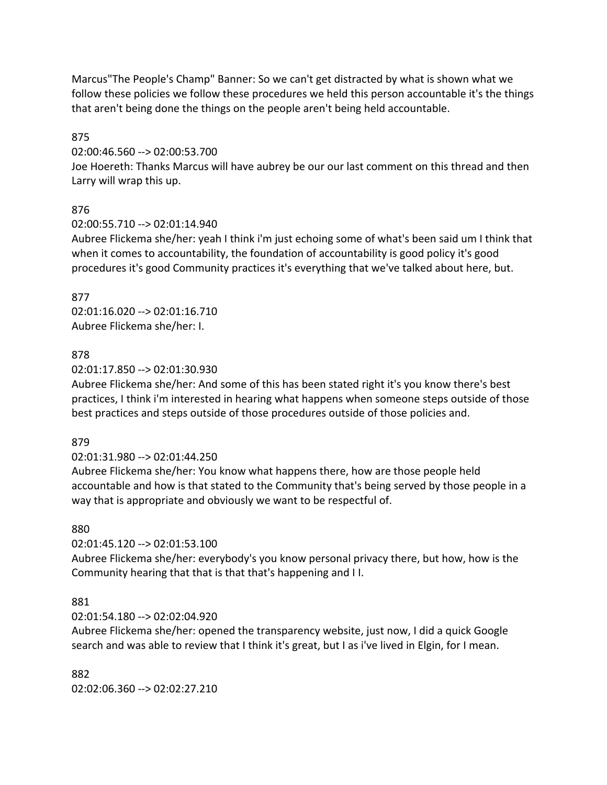Marcus"The People's Champ" Banner: So we can't get distracted by what is shown what we follow these policies we follow these procedures we held this person accountable it's the things that aren't being done the things on the people aren't being held accountable.

## 875

## 02:00:46.560 --> 02:00:53.700

Joe Hoereth: Thanks Marcus will have aubrey be our our last comment on this thread and then Larry will wrap this up.

# 876

## 02:00:55.710 --> 02:01:14.940

Aubree Flickema she/her: yeah I think i'm just echoing some of what's been said um I think that when it comes to accountability, the foundation of accountability is good policy it's good procedures it's good Community practices it's everything that we've talked about here, but.

### 877 02:01:16.020 --> 02:01:16.710 Aubree Flickema she/her: I.

## 878

## 02:01:17.850 --> 02:01:30.930

Aubree Flickema she/her: And some of this has been stated right it's you know there's best practices, I think i'm interested in hearing what happens when someone steps outside of those best practices and steps outside of those procedures outside of those policies and.

## 879

# 02:01:31.980 --> 02:01:44.250

Aubree Flickema she/her: You know what happens there, how are those people held accountable and how is that stated to the Community that's being served by those people in a way that is appropriate and obviously we want to be respectful of.

# 880

# 02:01:45.120 --> 02:01:53.100

Aubree Flickema she/her: everybody's you know personal privacy there, but how, how is the Community hearing that that is that that's happening and I I.

## 881

# 02:01:54.180 --> 02:02:04.920

Aubree Flickema she/her: opened the transparency website, just now, I did a quick Google search and was able to review that I think it's great, but I as i've lived in Elgin, for I mean.

882 02:02:06.360 --> 02:02:27.210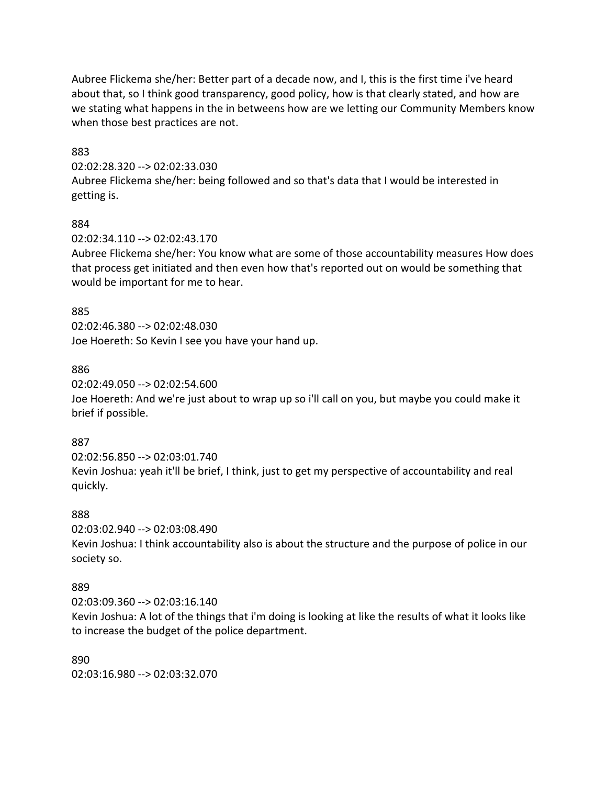Aubree Flickema she/her: Better part of a decade now, and I, this is the first time i've heard about that, so I think good transparency, good policy, how is that clearly stated, and how are we stating what happens in the in betweens how are we letting our Community Members know when those best practices are not.

### 883

02:02:28.320 --> 02:02:33.030

Aubree Flickema she/her: being followed and so that's data that I would be interested in getting is.

### 884

### 02:02:34.110 --> 02:02:43.170

Aubree Flickema she/her: You know what are some of those accountability measures How does that process get initiated and then even how that's reported out on would be something that would be important for me to hear.

### 885

02:02:46.380 --> 02:02:48.030 Joe Hoereth: So Kevin I see you have your hand up.

### 886

02:02:49.050 --> 02:02:54.600

Joe Hoereth: And we're just about to wrap up so i'll call on you, but maybe you could make it brief if possible.

## 887

02:02:56.850 --> 02:03:01.740 Kevin Joshua: yeah it'll be brief, I think, just to get my perspective of accountability and real quickly.

#### 888

02:03:02.940 --> 02:03:08.490

Kevin Joshua: I think accountability also is about the structure and the purpose of police in our society so.

## 889

02:03:09.360 --> 02:03:16.140

Kevin Joshua: A lot of the things that i'm doing is looking at like the results of what it looks like to increase the budget of the police department.

890 02:03:16.980 --> 02:03:32.070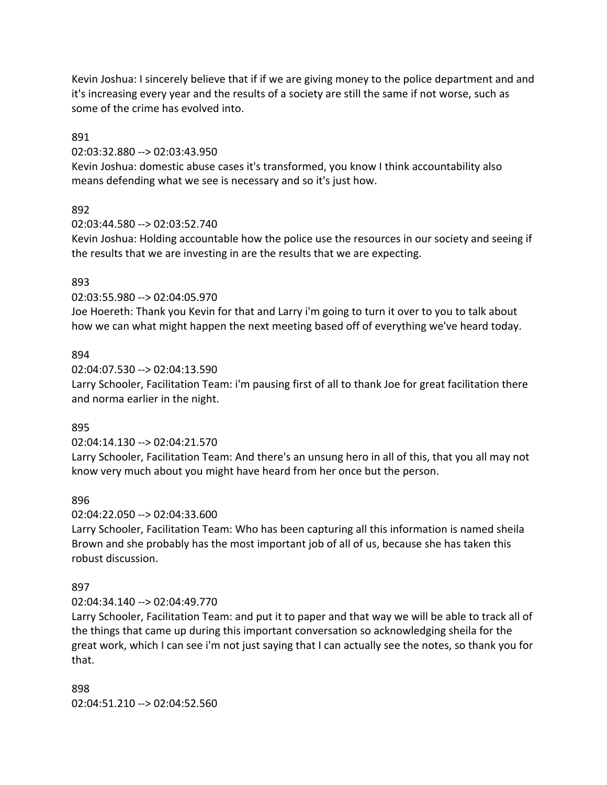Kevin Joshua: I sincerely believe that if if we are giving money to the police department and and it's increasing every year and the results of a society are still the same if not worse, such as some of the crime has evolved into.

891

02:03:32.880 --> 02:03:43.950

Kevin Joshua: domestic abuse cases it's transformed, you know I think accountability also means defending what we see is necessary and so it's just how.

### 892

02:03:44.580 --> 02:03:52.740

Kevin Joshua: Holding accountable how the police use the resources in our society and seeing if the results that we are investing in are the results that we are expecting.

#### 893

02:03:55.980 --> 02:04:05.970

Joe Hoereth: Thank you Kevin for that and Larry i'm going to turn it over to you to talk about how we can what might happen the next meeting based off of everything we've heard today.

#### 894

02:04:07.530 --> 02:04:13.590

Larry Schooler, Facilitation Team: i'm pausing first of all to thank Joe for great facilitation there and norma earlier in the night.

#### 895

02:04:14.130 --> 02:04:21.570

Larry Schooler, Facilitation Team: And there's an unsung hero in all of this, that you all may not know very much about you might have heard from her once but the person.

#### 896

02:04:22.050 --> 02:04:33.600

Larry Schooler, Facilitation Team: Who has been capturing all this information is named sheila Brown and she probably has the most important job of all of us, because she has taken this robust discussion.

## 897

#### 02:04:34.140 --> 02:04:49.770

Larry Schooler, Facilitation Team: and put it to paper and that way we will be able to track all of the things that came up during this important conversation so acknowledging sheila for the great work, which I can see i'm not just saying that I can actually see the notes, so thank you for that.

### 898 02:04:51.210 --> 02:04:52.560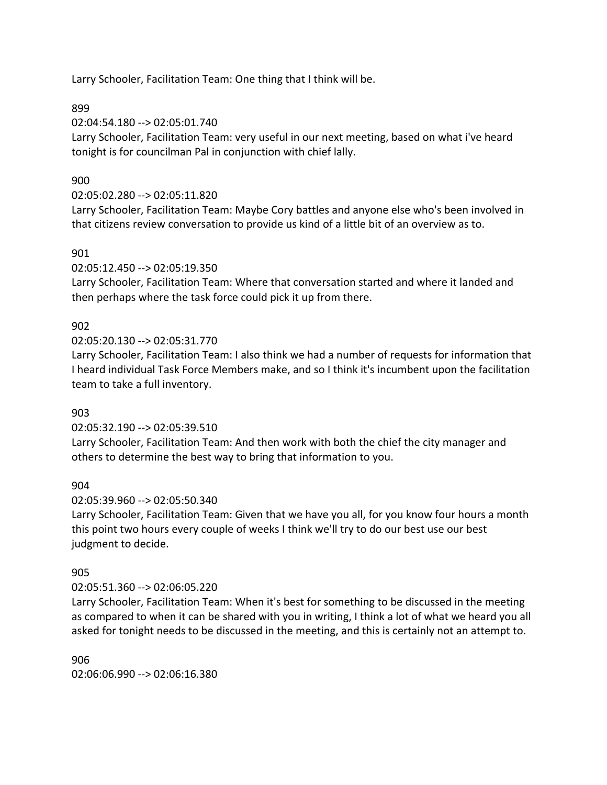Larry Schooler, Facilitation Team: One thing that I think will be.

899

02:04:54.180 --> 02:05:01.740

Larry Schooler, Facilitation Team: very useful in our next meeting, based on what i've heard tonight is for councilman Pal in conjunction with chief lally.

## 900

## 02:05:02.280 --> 02:05:11.820

Larry Schooler, Facilitation Team: Maybe Cory battles and anyone else who's been involved in that citizens review conversation to provide us kind of a little bit of an overview as to.

## 901

02:05:12.450 --> 02:05:19.350

Larry Schooler, Facilitation Team: Where that conversation started and where it landed and then perhaps where the task force could pick it up from there.

## 902

02:05:20.130 --> 02:05:31.770

Larry Schooler, Facilitation Team: I also think we had a number of requests for information that I heard individual Task Force Members make, and so I think it's incumbent upon the facilitation team to take a full inventory.

## 903

02:05:32.190 --> 02:05:39.510

Larry Schooler, Facilitation Team: And then work with both the chief the city manager and others to determine the best way to bring that information to you.

## 904

02:05:39.960 --> 02:05:50.340

Larry Schooler, Facilitation Team: Given that we have you all, for you know four hours a month this point two hours every couple of weeks I think we'll try to do our best use our best judgment to decide.

## 905

## 02:05:51.360 --> 02:06:05.220

Larry Schooler, Facilitation Team: When it's best for something to be discussed in the meeting as compared to when it can be shared with you in writing, I think a lot of what we heard you all asked for tonight needs to be discussed in the meeting, and this is certainly not an attempt to.

906 02:06:06.990 --> 02:06:16.380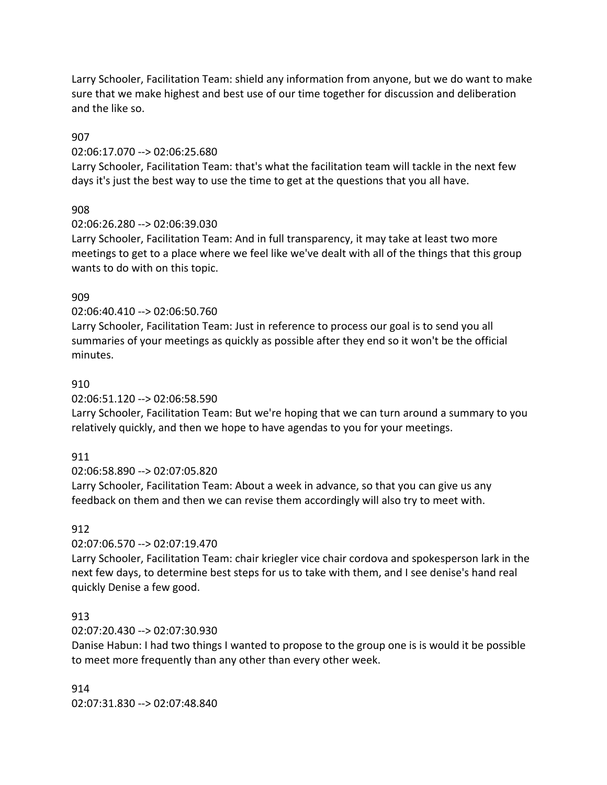Larry Schooler, Facilitation Team: shield any information from anyone, but we do want to make sure that we make highest and best use of our time together for discussion and deliberation and the like so.

### 907

### 02:06:17.070 --> 02:06:25.680

Larry Schooler, Facilitation Team: that's what the facilitation team will tackle in the next few days it's just the best way to use the time to get at the questions that you all have.

## 908

## 02:06:26.280 --> 02:06:39.030

Larry Schooler, Facilitation Team: And in full transparency, it may take at least two more meetings to get to a place where we feel like we've dealt with all of the things that this group wants to do with on this topic.

## 909

### 02:06:40.410 --> 02:06:50.760

Larry Schooler, Facilitation Team: Just in reference to process our goal is to send you all summaries of your meetings as quickly as possible after they end so it won't be the official minutes.

### 910

02:06:51.120 --> 02:06:58.590

Larry Schooler, Facilitation Team: But we're hoping that we can turn around a summary to you relatively quickly, and then we hope to have agendas to you for your meetings.

## 911

02:06:58.890 --> 02:07:05.820

Larry Schooler, Facilitation Team: About a week in advance, so that you can give us any feedback on them and then we can revise them accordingly will also try to meet with.

## 912

#### 02:07:06.570 --> 02:07:19.470

Larry Schooler, Facilitation Team: chair kriegler vice chair cordova and spokesperson lark in the next few days, to determine best steps for us to take with them, and I see denise's hand real quickly Denise a few good.

## 913

## 02:07:20.430 --> 02:07:30.930

Danise Habun: I had two things I wanted to propose to the group one is is would it be possible to meet more frequently than any other than every other week.

#### 914

02:07:31.830 --> 02:07:48.840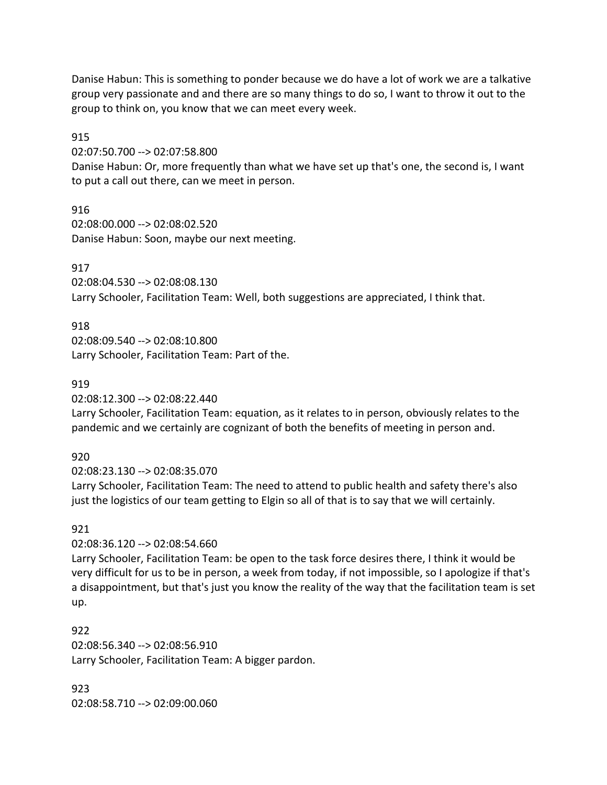Danise Habun: This is something to ponder because we do have a lot of work we are a talkative group very passionate and and there are so many things to do so, I want to throw it out to the group to think on, you know that we can meet every week.

915

02:07:50.700 --> 02:07:58.800

Danise Habun: Or, more frequently than what we have set up that's one, the second is, I want to put a call out there, can we meet in person.

916 02:08:00.000 --> 02:08:02.520 Danise Habun: Soon, maybe our next meeting.

917

02:08:04.530 --> 02:08:08.130 Larry Schooler, Facilitation Team: Well, both suggestions are appreciated, I think that.

# 918

02:08:09.540 --> 02:08:10.800 Larry Schooler, Facilitation Team: Part of the.

## 919

02:08:12.300 --> 02:08:22.440

Larry Schooler, Facilitation Team: equation, as it relates to in person, obviously relates to the pandemic and we certainly are cognizant of both the benefits of meeting in person and.

## 920

02:08:23.130 --> 02:08:35.070

Larry Schooler, Facilitation Team: The need to attend to public health and safety there's also just the logistics of our team getting to Elgin so all of that is to say that we will certainly.

# 921

02:08:36.120 --> 02:08:54.660

Larry Schooler, Facilitation Team: be open to the task force desires there, I think it would be very difficult for us to be in person, a week from today, if not impossible, so I apologize if that's a disappointment, but that's just you know the reality of the way that the facilitation team is set up.

922 02:08:56.340 --> 02:08:56.910 Larry Schooler, Facilitation Team: A bigger pardon.

923 02:08:58.710 --> 02:09:00.060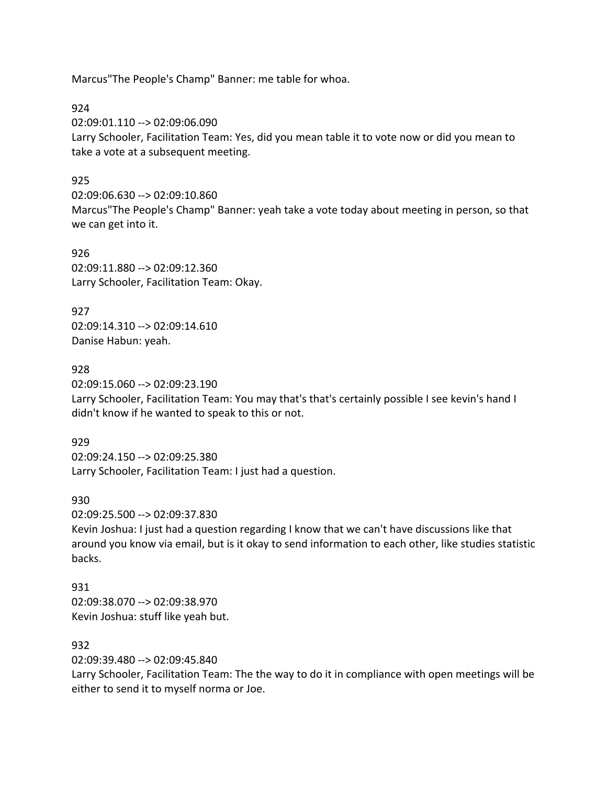Marcus"The People's Champ" Banner: me table for whoa.

924

02:09:01.110 --> 02:09:06.090

Larry Schooler, Facilitation Team: Yes, did you mean table it to vote now or did you mean to take a vote at a subsequent meeting.

### 925

02:09:06.630 --> 02:09:10.860 Marcus"The People's Champ" Banner: yeah take a vote today about meeting in person, so that we can get into it.

926 02:09:11.880 --> 02:09:12.360 Larry Schooler, Facilitation Team: Okay.

927 02:09:14.310 --> 02:09:14.610 Danise Habun: yeah.

928 02:09:15.060 --> 02:09:23.190 Larry Schooler, Facilitation Team: You may that's that's certainly possible I see kevin's hand I didn't know if he wanted to speak to this or not.

929 02:09:24.150 --> 02:09:25.380 Larry Schooler, Facilitation Team: I just had a question.

930

02:09:25.500 --> 02:09:37.830

Kevin Joshua: I just had a question regarding I know that we can't have discussions like that around you know via email, but is it okay to send information to each other, like studies statistic backs.

931 02:09:38.070 --> 02:09:38.970 Kevin Joshua: stuff like yeah but.

### 932

02:09:39.480 --> 02:09:45.840

Larry Schooler, Facilitation Team: The the way to do it in compliance with open meetings will be either to send it to myself norma or Joe.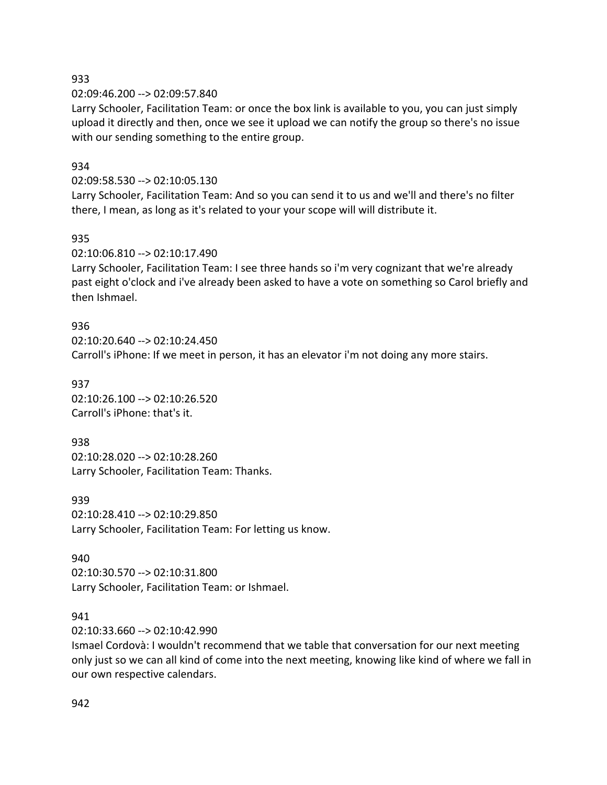#### 933

02:09:46.200 --> 02:09:57.840

Larry Schooler, Facilitation Team: or once the box link is available to you, you can just simply upload it directly and then, once we see it upload we can notify the group so there's no issue with our sending something to the entire group.

### 934

#### 02:09:58.530 --> 02:10:05.130

Larry Schooler, Facilitation Team: And so you can send it to us and we'll and there's no filter there, I mean, as long as it's related to your your scope will will distribute it.

#### 935

02:10:06.810 --> 02:10:17.490

Larry Schooler, Facilitation Team: I see three hands so i'm very cognizant that we're already past eight o'clock and i've already been asked to have a vote on something so Carol briefly and then Ishmael.

#### 936

02:10:20.640 --> 02:10:24.450 Carroll's iPhone: If we meet in person, it has an elevator i'm not doing any more stairs.

#### 937

02:10:26.100 --> 02:10:26.520 Carroll's iPhone: that's it.

#### 938

02:10:28.020 --> 02:10:28.260 Larry Schooler, Facilitation Team: Thanks.

#### 939

02:10:28.410 --> 02:10:29.850 Larry Schooler, Facilitation Team: For letting us know.

## 940

02:10:30.570 --> 02:10:31.800 Larry Schooler, Facilitation Team: or Ishmael.

#### 941

02:10:33.660 --> 02:10:42.990

Ismael Cordovà: I wouldn't recommend that we table that conversation for our next meeting only just so we can all kind of come into the next meeting, knowing like kind of where we fall in our own respective calendars.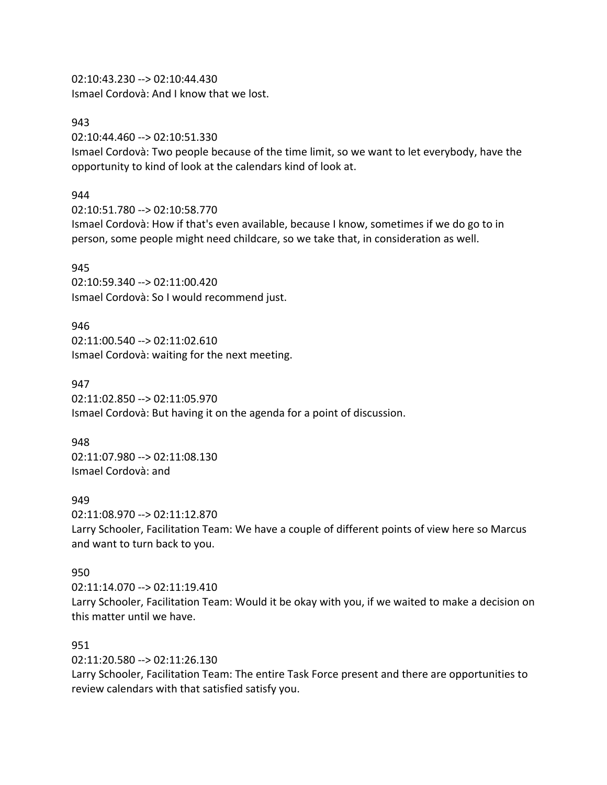02:10:43.230 --> 02:10:44.430 Ismael Cordovà: And I know that we lost.

#### 943

02:10:44.460 --> 02:10:51.330

Ismael Cordovà: Two people because of the time limit, so we want to let everybody, have the opportunity to kind of look at the calendars kind of look at.

#### 944

02:10:51.780 --> 02:10:58.770

Ismael Cordovà: How if that's even available, because I know, sometimes if we do go to in person, some people might need childcare, so we take that, in consideration as well.

#### 945

02:10:59.340 --> 02:11:00.420 Ismael Cordovà: So I would recommend just.

#### 946

02:11:00.540 --> 02:11:02.610 Ismael Cordovà: waiting for the next meeting.

#### 947

02:11:02.850 --> 02:11:05.970 Ismael Cordovà: But having it on the agenda for a point of discussion.

#### 948

02:11:07.980 --> 02:11:08.130 Ismael Cordovà: and

#### 949

02:11:08.970 --> 02:11:12.870 Larry Schooler, Facilitation Team: We have a couple of different points of view here so Marcus and want to turn back to you.

#### 950

02:11:14.070 --> 02:11:19.410 Larry Schooler, Facilitation Team: Would it be okay with you, if we waited to make a decision on this matter until we have.

### 951

02:11:20.580 --> 02:11:26.130

Larry Schooler, Facilitation Team: The entire Task Force present and there are opportunities to review calendars with that satisfied satisfy you.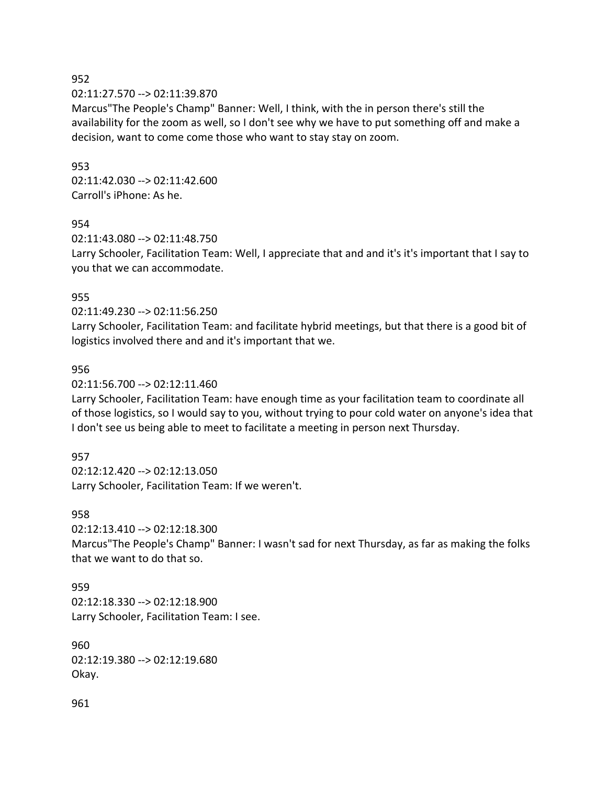#### 952

02:11:27.570 --> 02:11:39.870

Marcus"The People's Champ" Banner: Well, I think, with the in person there's still the availability for the zoom as well, so I don't see why we have to put something off and make a decision, want to come come those who want to stay stay on zoom.

#### 953

02:11:42.030 --> 02:11:42.600 Carroll's iPhone: As he.

#### 954

02:11:43.080 --> 02:11:48.750 Larry Schooler, Facilitation Team: Well, I appreciate that and and it's it's important that I say to you that we can accommodate.

#### 955

02:11:49.230 --> 02:11:56.250

Larry Schooler, Facilitation Team: and facilitate hybrid meetings, but that there is a good bit of logistics involved there and and it's important that we.

#### 956

02:11:56.700 --> 02:12:11.460

Larry Schooler, Facilitation Team: have enough time as your facilitation team to coordinate all of those logistics, so I would say to you, without trying to pour cold water on anyone's idea that I don't see us being able to meet to facilitate a meeting in person next Thursday.

#### 957

02:12:12.420 --> 02:12:13.050 Larry Schooler, Facilitation Team: If we weren't.

#### 958

02:12:13.410 --> 02:12:18.300

Marcus"The People's Champ" Banner: I wasn't sad for next Thursday, as far as making the folks that we want to do that so.

959 02:12:18.330 --> 02:12:18.900 Larry Schooler, Facilitation Team: I see.

960 02:12:19.380 --> 02:12:19.680 Okay.

961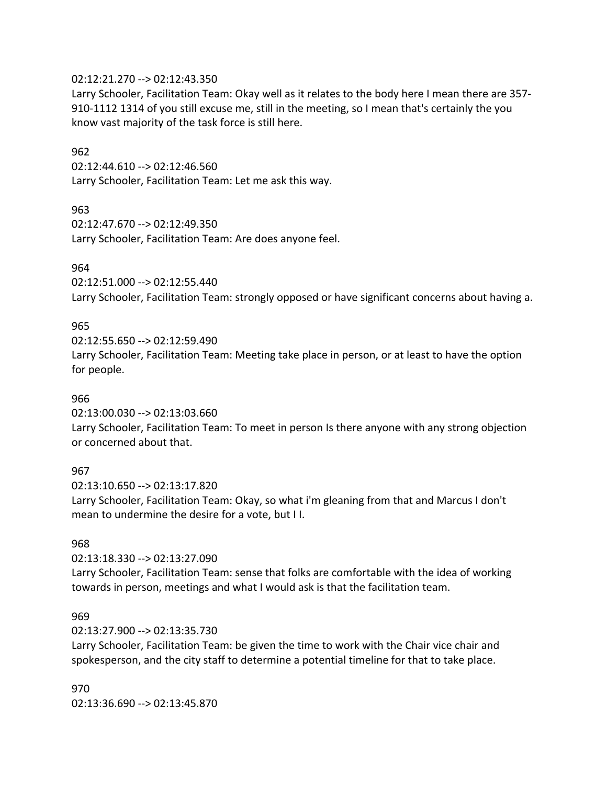#### 02:12:21.270 --> 02:12:43.350

Larry Schooler, Facilitation Team: Okay well as it relates to the body here I mean there are 357- 910-1112 1314 of you still excuse me, still in the meeting, so I mean that's certainly the you know vast majority of the task force is still here.

#### 962

02:12:44.610 --> 02:12:46.560 Larry Schooler, Facilitation Team: Let me ask this way.

#### 963

02:12:47.670 --> 02:12:49.350 Larry Schooler, Facilitation Team: Are does anyone feel.

#### 964

02:12:51.000 --> 02:12:55.440

Larry Schooler, Facilitation Team: strongly opposed or have significant concerns about having a.

#### 965

02:12:55.650 --> 02:12:59.490

Larry Schooler, Facilitation Team: Meeting take place in person, or at least to have the option for people.

#### 966

02:13:00.030 --> 02:13:03.660

Larry Schooler, Facilitation Team: To meet in person Is there anyone with any strong objection or concerned about that.

#### 967

02:13:10.650 --> 02:13:17.820 Larry Schooler, Facilitation Team: Okay, so what i'm gleaning from that and Marcus I don't mean to undermine the desire for a vote, but I I.

#### 968

02:13:18.330 --> 02:13:27.090

Larry Schooler, Facilitation Team: sense that folks are comfortable with the idea of working towards in person, meetings and what I would ask is that the facilitation team.

#### 969

02:13:27.900 --> 02:13:35.730

Larry Schooler, Facilitation Team: be given the time to work with the Chair vice chair and spokesperson, and the city staff to determine a potential timeline for that to take place.

970 02:13:36.690 --> 02:13:45.870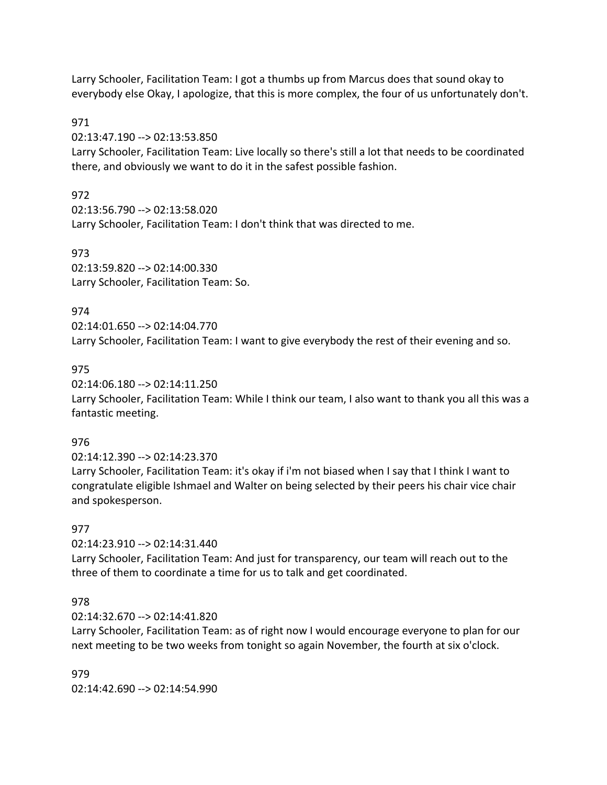Larry Schooler, Facilitation Team: I got a thumbs up from Marcus does that sound okay to everybody else Okay, I apologize, that this is more complex, the four of us unfortunately don't.

## 971

02:13:47.190 --> 02:13:53.850

Larry Schooler, Facilitation Team: Live locally so there's still a lot that needs to be coordinated there, and obviously we want to do it in the safest possible fashion.

## 972

02:13:56.790 --> 02:13:58.020 Larry Schooler, Facilitation Team: I don't think that was directed to me.

973 02:13:59.820 --> 02:14:00.330 Larry Schooler, Facilitation Team: So.

# 974

02:14:01.650 --> 02:14:04.770

Larry Schooler, Facilitation Team: I want to give everybody the rest of their evening and so.

# 975

02:14:06.180 --> 02:14:11.250 Larry Schooler, Facilitation Team: While I think our team, I also want to thank you all this was a fantastic meeting.

## 976

02:14:12.390 --> 02:14:23.370

Larry Schooler, Facilitation Team: it's okay if i'm not biased when I say that I think I want to congratulate eligible Ishmael and Walter on being selected by their peers his chair vice chair and spokesperson.

## 977

02:14:23.910 --> 02:14:31.440

Larry Schooler, Facilitation Team: And just for transparency, our team will reach out to the three of them to coordinate a time for us to talk and get coordinated.

## 978

02:14:32.670 --> 02:14:41.820

Larry Schooler, Facilitation Team: as of right now I would encourage everyone to plan for our next meeting to be two weeks from tonight so again November, the fourth at six o'clock.

979 02:14:42.690 --> 02:14:54.990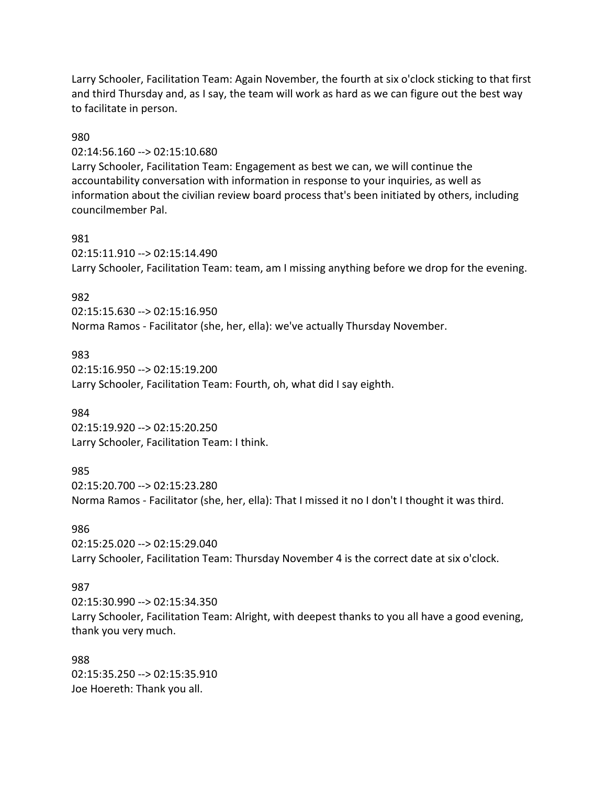Larry Schooler, Facilitation Team: Again November, the fourth at six o'clock sticking to that first and third Thursday and, as I say, the team will work as hard as we can figure out the best way to facilitate in person.

### 980

02:14:56.160 --> 02:15:10.680

Larry Schooler, Facilitation Team: Engagement as best we can, we will continue the accountability conversation with information in response to your inquiries, as well as information about the civilian review board process that's been initiated by others, including councilmember Pal.

#### 981

02:15:11.910 --> 02:15:14.490 Larry Schooler, Facilitation Team: team, am I missing anything before we drop for the evening.

## 982

02:15:15.630 --> 02:15:16.950 Norma Ramos - Facilitator (she, her, ella): we've actually Thursday November.

### 983

02:15:16.950 --> 02:15:19.200 Larry Schooler, Facilitation Team: Fourth, oh, what did I say eighth.

#### 984

02:15:19.920 --> 02:15:20.250 Larry Schooler, Facilitation Team: I think.

### 985

02:15:20.700 --> 02:15:23.280 Norma Ramos - Facilitator (she, her, ella): That I missed it no I don't I thought it was third.

## 986

02:15:25.020 --> 02:15:29.040 Larry Schooler, Facilitation Team: Thursday November 4 is the correct date at six o'clock.

#### 987

02:15:30.990 --> 02:15:34.350 Larry Schooler, Facilitation Team: Alright, with deepest thanks to you all have a good evening, thank you very much.

### 988

02:15:35.250 --> 02:15:35.910 Joe Hoereth: Thank you all.